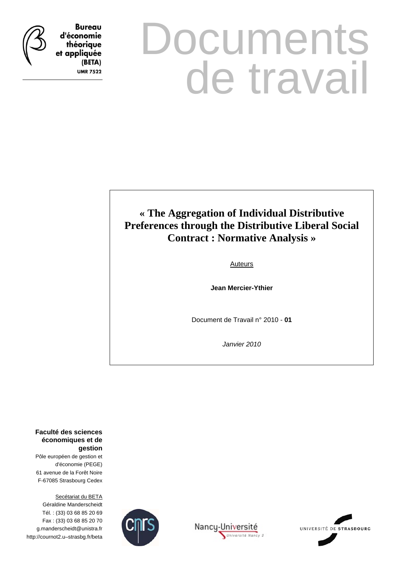

**Bureau** d'économie théorique et appliquée (BETA) **UMR 7522** 

# **Documents** de travail

## **« The Aggregation of Individual Distributive Preferences through the Distributive Liberal Social Contract : Normative Analysis »**

Auteurs

**Jean Mercier-Ythier** 

Document de Travail n° 2010 - **01**

*Janvier 2010* 

Université Nancy 2

**Faculté des sciences économiques et de gestion**

Pôle européen de gestion et d'économie (PEGE) 61 avenue de la Forêt Noire F-67085 Strasbourg Cedex

Secétariat du BETA Géraldine Manderscheidt Tél. : (33) 03 68 85 20 69 Fax : (33) 03 68 85 20 70 g.manderscheidt@unistra.fr http://cournot2.u–strasbg.fr/beta



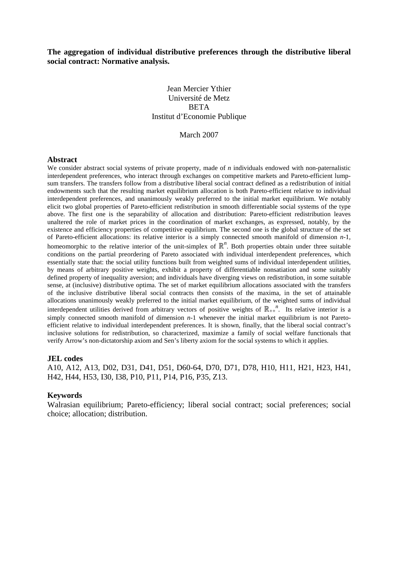#### **The aggregation of individual distributive preferences through the distributive liberal social contract: Normative analysis.**

#### Jean Mercier Ythier Université de Metz **BETA** Institut d'Economie Publique

#### March 2007

#### **Abstract**

We consider abstract social systems of private property, made of *n* individuals endowed with non-paternalistic interdependent preferences, who interact through exchanges on competitive markets and Pareto-efficient lumpsum transfers. The transfers follow from a distributive liberal social contract defined as a redistribution of initial endowments such that the resulting market equilibrium allocation is both Pareto-efficient relative to individual interdependent preferences, and unanimously weakly preferred to the initial market equilibrium. We notably elicit two global properties of Pareto-efficient redistribution in smooth differentiable social systems of the type above. The first one is the separability of allocation and distribution: Pareto-efficient redistribution leaves unaltered the role of market prices in the coordination of market exchanges, as expressed, notably, by the existence and efficiency properties of competitive equilibrium. The second one is the global structure of the set of Pareto-efficient allocations: its relative interior is a simply connected smooth manifold of dimension *n*-1, homeomorphic to the relative interior of the unit-simplex of  $\mathbb{R}^n$ . Both properties obtain under three suitable conditions on the partial preordering of Pareto associated with individual interdependent preferences, which essentially state that: the social utility functions built from weighted sums of individual interdependent utilities, by means of arbitrary positive weights, exhibit a property of differentiable nonsatiation and some suitably defined property of inequality aversion; and individuals have diverging views on redistribution, in some suitable sense, at (inclusive) distributive optima. The set of market equilibrium allocations associated with the transfers of the inclusive distributive liberal social contracts then consists of the maxima, in the set of attainable allocations unanimously weakly preferred to the initial market equilibrium, of the weighted sums of individual interdependent utilities derived from arbitrary vectors of positive weights of  $\mathbb{R}_{++}^{n}$ . Its relative interior is a simply connected smooth manifold of dimension *n*-1 whenever the initial market equilibrium is not Paretoefficient relative to individual interdependent preferences. It is shown, finally, that the liberal social contract's inclusive solutions for redistribution, so characterized, maximize a family of social welfare functionals that verify Arrow's non-dictatorship axiom and Sen's liberty axiom for the social systems to which it applies.

#### **JEL codes**

A10, A12, A13, D02, D31, D41, D51, D60-64, D70, D71, D78, H10, H11, H21, H23, H41, H42, H44, H53, I30, I38, P10, P11, P14, P16, P35, Z13.

#### **Keywords**

Walrasian equilibrium; Pareto-efficiency; liberal social contract; social preferences; social choice; allocation; distribution.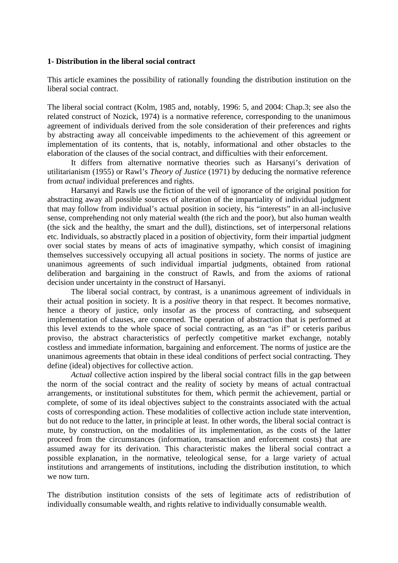#### **1- Distribution in the liberal social contract**

This article examines the possibility of rationally founding the distribution institution on the liberal social contract.

The liberal social contract (Kolm, 1985 and, notably, 1996: 5, and 2004: Chap.3; see also the related construct of Nozick, 1974) is a normative reference, corresponding to the unanimous agreement of individuals derived from the sole consideration of their preferences and rights by abstracting away all conceivable impediments to the achievement of this agreement or implementation of its contents, that is, notably, informational and other obstacles to the elaboration of the clauses of the social contract, and difficulties with their enforcement.

 It differs from alternative normative theories such as Harsanyi's derivation of utilitarianism (1955) or Rawl's *Theory of Justice* (1971) by deducing the normative reference from *actual* individual preferences and rights.

Harsanyi and Rawls use the fiction of the veil of ignorance of the original position for abstracting away all possible sources of alteration of the impartiality of individual judgment that may follow from individual's actual position in society, his "interests" in an all-inclusive sense, comprehending not only material wealth (the rich and the poor), but also human wealth (the sick and the healthy, the smart and the dull), distinctions, set of interpersonal relations etc. Individuals, so abstractly placed in a position of objectivity, form their impartial judgment over social states by means of acts of imaginative sympathy, which consist of imagining themselves successively occupying all actual positions in society. The norms of justice are unanimous agreements of such individual impartial judgments, obtained from rational deliberation and bargaining in the construct of Rawls, and from the axioms of rational decision under uncertainty in the construct of Harsanyi.

 The liberal social contract, by contrast, is a unanimous agreement of individuals in their actual position in society. It is a *positive* theory in that respect. It becomes normative, hence a theory of justice, only insofar as the process of contracting, and subsequent implementation of clauses, are concerned. The operation of abstraction that is performed at this level extends to the whole space of social contracting, as an "as if" or ceteris paribus proviso, the abstract characteristics of perfectly competitive market exchange, notably costless and immediate information, bargaining and enforcement. The norms of justice are the unanimous agreements that obtain in these ideal conditions of perfect social contracting. They define (ideal) objectives for collective action.

*Actual* collective action inspired by the liberal social contract fills in the gap between the norm of the social contract and the reality of society by means of actual contractual arrangements, or institutional substitutes for them, which permit the achievement, partial or complete, of some of its ideal objectives subject to the constraints associated with the actual costs of corresponding action. These modalities of collective action include state intervention, but do not reduce to the latter, in principle at least. In other words, the liberal social contract is mute, by construction, on the modalities of its implementation, as the costs of the latter proceed from the circumstances (information, transaction and enforcement costs) that are assumed away for its derivation. This characteristic makes the liberal social contract a possible explanation, in the normative, teleological sense, for a large variety of actual institutions and arrangements of institutions, including the distribution institution, to which we now turn.

The distribution institution consists of the sets of legitimate acts of redistribution of individually consumable wealth, and rights relative to individually consumable wealth.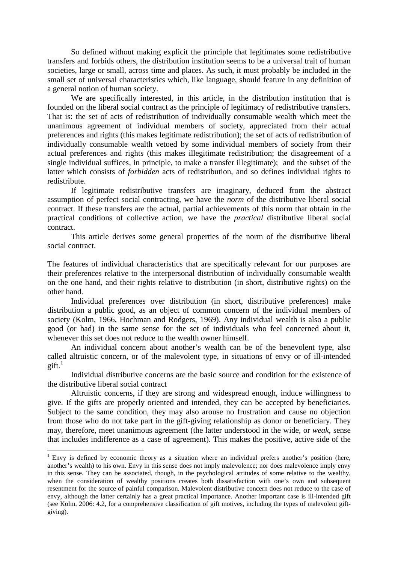So defined without making explicit the principle that legitimates some redistributive transfers and forbids others, the distribution institution seems to be a universal trait of human societies, large or small, across time and places. As such, it must probably be included in the small set of universal characteristics which, like language, should feature in any definition of a general notion of human society.

 We are specifically interested, in this article, in the distribution institution that is founded on the liberal social contract as the principle of legitimacy of redistributive transfers. That is: the set of acts of redistribution of individually consumable wealth which meet the unanimous agreement of individual members of society, appreciated from their actual preferences and rights (this makes legitimate redistribution); the set of acts of redistribution of individually consumable wealth vetoed by some individual members of society from their actual preferences and rights (this makes illegitimate redistribution; the disagreement of a single individual suffices, in principle, to make a transfer illegitimate); and the subset of the latter which consists of *forbidden* acts of redistribution, and so defines individual rights to redistribute.

If legitimate redistributive transfers are imaginary, deduced from the abstract assumption of perfect social contracting, we have the *norm* of the distributive liberal social contract. If these transfers are the actual, partial achievements of this norm that obtain in the practical conditions of collective action, we have the *practical* distributive liberal social contract.

 This article derives some general properties of the norm of the distributive liberal social contract.

The features of individual characteristics that are specifically relevant for our purposes are their preferences relative to the interpersonal distribution of individually consumable wealth on the one hand, and their rights relative to distribution (in short, distributive rights) on the other hand.

 Individual preferences over distribution (in short, distributive preferences) make distribution a public good, as an object of common concern of the individual members of society (Kolm, 1966, Hochman and Rodgers, 1969). Any individual wealth is also a public good (or bad) in the same sense for the set of individuals who feel concerned about it, whenever this set does not reduce to the wealth owner himself.

An individual concern about another's wealth can be of the benevolent type, also called altruistic concern, or of the malevolent type, in situations of envy or of ill-intended  $g$ ift. $^1$ 

Individual distributive concerns are the basic source and condition for the existence of the distributive liberal social contract

Altruistic concerns, if they are strong and widespread enough, induce willingness to give. If the gifts are properly oriented and intended, they can be accepted by beneficiaries. Subject to the same condition, they may also arouse no frustration and cause no objection from those who do not take part in the gift-giving relationship as donor or beneficiary. They may, therefore, meet unanimous agreement (the latter understood in the wide, or *weak*, sense that includes indifference as a case of agreement). This makes the positive, active side of the

 $1$  Envy is defined by economic theory as a situation where an individual prefers another's position (here, another's wealth) to his own. Envy in this sense does not imply malevolence; nor does malevolence imply envy in this sense. They can be associated, though, in the psychological attitudes of some relative to the wealthy, when the consideration of wealthy positions creates both dissatisfaction with one's own and subsequent resentment for the source of painful comparison. Malevolent distributive concern does not reduce to the case of envy, although the latter certainly has a great practical importance. Another important case is ill-intended gift (see Kolm, 2006: 4.2, for a comprehensive classification of gift motives, including the types of malevolent giftgiving).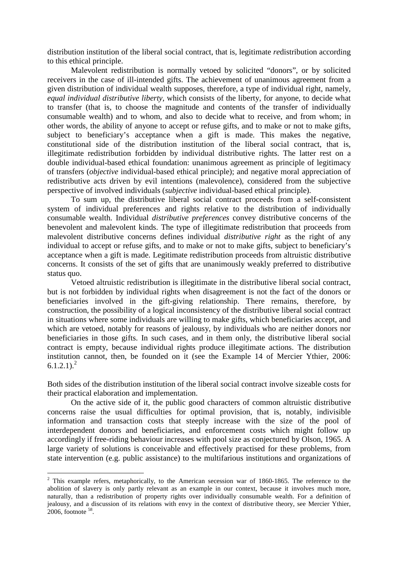distribution institution of the liberal social contract, that is, legitimate *re*distribution according to this ethical principle.

Malevolent redistribution is normally vetoed by solicited "donors", or by solicited receivers in the case of ill-intended gifts. The achievement of unanimous agreement from a given distribution of individual wealth supposes, therefore, a type of individual right, namely, *equal individual distributive liberty*, which consists of the liberty, for anyone, to decide what to transfer (that is, to choose the magnitude and contents of the transfer of individually consumable wealth) and to whom, and also to decide what to receive, and from whom; in other words, the ability of anyone to accept or refuse gifts, and to make or not to make gifts, subject to beneficiary's acceptance when a gift is made. This makes the negative, constitutional side of the distribution institution of the liberal social contract, that is, illegitimate redistribution forbidden by individual distributive rights. The latter rest on a double individual-based ethical foundation: unanimous agreement as principle of legitimacy of transfers (*objective* individual-based ethical principle); and negative moral appreciation of redistributive acts driven by evil intentions (malevolence), considered from the subjective perspective of involved individuals (*subjective* individual-based ethical principle).

To sum up, the distributive liberal social contract proceeds from a self-consistent system of individual preferences and rights relative to the distribution of individually consumable wealth. Individual *distributive preferences* convey distributive concerns of the benevolent and malevolent kinds. The type of illegitimate redistribution that proceeds from malevolent distributive concerns defines individual *distributive right* as the right of any individual to accept or refuse gifts, and to make or not to make gifts, subject to beneficiary's acceptance when a gift is made. Legitimate redistribution proceeds from altruistic distributive concerns. It consists of the set of gifts that are unanimously weakly preferred to distributive status quo.

Vetoed altruistic redistribution is illegitimate in the distributive liberal social contract, but is not forbidden by individual rights when disagreement is not the fact of the donors or beneficiaries involved in the gift-giving relationship. There remains, therefore, by construction, the possibility of a logical inconsistency of the distributive liberal social contract in situations where some individuals are willing to make gifts, which beneficiaries accept, and which are vetoed, notably for reasons of jealousy, by individuals who are neither donors nor beneficiaries in those gifts. In such cases, and in them only, the distributive liberal social contract is empty, because individual rights produce illegitimate actions. The distribution institution cannot, then, be founded on it (see the Example 14 of Mercier Ythier, 2006:  $6.1.2.1$ <sup>2</sup>

Both sides of the distribution institution of the liberal social contract involve sizeable costs for their practical elaboration and implementation.

On the active side of it, the public good characters of common altruistic distributive concerns raise the usual difficulties for optimal provision, that is, notably, indivisible information and transaction costs that steeply increase with the size of the pool of interdependent donors and beneficiaries, and enforcement costs which might follow up accordingly if free-riding behaviour increases with pool size as conjectured by Olson, 1965. A large variety of solutions is conceivable and effectively practised for these problems, from state intervention (e.g. public assistance) to the multifarious institutions and organizations of

 $2$  This example refers, metaphorically, to the American secession war of 1860-1865. The reference to the abolition of slavery is only partly relevant as an example in our context, because it involves much more, naturally, than a redistribution of property rights over individually consumable wealth. For a definition of jealousy, and a discussion of its relations with envy in the context of distributive theory, see Mercier Ythier, 2006, footnote <sup>58</sup> .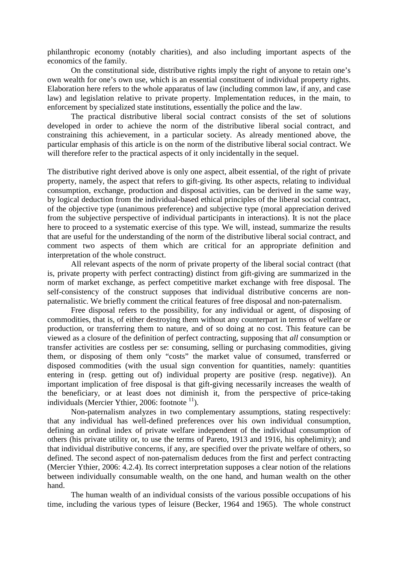philanthropic economy (notably charities), and also including important aspects of the economics of the family.

On the constitutional side, distributive rights imply the right of anyone to retain one's own wealth for one's own use, which is an essential constituent of individual property rights. Elaboration here refers to the whole apparatus of law (including common law, if any, and case law) and legislation relative to private property. Implementation reduces, in the main, to enforcement by specialized state institutions, essentially the police and the law.

The practical distributive liberal social contract consists of the set of solutions developed in order to achieve the norm of the distributive liberal social contract, and constraining this achievement, in a particular society. As already mentioned above, the particular emphasis of this article is on the norm of the distributive liberal social contract. We will therefore refer to the practical aspects of it only incidentally in the sequel.

The distributive right derived above is only one aspect, albeit essential, of the right of private property, namely, the aspect that refers to gift-giving. Its other aspects, relating to individual consumption, exchange, production and disposal activities, can be derived in the same way, by logical deduction from the individual-based ethical principles of the liberal social contract, of the objective type (unanimous preference) and subjective type (moral appreciation derived from the subjective perspective of individual participants in interactions). It is not the place here to proceed to a systematic exercise of this type. We will, instead, summarize the results that are useful for the understanding of the norm of the distributive liberal social contract, and comment two aspects of them which are critical for an appropriate definition and interpretation of the whole construct.

 All relevant aspects of the norm of private property of the liberal social contract (that is, private property with perfect contracting) distinct from gift-giving are summarized in the norm of market exchange, as perfect competitive market exchange with free disposal. The self-consistency of the construct supposes that individual distributive concerns are nonpaternalistic. We briefly comment the critical features of free disposal and non-paternalism.

 Free disposal refers to the possibility, for any individual or agent, of disposing of commodities, that is, of either destroying them without any counterpart in terms of welfare or production, or transferring them to nature, and of so doing at no cost. This feature can be viewed as a closure of the definition of perfect contracting, supposing that *all* consumption or transfer activities are costless per se: consuming, selling or purchasing commodities, giving them, or disposing of them only "costs" the market value of consumed, transferred or disposed commodities (with the usual sign convention for quantities, namely: quantities entering in (resp. getting out of) individual property are positive (resp. negative)). An important implication of free disposal is that gift-giving necessarily increases the wealth of the beneficiary, or at least does not diminish it, from the perspective of price-taking individuals (Mercier Ythier, 2006: footnote  $^{11}$ ).

 Non-paternalism analyzes in two complementary assumptions, stating respectively: that any individual has well-defined preferences over his own individual consumption, defining an ordinal index of private welfare independent of the individual consumption of others (his private utility or, to use the terms of Pareto, 1913 and 1916, his ophelimity); and that individual distributive concerns, if any, are specified over the private welfare of others, so defined. The second aspect of non-paternalism deduces from the first and perfect contracting (Mercier Ythier, 2006: 4.2.4). Its correct interpretation supposes a clear notion of the relations between individually consumable wealth, on the one hand, and human wealth on the other hand.

The human wealth of an individual consists of the various possible occupations of his time, including the various types of leisure (Becker, 1964 and 1965). The whole construct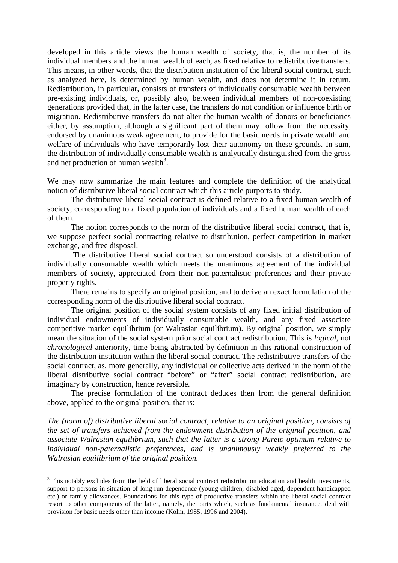developed in this article views the human wealth of society, that is, the number of its individual members and the human wealth of each, as fixed relative to redistributive transfers. This means, in other words, that the distribution institution of the liberal social contract, such as analyzed here, is determined by human wealth, and does not determine it in return. Redistribution, in particular, consists of transfers of individually consumable wealth between pre-existing individuals, or, possibly also, between individual members of non-coexisting generations provided that, in the latter case, the transfers do not condition or influence birth or migration. Redistributive transfers do not alter the human wealth of donors or beneficiaries either, by assumption, although a significant part of them may follow from the necessity, endorsed by unanimous weak agreement, to provide for the basic needs in private wealth and welfare of individuals who have temporarily lost their autonomy on these grounds. In sum, the distribution of individually consumable wealth is analytically distinguished from the gross and net production of human wealth<sup>3</sup>.

We may now summarize the main features and complete the definition of the analytical notion of distributive liberal social contract which this article purports to study.

 The distributive liberal social contract is defined relative to a fixed human wealth of society, corresponding to a fixed population of individuals and a fixed human wealth of each of them.

 The notion corresponds to the norm of the distributive liberal social contract, that is, we suppose perfect social contracting relative to distribution, perfect competition in market exchange, and free disposal.

 The distributive liberal social contract so understood consists of a distribution of individually consumable wealth which meets the unanimous agreement of the individual members of society, appreciated from their non-paternalistic preferences and their private property rights.

 There remains to specify an original position, and to derive an exact formulation of the corresponding norm of the distributive liberal social contract.

The original position of the social system consists of any fixed initial distribution of individual endowments of individually consumable wealth, and any fixed associate competitive market equilibrium (or Walrasian equilibrium). By original position, we simply mean the situation of the social system prior social contract redistribution. This is *logical*, not *chronological* anteriority, time being abstracted by definition in this rational construction of the distribution institution within the liberal social contract. The redistributive transfers of the social contract, as, more generally, any individual or collective acts derived in the norm of the liberal distributive social contract "before" or "after" social contract redistribution, are imaginary by construction, hence reversible.

The precise formulation of the contract deduces then from the general definition above, applied to the original position, that is:

*The (norm of) distributive liberal social contract, relative to an original position, consists of the set of transfers achieved from the endowment distribution of the original position, and associate Walrasian equilibrium, such that the latter is a strong Pareto optimum relative to individual non-paternalistic preferences, and is unanimously weakly preferred to the Walrasian equilibrium of the original position.* 

<sup>&</sup>lt;sup>3</sup>This notably excludes from the field of liberal social contract redistribution education and health investments, support to persons in situation of long-run dependence (young children, disabled aged, dependent handicapped etc.) or family allowances. Foundations for this type of productive transfers within the liberal social contract resort to other components of the latter, namely, the parts which, such as fundamental insurance, deal with provision for basic needs other than income (Kolm, 1985, 1996 and 2004).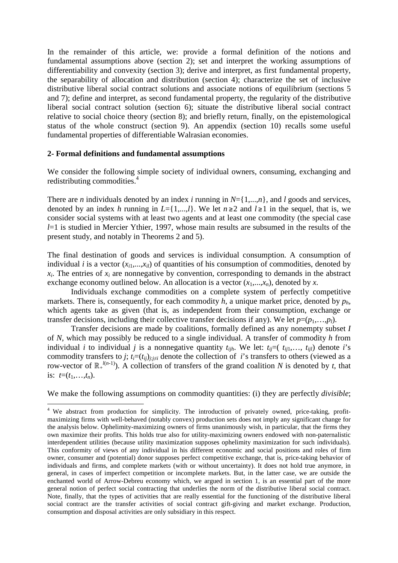In the remainder of this article, we: provide a formal definition of the notions and fundamental assumptions above (section 2); set and interpret the working assumptions of differentiability and convexity (section 3); derive and interpret, as first fundamental property, the separability of allocation and distribution (section 4); characterize the set of inclusive distributive liberal social contract solutions and associate notions of equilibrium (sections 5 and 7); define and interpret, as second fundamental property, the regularity of the distributive liberal social contract solution (section 6); situate the distributive liberal social contract relative to social choice theory (section 8); and briefly return, finally, on the epistemological status of the whole construct (section 9). An appendix (section 10) recalls some useful fundamental properties of differentiable Walrasian economies.

#### **2- Formal definitions and fundamental assumptions**

 $\overline{a}$ 

We consider the following simple society of individual owners, consuming, exchanging and redistributing commodities.<sup>4</sup>

There are *n* individuals denoted by an index *i* running in *N*={1,...,*n*}, and *l* goods and services, denoted by an index *h* running in  $L = \{1, ..., l\}$ . We let  $n \ge 2$  and  $l \ge 1$  in the sequel, that is, we consider social systems with at least two agents and at least one commodity (the special case *l*=1 is studied in Mercier Ythier, 1997, whose main results are subsumed in the results of the present study, and notably in Theorems 2 and 5).

The final destination of goods and services is individual consumption. A consumption of individual *i* is a vector  $(x_{i1},...,x_{i_l})$  of quantities of his consumption of commodities, denoted by  $x_i$ . The entries of  $x_i$  are nonnegative by convention, corresponding to demands in the abstract exchange economy outlined below. An allocation is a vector  $(x_1,...,x_n)$ , denoted by *x*.

Individuals exchange commodities on a complete system of perfectly competitive markets. There is, consequently, for each commodity *h*, a unique market price, denoted by *ph*, which agents take as given (that is, as independent from their consumption, exchange or transfer decisions, including their collective transfer decisions if any). We let  $p=(p_1,\ldots,p_l)$ .

Transfer decisions are made by coalitions, formally defined as any nonempty subset *I* of *N*, which may possibly be reduced to a single individual. A transfer of commodity *h* from individual *i* to individual *j* is a nonnegative quantity  $t_{iih}$ . We let:  $t_{ii}=(t_{ii1},...,t_{iil})$  denote *i*'s commodity transfers to *j*;  $t_i = (t_{ij})_{j:j \neq i}$  denote the collection of *i*'s transfers to others (viewed as a row-vector of  $\mathbb{R}^{l(n-1)}$ ). A collection of transfers of the grand coalition *N* is denoted by *t*, that is:  $t=(t_1,...,t_n)$ .

We make the following assumptions on commodity quantities: (i) they are perfectly *divisible*;

<sup>&</sup>lt;sup>4</sup> We abstract from production for simplicity. The introduction of privately owned, price-taking, profitmaximizing firms with well-behaved (notably convex) production sets does not imply any significant change for the analysis below. Ophelimity-maximizing owners of firms unanimously wish, in particular, that the firms they own maximize their profits. This holds true also for utility-maximizing owners endowed with non-paternalistic interdependent utilities (because utility maximization supposes ophelimity maximization for such individuals). This conformity of views of any individual in his different economic and social positions and roles of firm owner, consumer and (potential) donor supposes perfect competitive exchange, that is, price-taking behavior of individuals and firms, and complete markets (with or without uncertainty). It does not hold true anymore, in general, in cases of imperfect competition or incomplete markets. But, in the latter case, we are outside the enchanted world of Arrow-Debreu economy which, we argued in section 1, is an essential part of the more general notion of perfect social contracting that underlies the norm of the distributive liberal social contract. Note, finally, that the types of activities that are really essential for the functioning of the distributive liberal social contract are the transfer activities of social contract gift-giving and market exchange. Production, consumption and disposal activities are only subsidiary in this respect.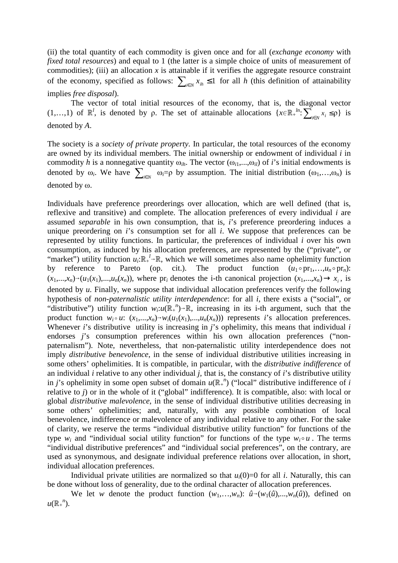(ii) the total quantity of each commodity is given once and for all (*exchange economy* with *fixed total resources*) and equal to 1 (the latter is a simple choice of units of measurement of commodities); (iii) an allocation  $x$  is attainable if it verifies the aggregate resource constraint of the economy, specified as follows:  $\sum_{i \in N} x_{ih} \leq 1$  for all *h* (this definition of attainability implies *free disposal*).

The vector of total initial resources of the economy, that is, the diagonal vector (1,...,1) of  $\mathbb{R}^l$ , is denoted by  $\rho$ . The set of attainable allocations  $\{x \in \mathbb{R}^l : \sum_{i \in N} x_i \le \rho\}$  is denoted by *A*.

The society is a *society of private property*. In particular, the total resources of the economy are owned by its individual members. The initial ownership or endowment of individual *i* in commodity *h* is a nonnegative quantity  $\omega_{ih}$ . The vector  $(\omega_{i1},...,\omega_{il})$  of *i*'s initial endowments is denoted by  $\omega_i$ . We have  $\sum_{i \in N} \omega_i = \rho$  by assumption. The initial distribution  $(\omega_1, \ldots, \omega_n)$  is denoted by ω.

Individuals have preference preorderings over allocation, which are well defined (that is, reflexive and transitive) and complete. The allocation preferences of every individual *i* are assumed *separable* in his own consumption, that is, *i*'s preference preordering induces a unique preordering on *i*'s consumption set for all *i*. We suppose that preferences can be represented by utility functions. In particular, the preferences of individual *i* over his own consumption, as induced by his allocation preferences, are represented by the ("private", or "market") utility function  $u_i: \mathbb{R}_+^l \to \mathbb{R}$ , which we will sometimes also name ophelimity function by reference to Pareto (op. cit.). The product function  $(u_1 \circ pr_1,...,u_n \circ pr_n)$ :  $(x_1,...,x_n) \rightarrow (u_1(x_1),...,u_n(x_n))$ , where pr<sub>i</sub> denotes the i-th canonical projection  $(x_1,...,x_n) \rightarrow x_i$ , is denoted by *u*. Finally, we suppose that individual allocation preferences verify the following hypothesis of *non-paternalistic utility interdependence*: for all *i*, there exists a ("social", or "distributive") utility function  $w_i : u(\mathbb{R}^n) \to \mathbb{R}$ , increasing in its i-th argument, such that the product function  $w_i \circ u$ :  $(x_1,...,x_n) \rightarrow w_i(u_1(x_1),...,u_n(x_n))$  represents *i*'s allocation preferences. Whenever *i*'s distributive utility is increasing in *j*'s ophelimity, this means that individual *i*  endorses *j*'s consumption preferences within his own allocation preferences ("nonpaternalism"). Note, nevertheless, that non-paternalistic utility interdependence does not imply *distributive benevolence*, in the sense of individual distributive utilities increasing in some others' ophelimities. It is compatible, in particular, with the *distributive indifference* of an individual *i* relative to any other individual *j*, that is, the constancy of *i*'s distributive utility in *j*'s ophelimity in some open subset of domain  $u(\mathbb{R}^n)$  ("local" distributive indifference of *i* relative to *j*) or in the whole of it ("global" indifference). It is compatible, also: with local or global *distributive malevolence*, in the sense of individual distributive utilities decreasing in some others' ophelimities; and, naturally, with any possible combination of local benevolence, indifference or malevolence of any individual relative to any other. For the sake of clarity, we reserve the terms "individual distributive utility function" for functions of the type  $w_i$  and "individual social utility function" for functions of the type  $w_i \circ u$ . The terms "individual distributive preferences" and "individual social preferences", on the contrary, are used as synonymous, and designate individual preference relations over allocation, in short, individual allocation preferences.

Individual private utilities are normalized so that  $u_i(0)=0$  for all *i*. Naturally, this can be done without loss of generality, due to the ordinal character of allocation preferences.

We let *w* denote the product function  $(w_1,...,w_n)$ :  $\hat{u}$ <sup> $\rightarrow$ </sup> $(w_1(\hat{u}),...,w_n(\hat{u}))$ , defined on  $u(\mathbb{R}^n)$ .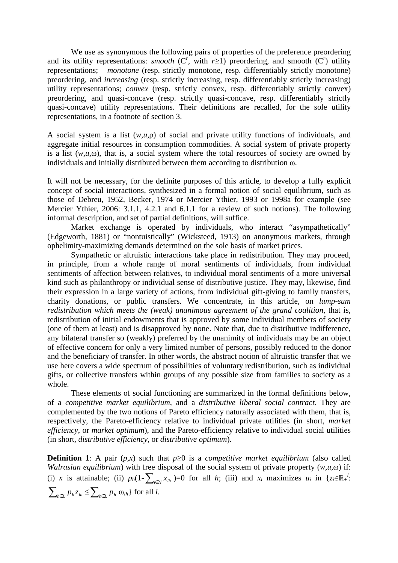We use as synonymous the following pairs of properties of the preference preordering and its utility representations: *smooth* ( $C^r$ , with  $r \ge 1$ ) preordering, and smooth ( $C^r$ ) utility representations; *monotone* (resp. strictly monotone, resp. differentiably strictly monotone) preordering, and *increasing* (resp. strictly increasing, resp. differentiably strictly increasing) utility representations; *convex* (resp. strictly convex, resp. differentiably strictly convex) preordering, and quasi-concave (resp. strictly quasi-concave, resp. differentiably strictly quasi-concave) utility representations. Their definitions are recalled, for the sole utility representations, in a footnote of section 3.

A social system is a list (*w*,*u*,ρ) of social and private utility functions of individuals, and aggregate initial resources in consumption commodities. A social system of private property is a list  $(w, u, \omega)$ , that is, a social system where the total resources of society are owned by individuals and initially distributed between them according to distribution ω.

It will not be necessary, for the definite purposes of this article, to develop a fully explicit concept of social interactions, synthesized in a formal notion of social equilibrium, such as those of Debreu, 1952, Becker, 1974 or Mercier Ythier, 1993 or 1998a for example (see Mercier Ythier, 2006: 3.1.1, 4.2.1 and 6.1.1 for a review of such notions). The following informal description, and set of partial definitions, will suffice.

 Market exchange is operated by individuals, who interact "asympathetically" (Edgeworth, 1881) or "nontuistically" (Wicksteed, 1913) on anonymous markets, through ophelimity-maximizing demands determined on the sole basis of market prices.

 Sympathetic or altruistic interactions take place in redistribution. They may proceed, in principle, from a whole range of moral sentiments of individuals, from individual sentiments of affection between relatives, to individual moral sentiments of a more universal kind such as philanthropy or individual sense of distributive justice. They may, likewise, find their expression in a large variety of actions, from individual gift-giving to family transfers, charity donations, or public transfers. We concentrate, in this article, on *lump-sum redistribution which meets the (weak) unanimous agreement of the grand coalition*, that is, redistribution of initial endowments that is approved by some individual members of society (one of them at least) and is disapproved by none. Note that, due to distributive indifference, any bilateral transfer so (weakly) preferred by the unanimity of individuals may be an object of effective concern for only a very limited number of persons, possibly reduced to the donor and the beneficiary of transfer. In other words, the abstract notion of altruistic transfer that we use here covers a wide spectrum of possibilities of voluntary redistribution, such as individual gifts, or collective transfers within groups of any possible size from families to society as a whole.

 These elements of social functioning are summarized in the formal definitions below, of a *competitive market equilibrium*, and a *distributive liberal social contract*. They are complemented by the two notions of Pareto efficiency naturally associated with them, that is, respectively, the Pareto-efficiency relative to individual private utilities (in short, *market efficiency*, or *market optimum*), and the Pareto-efficiency relative to individual social utilities (in short, *distributive efficiency*, or *distributive optimum*).

**Definition 1**: A pair  $(p,x)$  such that  $p \ge 0$  is a *competitive market equilibrium* (also called *Walrasian equilibrium*) with free disposal of the social system of private property (*w*,*u*,ω) if: (i) *x* is attainable; (ii)  $p_h(1-\sum_{i\in N}x_{ih})=0$  for all *h*; (iii) and  $x_i$  maximizes  $u_i$  in  $\{z_i\in\mathbb{R}^l_+:\}$ ∑<sub>*h*∈*L*</sub>  $p_h z_{ih}$  ≤  $\sum_{h \in L} p_h \omega_{ih}$ } for all *i*.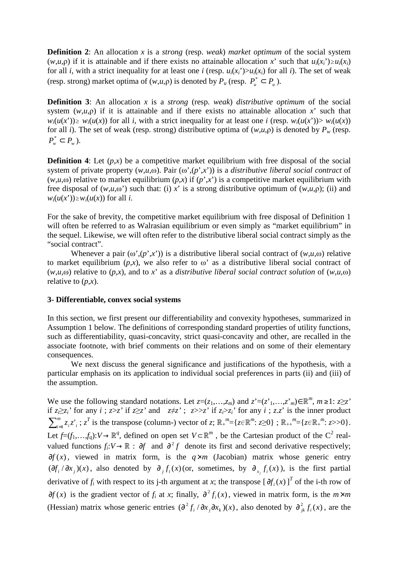**Definition 2**: An allocation *x* is a *strong* (resp. *weak*) *market optimum* of the social system (*w*,*u*, $\rho$ ) if it is attainable and if there exists no attainable allocation *x*' such that  $u_i(x_i) \ge u_i(x_i)$ for all *i*, with a strict inequality for at least one *i* (resp.  $u_i(x_i) > u_i(x_i)$  for all *i*). The set of weak (resp. strong) market optima of  $(w, u, \rho)$  is denoted by  $P_u$  (resp.  $P_u^* \subset P_u$ ).

**Definition 3**: An allocation *x* is a *strong* (resp. *weak*) *distributive optimum* of the social system  $(w, u, \rho)$  if it is attainable and if there exists no attainable allocation *x*' such that  $w_i(u(x')) \geq w_i(u(x))$  for all i, with a strict inequality for at least one i (resp.  $w_i(u(x')) > w_i(u(x))$ ) for all *i*). The set of weak (resp. strong) distributive optima of  $(w, u, \rho)$  is denoted by  $P_w$  (resp.  $P_w^* \subset P_w$ ).

**Definition 4**: Let  $(p,x)$  be a competitive market equilibrium with free disposal of the social system of private property  $(w,u,\omega)$ . Pair  $(\omega', (p',x'))$  is a *distributive liberal social contract* of  $(w, u, \omega)$  relative to market equilibrium  $(p, x)$  if  $(p', x')$  is a competitive market equilibrium with free disposal of  $(w, u, \omega)$  such that: (i) *x*' is a strong distributive optimum of  $(w, u, \rho)$ ; (ii) and  $w_i(u(x')) \geq w_i(u(x))$  for all *i*.

For the sake of brevity, the competitive market equilibrium with free disposal of Definition 1 will often be referred to as Walrasian equilibrium or even simply as "market equilibrium" in the sequel. Likewise, we will often refer to the distributive liberal social contract simply as the "social contract".

Whenever a pair  $(\omega', (p', x'))$  is a distributive liberal social contract of  $(w, u, \omega)$  relative to market equilibrium  $(p,x)$ , we also refer to  $\omega$ ' as a distributive liberal social contract of  $(w,u,\omega)$  relative to  $(p,x)$ , and to x' as a *distributive liberal social contract solution* of  $(w,u,\omega)$ relative to  $(p,x)$ .

#### **3- Differentiable, convex social systems**

In this section, we first present our differentiability and convexity hypotheses, summarized in Assumption 1 below. The definitions of corresponding standard properties of utility functions, such as differentiability, quasi-concavity, strict quasi-concavity and other, are recalled in the associate footnote, with brief comments on their relations and on some of their elementary consequences.

 We next discuss the general significance and justifications of the hypothesis, with a particular emphasis on its application to individual social preferences in parts (ii) and (iii) of the assumption.

We use the following standard notations. Let  $z=(z_1,...,z_m)$  and  $z'=(z_1',...,z_m') \in \mathbb{R}^m$ ,  $m \geq 1$ :  $z \geq z'$ if  $z_i \geq z_i$  for any  $i$ ;  $z \geq z$  if  $z \geq z$  and  $z \neq z$ ;  $z >> z$  if  $z_i > z_i$  for any  $i$ ;  $z.z$  is the inner product  $\sum_{i=1}^m$  $\lim_{i=1}^{m} z_i z'_i$ ;  $z^T$  is the transpose (column-) vector of *z*;  $\mathbb{R}^m = \{z \in \mathbb{R}^m : z \ge 0\}$ ;  $\mathbb{R}^m = \{z \in \mathbb{R}^m : z \ge 0\}$ . Let  $f=(f_1,\ldots,f_q): V \to \mathbb{R}^q$ , defined on open set  $V \subset \mathbb{R}^m$ , be the Cartesian product of the C<sup>2</sup> realvalued functions  $f_i: V \to \mathbb{R}$ :  $\partial f$  and  $\partial^2 f$  denote its first and second derivative respectively; *∂f* (*x*), viewed in matrix form, is the *q*×*m* (Jacobian) matrix whose generic entry  $(\partial f_i / \partial x_j)(x)$ , also denoted by  $\partial_j f_i(x)$  (or, sometimes, by  $\partial_{x_j} f_i(x)$ ), is the first partial derivative of  $f_i$  with respect to its j-th argument at *x*; the transpose  $[\partial f_i(x)]^T$  of the i-th row of  $\partial f(x)$  is the gradient vector of *f<sub>i</sub>* at *x*; finally,  $\partial^2 f_i(x)$ , viewed in matrix form, is the  $m \times m$ (Hessian) matrix whose generic entries  $\left(\frac{\partial^2 f_i}{\partial x_j \partial x_k}\right)(x)$ , also denoted by  $\frac{\partial^2 f_i}{\partial x_j f_i}(x)$ , are the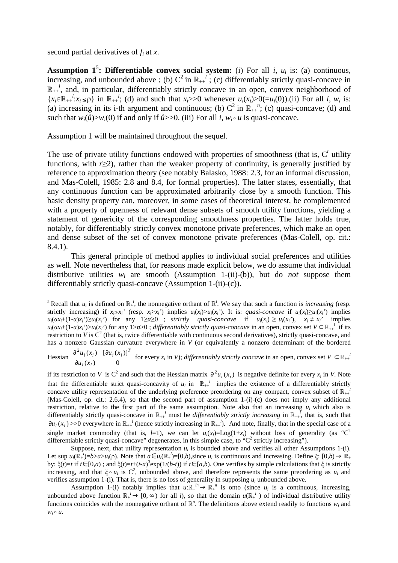second partial derivatives of *f<sup>i</sup>* at *x*.

 $\overline{a}$ 

**Assumption 1<sup>5</sup>: Differentiable convex social system:** (i) For all *i*,  $u_i$  is: (a) continuous, increasing, and unbounded above ; (b)  $C^2$  in  $\mathbb{R}^{\{1\}}$ ; (c) differentiably strictly quasi-concave in  $\mathbb{R}_{++}^l$ , and, in particular, differentiably strictly concave in an open, convex neighborhood of  ${x_i \in \mathbb{R}_{++}}^l : x_i \leq \rho}$  in  $\mathbb{R}_{++}^l$ ; (d) and such that  $x_i > >0$  whenever  $u_i(x_i) > 0 (= u_i(0))$ .(ii) For all *i*,  $w_i$  is: (a) increasing in its i-th argument and continuous; (b)  $C^2$  in  $\mathbb{R}_{++}^n$ ; (c) quasi-concave; (d) and such that  $w_i(\hat{u}) > w_i(0)$  if and only if  $\hat{u} > 0$ . (iii) For all *i*,  $w_i \circ u$  is quasi-concave.

Assumption 1 will be maintained throughout the sequel.

The use of private utility functions endowed with properties of smoothness (that is,  $C<sup>r</sup>$  utility functions, with *r*≥2), rather than the weaker property of continuity, is generally justified by reference to approximation theory (see notably Balasko, 1988: 2.3, for an informal discussion, and Mas-Colell, 1985: 2.8 and 8.4, for formal properties). The latter states, essentially, that any continuous function can be approximated arbitrarily close by a smooth function. This basic density property can, moreover, in some cases of theoretical interest, be complemented with a property of openness of relevant dense subsets of smooth utility functions, yielding a statement of genericity of the corresponding smoothness properties. The latter holds true, notably, for differentiably strictly convex monotone private preferences, which make an open and dense subset of the set of convex monotone private preferences (Mas-Colell, op. cit.: 8.4.1).

 This general principle of method applies to individual social preferences and utilities as well. Note nevertheless that, for reasons made explicit below, we do assume that individual distributive utilities  $w_i$  are smooth (Assumption 1-(ii)-(b)), but do *not* suppose them differentiably strictly quasi-concave (Assumption 1-(ii)-(c)).

if its restriction to *V* is C<sup>2</sup> and such that the Hessian matrix  $\partial^2 u_i(x_i)$  is negative definite for every  $x_i$  in *V*. Note that the differentiable strict quasi-concavity of  $u_i$  in  $\mathbb{R}_{++}$  implies the existence of a differentiably strictly concave utility representation of the underlying preference preordering on any compact, convex subset of  $\mathbb{R}^{l}_{++}$ (Mas-Colell, op. cit.: 2.6.4), so that the second part of assumption 1-(i)-(c) does not imply any additional restriction, relative to the first part of the same assumption. Note also that an increasing  $u_i$  which also is differentiably strictly quasi-concave in  $\mathbb{R}_{++}^l$  must be *differentiably strictly increasing* in  $\mathbb{R}_{++}^l$ , that is, such that  $\partial u_i(x_i)$  >>0 everywhere in  $\mathbb{R}_{+i}^{l}$  (hence strictly increasing in  $\mathbb{R}_{+i}^{l}$ ). And note, finally, that in the special case of a single market commodity (that is, *l*=1), we can let  $u_i(x_i) = \text{Log}(1+x_i)$  without loss of generality (as "C<sup>2</sup> differentiable strictly quasi-concave" degenerates, in this simple case, to " $C^2$  strictly increasing").

Suppose, next, that utility representation  $u_i$  is bounded above and verifies all other Assumptions 1-(i). Let sup  $u_i(\mathbb{R}^l_+) = b > a > u_i(\rho)$ . Note that  $a \in u_i(\mathbb{R}^l_+) = [0,b)$ , since  $u_i$  is continuous and increasing. Define  $\xi: [0,b) \to \mathbb{R}^l_+$ by: ξ(*t*)=*t* if *t*∈[0,*a*); and ξ(*t*)=*t*+(*t*-*a*)<sup>3</sup>exp(1/(*b*-*t*)) if *t*∈[*a*,*b*). One verifies by simple calculations that ξ is strictly increasing, and that  $\xi \circ u_i$  is  $C^2$ , unbounded above, and therefore represents the same preordering as  $u_i$  and verifies assumption 1-(i). That is, there is no loss of generality in supposing  $u_i$  unbounded above.

Assumption 1-(i) notably implies that  $u: \mathbb{R}_+^{h} \to \mathbb{R}_+^{h}$  is onto (since  $u_i$  is a continuous, increasing, unbounded above function  $\mathbb{R}^l_+ \to [0, \infty)$  for all *i*), so that the domain  $u(\mathbb{R}^l_+)$  of individual distributive utility functions coincides with the nonnegative orthant of  $\mathbb{R}^n$ . The definitions above extend readily to functions  $w_i$  and  $W_i \circ u$ .

<sup>&</sup>lt;sup>5</sup> Recall that  $u_i$  is defined on  $\mathbb{R}^l$ , the nonnegative orthant of  $\mathbb{R}^l$ . We say that such a function is *increasing* (resp. strictly increasing) if  $x_i \gg x_i$  (resp.  $x_i > x_i$ ) implies  $u_i(x_i) > u_i(x_i)$ ). It is: *quasi-concave* if  $u_i(x_i) \ge u_i(x_i)$  implies  $u_i(\alpha x_i+(1-\alpha)x_i')\geq u_i(x_i')$  for any  $1\geq \alpha \geq 0$ ; strictly quasi-concave if  $u_i(x_i) \geq u_i(x_i')$ ,  $x_i \neq x_i'$  implies  $u_i(\alpha x_i+(1-\alpha)x_i) > u_i(x_i)$  for any 1>α>0; *differentiably strictly quasi-concave* in an open, convex set  $V \subset \mathbb{R}_{++}$ <sup>1</sup> if its restriction to  $V$  is  $C^2$  (that is, twice differentiable with continuous second derivatives), strictly quasi-concave, and has a nonzero Gaussian curvature everywhere in *V* (or equivalently a nonzero determinant of the bordered

Hessian  $\frac{\partial^2 u_i(x_i)}{\partial (x_i - x_i)} [\frac{\partial u_i(x_i)}{\partial x_i}]^T$  for every  $x_i$  in V); differentiably strictly concave in an open, convex set  $V \subset \mathbb{R}_{++}$  $\partial u_i(x_i)$  0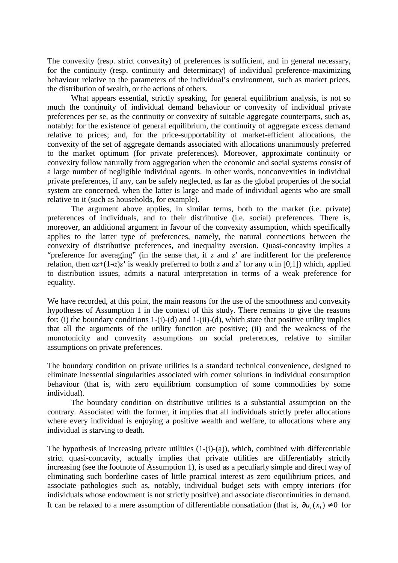The convexity (resp. strict convexity) of preferences is sufficient, and in general necessary, for the continuity (resp. continuity and determinacy) of individual preference-maximizing behaviour relative to the parameters of the individual's environment, such as market prices, the distribution of wealth, or the actions of others.

 What appears essential, strictly speaking, for general equilibrium analysis, is not so much the continuity of individual demand behaviour or convexity of individual private preferences per se, as the continuity or convexity of suitable aggregate counterparts, such as, notably: for the existence of general equilibrium, the continuity of aggregate excess demand relative to prices; and, for the price-supportability of market-efficient allocations, the convexity of the set of aggregate demands associated with allocations unanimously preferred to the market optimum (for private preferences). Moreover, approximate continuity or convexity follow naturally from aggregation when the economic and social systems consist of a large number of negligible individual agents. In other words, nonconvexities in individual private preferences, if any, can be safely neglected, as far as the global properties of the social system are concerned, when the latter is large and made of individual agents who are small relative to it (such as households, for example).

 The argument above applies, in similar terms, both to the market (i.e. private) preferences of individuals, and to their distributive (i.e. social) preferences. There is, moreover, an additional argument in favour of the convexity assumption, which specifically applies to the latter type of preferences, namely, the natural connections between the convexity of distributive preferences, and inequality aversion. Quasi-concavity implies a "preference for averaging" (in the sense that, if *z* and *z*' are indifferent for the preference relation, then  $\alpha z + (1-\alpha)z'$  is weakly preferred to both *z* and *z*' for any  $\alpha$  in [0,1]) which, applied to distribution issues, admits a natural interpretation in terms of a weak preference for equality.

We have recorded, at this point, the main reasons for the use of the smoothness and convexity hypotheses of Assumption 1 in the context of this study. There remains to give the reasons for: (i) the boundary conditions  $1-(i)-(d)$  and  $1-(ii)-(d)$ , which state that positive utility implies that all the arguments of the utility function are positive; (ii) and the weakness of the monotonicity and convexity assumptions on social preferences, relative to similar assumptions on private preferences.

The boundary condition on private utilities is a standard technical convenience, designed to eliminate inessential singularities associated with corner solutions in individual consumption behaviour (that is, with zero equilibrium consumption of some commodities by some individual).

 The boundary condition on distributive utilities is a substantial assumption on the contrary. Associated with the former, it implies that all individuals strictly prefer allocations where every individual is enjoying a positive wealth and welfare, to allocations where any individual is starving to death.

The hypothesis of increasing private utilities  $(1-(i)-(a))$ , which, combined with differentiable strict quasi-concavity, actually implies that private utilities are differentiably strictly increasing (see the footnote of Assumption 1), is used as a peculiarly simple and direct way of eliminating such borderline cases of little practical interest as zero equilibrium prices, and associate pathologies such as, notably, individual budget sets with empty interiors (for individuals whose endowment is not strictly positive) and associate discontinuities in demand. It can be relaxed to a mere assumption of differentiable nonsatiation (that is,  $\partial u_i(x_i) \neq 0$  for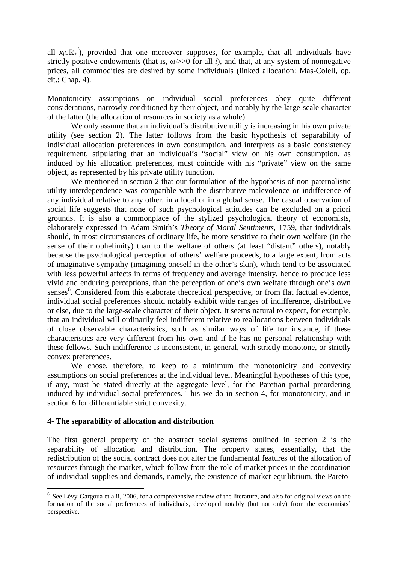all  $x_i \in \mathbb{R}^l$ , provided that one moreover supposes, for example, that all individuals have strictly positive endowments (that is,  $\omega_i$  $>>$ 0 for all *i*), and that, at any system of nonnegative prices, all commodities are desired by some individuals (linked allocation: Mas-Colell, op. cit.: Chap. 4).

Monotonicity assumptions on individual social preferences obey quite different considerations, narrowly conditioned by their object, and notably by the large-scale character of the latter (the allocation of resources in society as a whole).

We only assume that an individual's distributive utility is increasing in his own private utility (see section 2). The latter follows from the basic hypothesis of separability of individual allocation preferences in own consumption, and interprets as a basic consistency requirement, stipulating that an individual's "social" view on his own consumption, as induced by his allocation preferences, must coincide with his "private" view on the same object, as represented by his private utility function.

We mentioned in section 2 that our formulation of the hypothesis of non-paternalistic utility interdependence was compatible with the distributive malevolence or indifference of any individual relative to any other, in a local or in a global sense. The casual observation of social life suggests that none of such psychological attitudes can be excluded on a priori grounds. It is also a commonplace of the stylized psychological theory of economists, elaborately expressed in Adam Smith's *Theory of Moral Sentiments*, 1759, that individuals should, in most circumstances of ordinary life, be more sensitive to their own welfare (in the sense of their ophelimity) than to the welfare of others (at least "distant" others), notably because the psychological perception of others' welfare proceeds, to a large extent, from acts of imaginative sympathy (imagining oneself in the other's skin), which tend to be associated with less powerful affects in terms of frequency and average intensity, hence to produce less vivid and enduring perceptions, than the perception of one's own welfare through one's own senses<sup>6</sup>. Considered from this elaborate theoretical perspective, or from flat factual evidence, individual social preferences should notably exhibit wide ranges of indifference, distributive or else, due to the large-scale character of their object. It seems natural to expect, for example, that an individual will ordinarily feel indifferent relative to reallocations between individuals of close observable characteristics, such as similar ways of life for instance, if these characteristics are very different from his own and if he has no personal relationship with these fellows. Such indifference is inconsistent, in general, with strictly monotone, or strictly convex preferences.

We chose, therefore, to keep to a minimum the monotonicity and convexity assumptions on social preferences at the individual level. Meaningful hypotheses of this type, if any, must be stated directly at the aggregate level, for the Paretian partial preordering induced by individual social preferences. This we do in section 4, for monotonicity, and in section 6 for differentiable strict convexity.

#### **4- The separability of allocation and distribution**

 $\overline{a}$ 

The first general property of the abstract social systems outlined in section 2 is the separability of allocation and distribution. The property states, essentially, that the redistribution of the social contract does not alter the fundamental features of the allocation of resources through the market, which follow from the role of market prices in the coordination of individual supplies and demands, namely, the existence of market equilibrium, the Pareto-

 $6$  See Lévy-Gargoua et alii, 2006, for a comprehensive review of the literature, and also for original views on the formation of the social preferences of individuals, developed notably (but not only) from the economists' perspective.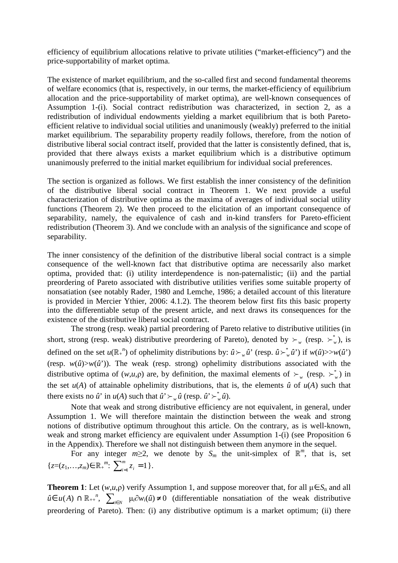efficiency of equilibrium allocations relative to private utilities ("market-efficiency") and the price-supportability of market optima.

The existence of market equilibrium, and the so-called first and second fundamental theorems of welfare economics (that is, respectively, in our terms, the market-efficiency of equilibrium allocation and the price-supportability of market optima), are well-known consequences of Assumption 1-(i). Social contract redistribution was characterized, in section 2, as a redistribution of individual endowments yielding a market equilibrium that is both Paretoefficient relative to individual social utilities and unanimously (weakly) preferred to the initial market equilibrium. The separability property readily follows, therefore, from the notion of distributive liberal social contract itself, provided that the latter is consistently defined, that is, provided that there always exists a market equilibrium which is a distributive optimum unanimously preferred to the initial market equilibrium for individual social preferences.

The section is organized as follows. We first establish the inner consistency of the definition of the distributive liberal social contract in Theorem 1. We next provide a useful characterization of distributive optima as the maxima of averages of individual social utility functions (Theorem 2). We then proceed to the elicitation of an important consequence of separability, namely, the equivalence of cash and in-kind transfers for Pareto-efficient redistribution (Theorem 3). And we conclude with an analysis of the significance and scope of separability.

The inner consistency of the definition of the distributive liberal social contract is a simple consequence of the well-known fact that distributive optima are necessarily also market optima, provided that: (i) utility interdependence is non-paternalistic; (ii) and the partial preordering of Pareto associated with distributive utilities verifies some suitable property of nonsatiation (see notably Rader, 1980 and Lemche, 1986; a detailed account of this literature is provided in Mercier Ythier, 2006: 4.1.2). The theorem below first fits this basic property into the differentiable setup of the present article, and next draws its consequences for the existence of the distributive liberal social contract.

 The strong (resp. weak) partial preordering of Pareto relative to distributive utilities (in short, strong (resp. weak) distributive preordering of Pareto), denoted by  $\succ_w$  (resp.  $\succ_w^*$ ), is defined on the set  $u(\mathbb{R}^n)$  of ophelimity distributions by:  $\hat{u} \succ_w \hat{u}$ ' (resp.  $\hat{u} \succ_w^* \hat{u}$ ') if  $w(\hat{u})>>w(\hat{u}^*)$ (resp.  $w(\hat{u}) > w(\hat{u}')$ ). The weak (resp. strong) ophelimity distributions associated with the distributive optima of  $(w, u, \rho)$  are, by definition, the maximal elements of  $\succ_w$  (resp.  $\succ_w^*$ ) in the set  $u(A)$  of attainable ophelimity distributions, that is, the elements  $\hat{u}$  of  $u(A)$  such that there exists no  $\hat{u}$  in  $u(A)$  such that  $\hat{u}$   $\succ_{w} \hat{u}$  (resp.  $\hat{u}$   $\succ_{w}^{*} \hat{u}$ ).

 Note that weak and strong distributive efficiency are not equivalent, in general, under Assumption 1. We will therefore maintain the distinction between the weak and strong notions of distributive optimum throughout this article. On the contrary, as is well-known, weak and strong market efficiency are equivalent under Assumption 1-(i) (see Proposition 6 in the Appendix). Therefore we shall not distinguish between them anymore in the sequel.

For any integer  $m \ge 2$ , we denote by  $S_m$  the unit-simplex of  $\mathbb{R}^m$ , that is, set  ${z}=(z_1,...,z_m) \in \mathbb{R}_+^m$ :  $\sum_{i=1}^m z_i =$  $\sum_{i=1}^{m} z_i = 1$ .

**Theorem 1**: Let  $(w, u, \rho)$  verify Assumption 1, and suppose moreover that, for all  $\mu \in S_n$  and all  $\hat{u} \in u(A) \cap \mathbb{R}_{++}^n$ ,  $\sum_{i \in N} \mu_i \partial w_i(\hat{u}) \neq 0$  (differentiable nonsatiation of the weak distributive preordering of Pareto). Then: (i) any distributive optimum is a market optimum; (ii) there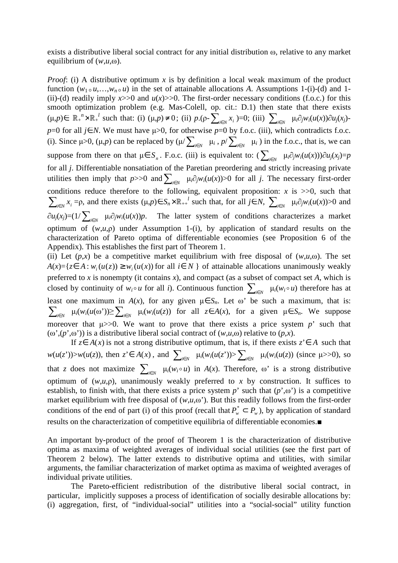exists a distributive liberal social contract for any initial distribution ω, relative to any market equilibrium of (*w*,*u*,ω).

*Proof*: (i) A distributive optimum *x* is by definition a local weak maximum of the product function  $(w_1 \circ u, \ldots, w_n \circ u)$  in the set of attainable allocations *A*. Assumptions 1-(i)-(d) and 1-(ii)-(d) readily imply  $x>>0$  and  $u(x)>>0$ . The first-order necessary conditions (f.o.c.) for this smooth optimization problem (e.g. Mas-Colell, op. cit.: D.1) then state that there exists  $(\mu, p) \in \mathbb{R}_+^n \times \mathbb{R}_+^l$  such that: (i)  $(\mu, p) \neq 0$ ; (ii)  $p \cdot (\rho - \sum_{i \in N} x_i) = 0$ ; (iii)  $\sum_{i \in N} \mu_i \partial_j w_i(u(x)) \partial u_j(x_i)$ *p*=0 for all *j*∈ *N*. We must have  $\mu$ >0, for otherwise *p*=0 by f.o.c. (iii), which contradicts f.o.c. (i). Since  $\mu > 0$ ,  $(\mu, p)$  can be replaced by  $(\mu / \sum_{i \in N} \mu_i, p / \sum_{i \in N} \mu_i)$  in the f.o.c., that is, we can suppose from there on that  $\mu \in S_n$ . F.o.c. (iii) is equivalent to:  $\sum_{i \in N} \mu_i \partial_j w_i(u(x)) \partial u_j(x_j) = p$ for all *j*. Differentiable nonsatiation of the Paretian preordering and strictly increasing private utilities then imply that  $p$ >>0 and  $\sum_{i \in N}$   $\mu_i \partial_j w_i(u(x))$ >0 for all *j*. The necessary first-order conditions reduce therefore to the following, equivalent proposition:  $x$  is  $>>0$ , such that  $\sum_{i \in N} x_i = \rho$ , and there exists  $(\mu, p) \in S_n \times \mathbb{R}_{++}^l$  such that, for all  $j \in N$ ,  $\sum_{i \in N} \mu_i \partial_j w_i(u(x)) > 0$  and  $\partial u_j(x_j)=(1/\sum_{i\in N} \mu_i \partial_j w_i(u(x))p$ . The latter system of conditions characterizes a market optimum of (*w*,*u*,ρ) under Assumption 1-(i), by application of standard results on the characterization of Pareto optima of differentiable economies (see Proposition 6 of the Appendix). This establishes the first part of Theorem 1.

(ii) Let  $(p,x)$  be a competitive market equilibrium with free disposal of  $(w,u,\omega)$ . The set *A*(*x*)={*z*∈ *A*: *w*<sub>*i*</sub>(*u*(*z*)) ≥ *w*<sub>*i*</sub>(*u*(*x*)) for all *i*∈ *N* } of attainable allocations unanimously weakly preferred to *x* is nonempty (it contains *x*), and compact (as a subset of compact set *A*, which is closed by continuity of  $w_i \circ u$  for all *i*). Continuous function  $\sum_{i \in N} \mu_i(w_i \circ u)$  therefore has at least one maximum in  $A(x)$ , for any given  $\mu \in S_n$ . Let  $\omega$ ' be such a maximum, that is:  $\sum_{i \in N}$  μ<sub>*i*</sub>(*w<sub>i</sub>*(*u*(ω'))≥ $\sum_{i \in N}$  μ*<sub>i</sub>*(*w<sub>i</sub>*(*u*(*z*)) for all *z*∈*A*(*x*), for a given μ∈ *S<sub>n</sub>*. We suppose moreover that  $\mu$ >>0. We want to prove that there exists a price system *p*' such that ( $\omega'$ ,( $p'$ , $\omega'$ )) is a distributive liberal social contract of (*w*,*u*, $\omega$ ) relative to (*p*,*x*).

If  $z∈ A(x)$  is not a strong distributive optimum, that is, if there exists  $z'∈ A$  such that  $w(u(z'))>w(u(z))$ , then  $z' \in A(x)$ , and  $\sum_{i \in N} \mu_i(w_i(u(z')) > \sum_{i \in N} \mu_i(w_i(u(z))$  (since  $\mu>>0$ ), so that *z* does not maximize  $\sum_{i \in N} \mu_i(w_i \circ u)$  in  $A(x)$ . Therefore,  $\omega$  is a strong distributive optimum of  $(w, u, \rho)$ , unanimously weakly preferred to *x* by construction. It suffices to establish, to finish with, that there exists a price system  $p'$  such that  $(p', \omega')$  is a competitive market equilibrium with free disposal of  $(w, u, \omega)$ . But this readily follows from the first-order conditions of the end of part (i) of this proof (recall that  $P^*_{w} \subset P_w$ ), by application of standard results on the characterization of competitive equilibria of differentiable economies.■

An important by-product of the proof of Theorem 1 is the characterization of distributive optima as maxima of weighted averages of individual social utilities (see the first part of Theorem 2 below). The latter extends to distributive optima and utilities, with similar arguments, the familiar characterization of market optima as maxima of weighted averages of individual private utilities.

The Pareto-efficient redistribution of the distributive liberal social contract, in particular, implicitly supposes a process of identification of socially desirable allocations by: (i) aggregation, first, of "individual-social" utilities into a "social-social" utility function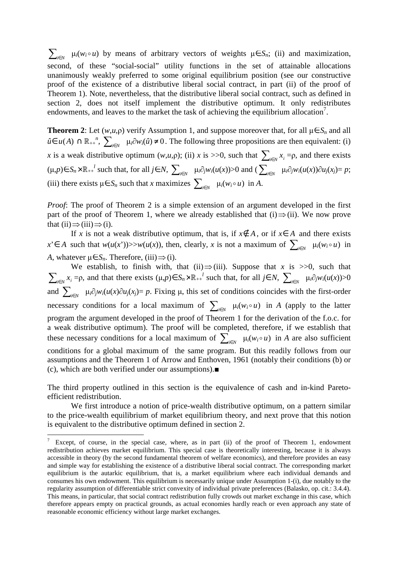$\sum_{i \in N}$   $\mu_i(w_i \circ u)$  by means of arbitrary vectors of weights  $\mu \in S_n$ ; (ii) and maximization, second, of these "social-social" utility functions in the set of attainable allocations unanimously weakly preferred to some original equilibrium position (see our constructive proof of the existence of a distributive liberal social contract, in part (ii) of the proof of Theorem 1). Note, nevertheless, that the distributive liberal social contract, such as defined in section 2, does not itself implement the distributive optimum. It only redistributes endowments, and leaves to the market the task of achieving the equilibrium allocation<sup>7</sup>.

**Theorem 2**: Let  $(w, u, \rho)$  verify Assumption 1, and suppose moreover that, for all  $\mu \in S_n$  and all  $\hat{u} \in u(A) \cap \mathbb{R}_{++}^n$ ,  $\sum_{i \in N} \mu_i \partial w_i(\hat{u}) \neq 0$ . The following three propositions are then equivalent: (i) *x* is a weak distributive optimum  $(w, u, \rho)$ ; (ii) *x* is >>0, such that  $\sum_{i \in N} x_i = \rho$ , and there exists  $(\mu, p) \in S_n \times \mathbb{R}_{++}^l$  such that, for all  $j \in N$ ,  $\sum_{i \in N} \mu_i \partial_j w_i(u(x)) > 0$  and  $(\sum_{i \in N} \mu_i \partial_j w_i(u(x)) \partial u_j(x_i) = p$ ; (iii) there exists  $\mu \in S_n$  such that *x* maximizes  $\sum_{i \in N} \mu_i(w_i \circ u)$  in *A*.

*Proof*: The proof of Theorem 2 is a simple extension of an argument developed in the first part of the proof of Theorem 1, where we already established that (i)  $\Rightarrow$  (ii). We now prove that  $(ii) \implies (iii) \implies (i)$ .

If *x* is not a weak distributive optimum, that is, if  $x \notin A$ , or if  $x \in A$  and there exists *x*<sup>'</sup>∈ *A* such that *w*(*u*(*x*<sup>'</sup>))>>*w*(*u*(*x*)), then, clearly, *x* is not a maximum of  $\sum_{i \in N}$   $\mu_i(w_i \circ u)$  in *A*, whatever  $\mu \in S_n$ . Therefore, (iii) ⇒ (i).

We establish, to finish with, that (ii) $\Rightarrow$ (iii). Suppose that *x* is >>0, such that  $\sum_{i \in N} x_i = \rho$ , and that there exists  $(\mu, p) \in S_n \times \mathbb{R}_{++}^l$  such that, for all  $j \in N$ ,  $\sum_{i \in N} \mu_i \partial_j w_i(u(x)) > 0$ and  $\sum_{i\in\mathbb{N}} \mu_i \partial_j w_i(u(x)) \partial u_j(x_j) = p$ . Fixing  $\mu$ , this set of conditions coincides with the first-order necessary conditions for a local maximum of  $\sum_{i \in N} \mu_i(w_i \circ u)$  in *A* (apply to the latter program the argument developed in the proof of Theorem 1 for the derivation of the f.o.c. for a weak distributive optimum). The proof will be completed, therefore, if we establish that these necessary conditions for a local maximum of  $\sum_{i \in N} \mu_i(w_i \circ u)$  in *A* are also sufficient conditions for a global maximum of the same program. But this readily follows from our assumptions and the Theorem 1 of Arrow and Enthoven, 1961 (notably their conditions (b) or (c), which are both verified under our assumptions).■

The third property outlined in this section is the equivalence of cash and in-kind Paretoefficient redistribution.

We first introduce a notion of price-wealth distributive optimum, on a pattern similar to the price-wealth equilibrium of market equilibrium theory, and next prove that this notion is equivalent to the distributive optimum defined in section 2.

Except, of course, in the special case, where, as in part (ii) of the proof of Theorem 1, endowment redistribution achieves market equilibrium. This special case is theoretically interesting, because it is always accessible in theory (by the second fundamental theorem of welfare economics), and therefore provides an easy and simple way for establishing the existence of a distributive liberal social contract. The corresponding market equilibrium is the autarkic equilibrium, that is, a market equilibrium where each individual demands and consumes his own endowment. This equilibrium is necessarily unique under Assumption 1-(i), due notably to the regularity assumption of differentiable strict convexity of individual private preferences (Balasko, op. cit.: 3.4.4). This means, in particular, that social contract redistribution fully crowds out market exchange in this case, which therefore appears empty on practical grounds, as actual economies hardly reach or even approach any state of reasonable economic efficiency without large market exchanges.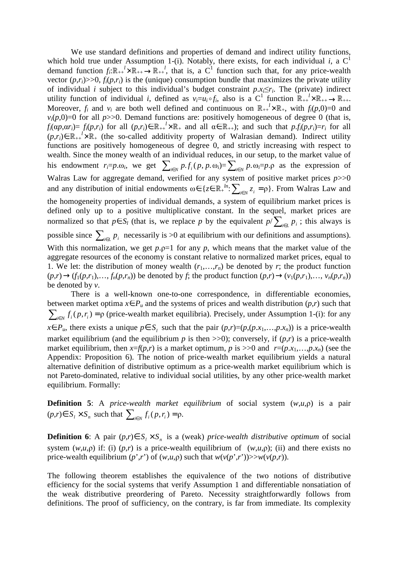We use standard definitions and properties of demand and indirect utility functions, which hold true under Assumption 1-(i). Notably, there exists, for each individual *i*, a  $C<sup>1</sup>$ demand function  $f_i: \mathbb{R}_{++}^l \times \mathbb{R}_{++} \to \mathbb{R}_{++}^l$ , that is, a C<sup>1</sup> function such that, for any price-wealth vector  $(p,r_i)$ >>0,  $f_i(p,r_i)$  is the (unique) consumption bundle that maximizes the private utility of individual *i* subject to this individual's budget constraint  $p.x_i \leq r_i$ . The (private) indirect utility function of individual *i*, defined as  $v_i = u_i \circ f_i$ , also is a C<sup>1</sup> function  $\mathbb{R}_{++}^1 \times \mathbb{R}_{++} \to \mathbb{R}_{++}$ . Moreover,  $f_i$  and  $v_i$  are both well defined and continuous on  $\mathbb{R}_{++}^l \times \mathbb{R}_+$ , with  $f_i(p,0)=0$  and  $v_i(p,0)=0$  for all  $p>>0$ . Demand functions are: positively homogeneous of degree 0 (that is,  $f_i(\alpha p, \alpha r_i) = f_i(p, r_i)$  for all  $(p, r_i) \in \mathbb{R}_{++}^l \times \mathbb{R}_+$  and all  $\alpha \in \mathbb{R}_{++}$ ; and such that  $p_i f_i(p, r_i) = r_i$  for all  $(p, r_i)$ ∈  $\mathbb{R}_{++}^i$  ×  $\mathbb{R}_+$  (the so-called additivity property of Walrasian demand). Indirect utility functions are positively homogeneous of degree 0, and strictly increasing with respect to wealth. Since the money wealth of an individual reduces, in our setup, to the market value of his endowment  $r_i = p \cdot \omega_i$ , we get  $\sum_{i \in N} p \cdot f_i(p, p \cdot \omega_i) = \sum_{i \in N} p \cdot \omega_i = p \cdot \rho$  as the expression of Walras Law for aggregate demand, verified for any system of positive market prices *p*>>0 and any distribution of initial endowments  $\omega \in \{z \in \mathbb{R}^N_+ : \sum_{i \in N} z_i = \rho\}$ . From Walras Law and the homogeneity properties of individual demands, a system of equilibrium market prices is defined only up to a positive multiplicative constant. In the sequel, market prices are normalized so that  $p \in S_l$  (that is, we replace *p* by the equivalent  $p/\sum_{i \in L} p_i$ ; this always is possible since  $\sum_{i \in L} p_i$  necessarily is >0 at equilibrium with our definitions and assumptions). With this normalization, we get  $p.p=1$  for any  $p$ , which means that the market value of the aggregate resources of the economy is constant relative to normalized market prices, equal to 1. We let: the distribution of money wealth  $(r_1, \ldots, r_n)$  be denoted by *r*; the product function  $(p,r) \rightarrow (f_1(p,r_1),..., f_n(p,r_n))$  be denoted by f; the product function  $(p,r) \rightarrow (v_1(p,r_1),..., v_n(p,r_n))$ be denoted by *v*.

 There is a well-known one-to-one correspondence, in differentiable economies, between market optima  $x \in P_u$  and the systems of prices and wealth distribution  $(p,r)$  such that  $\sum_{i \in N} f_i(p, r_i) = \rho$  (price-wealth market equilibria). Precisely, under Assumption 1-(i): for any *x*∈*P*<sup>*u*</sup>, there exists a unique  $p \in S$ <sup>*i*</sup> such that the pair  $(p,r)=(p,(p.x_1,...,p.x_n))$  is a price-wealth market equilibrium (and the equilibrium  $p$  is then  $\gg$ 0); conversely, if  $(p,r)$  is a price-wealth market equilibrium, then  $x=f(p,r)$  is a market optimum, p is  $\gg 0$  and  $r=(p.x_1,...,p.x_n)$  (see the Appendix: Proposition 6). The notion of price-wealth market equilibrium yields a natural alternative definition of distributive optimum as a price-wealth market equilibrium which is not Pareto-dominated, relative to individual social utilities, by any other price-wealth market equilibrium. Formally:

**Definition 5**: A *price-wealth market equilibrium* of social system (*w*,*u*,ρ) is a pair  $(p,r) \in S_i \times S_n$  such that  $\sum_{i \in N} f_i(p,r_i) = \rho.$ 

**Definition 6**: A pair  $(p,r) \in S_i \times S_n$  is a (weak) *price-wealth distributive optimum* of social system  $(w, u, \rho)$  if: (i)  $(p, r)$  is a price-wealth equilibrium of  $(w, u, \rho)$ ; (ii) and there exists no price-wealth equilibrium  $(p', r')$  of  $(w, u, \rho)$  such that  $w(v(p', r'))>>w(v(p, r))$ .

The following theorem establishes the equivalence of the two notions of distributive efficiency for the social systems that verify Assumption 1 and differentiable nonsatiation of the weak distributive preordering of Pareto. Necessity straightforwardly follows from definitions. The proof of sufficiency, on the contrary, is far from immediate. Its complexity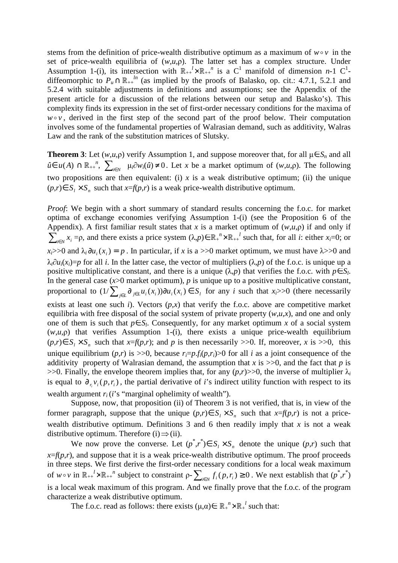stems from the definition of price-wealth distributive optimum as a maximum of  $w \circ v$  in the set of price-wealth equilibria of  $(w, u, \rho)$ . The latter set has a complex structure. Under Assumption 1-(i), its intersection with  $\mathbb{R}_{++}^l \times \mathbb{R}_{++}^n$  is a C<sup>1</sup> manifold of dimension *n*-1 C<sup>1</sup>diffeomorphic to  $P_u \cap \mathbb{R}_{++}^{h}$  (as implied by the proofs of Balasko, op. cit.: 4.7.1, 5.2.1 and 5.2.4 with suitable adjustments in definitions and assumptions; see the Appendix of the present article for a discussion of the relations between our setup and Balasko's). This complexity finds its expression in the set of first-order necessary conditions for the maxima of  $w \circ v$ , derived in the first step of the second part of the proof below. Their computation involves some of the fundamental properties of Walrasian demand, such as additivity, Walras Law and the rank of the substitution matrices of Slutsky.

**Theorem 3**: Let  $(w, u, \rho)$  verify Assumption 1, and suppose moreover that, for all  $\mu \in S_n$  and all  $\hat{u} \in u(A)$  ∩  $\mathbb{R}_{++}^n$ ,  $\sum_{i \in N} \mu_i \partial w_i(\hat{u}) \neq 0$ . Let *x* be a market optimum of  $(w, u, \rho)$ . The following two propositions are then equivalent: (i)  $x$  is a weak distributive optimum; (ii) the unique  $(p,r) \in S_i \times S_n$  such that  $x=f(p,r)$  is a weak price-wealth distributive optimum.

*Proof*: We begin with a short summary of standard results concerning the f.o.c. for market optima of exchange economies verifying Assumption 1-(i) (see the Proposition 6 of the Appendix). A first familiar result states that *x* is a market optimum of  $(w, u, \rho)$  if and only if  $\sum_{i \in N} x_i = \rho$ , and there exists a price system  $(\lambda, p) \in \mathbb{R}^n + \times \mathbb{R}^n + \int$  such that, for all *i*: either *x<sub>i</sub>*=0; or  $x_i$  >>0 and  $\lambda_i$   $\partial u_i$  ( $x_i$ ) = p. In particular, if x is a >>0 market optimum, we must have  $\lambda$ >>0 and  $\lambda_i \partial u_i(x_i) = p$  for all *i*. In the latter case, the vector of multipliers ( $\lambda_i p$ ) of the f.o.c. is unique up a positive multiplicative constant, and there is a unique  $(\lambda, p)$  that verifies the f.o.c. with  $p \in S_l$ . In the general case  $(x>0$  market optimum),  $p$  is unique up to a positive multiplicative constant, proportional to  $(1/\sum_{j\in L}\partial_{i\in L}u_i(x_i))\partial u_i(x_i) \in S_i$  for any i such that  $x_i>>0$  (there necessarily exists at least one such *i*). Vectors  $(p,x)$  that verify the f.o.c. above are competitive market equilibria with free disposal of the social system of private property  $(w, u, x)$ , and one and only one of them is such that  $p \in S_l$ . Consequently, for any market optimum *x* of a social system  $(w, u, \rho)$  that verifies Assumption 1-(i), there exists a unique price-wealth equilibrium  $(p,r) \in S_1 \times S_n$  such that  $x=f(p,r)$ ; and *p* is then necessarily >>0. If, moreover, *x* is >>0, this unique equilibrium  $(p,r)$  is  $\gg$ 0, because  $r_i = p_f f_i(p,r_i) > 0$  for all *i* as a joint consequence of the additivity property of Walrasian demand, the assumption that  $x$  is  $>>0$ , and the fact that  $p$  is  $>>0$ . Finally, the envelope theorem implies that, for any  $(p,r)>>0$ , the inverse of multiplier  $\lambda_i$ is equal to  $\partial_{r_i} v_i(p, r_i)$ , the partial derivative of *i*'s indirect utility function with respect to its wealth argument  $r_i$  (*i*'s "marginal ophelimity of wealth").

 Suppose, now, that proposition (ii) of Theorem 3 is not verified, that is, in view of the former paragraph, suppose that the unique  $(p,r) \in S_1 \times S_n$  such that  $x = f(p,r)$  is not a pricewealth distributive optimum. Definitions 3 and 6 then readily imply that  $x$  is not a weak distributive optimum. Therefore (i)  $\Rightarrow$  (ii).

We now prove the converse. Let  $(p^*, r^*) \in S_1 \times S_n$  denote the unique  $(p,r)$  such that  $x=f(p,r)$ , and suppose that it is a weak price-wealth distributive optimum. The proof proceeds in three steps. We first derive the first-order necessary conditions for a local weak maximum of  $w \circ v$  in  $\mathbb{R}_{++}^l \times \mathbb{R}_{++}^n$  subject to constraint  $\rho$ - $\sum_{i \in N} f_i(p, r_i) \ge 0$ . We next establish that  $(p^*, r^*)$ is a local weak maximum of this program. And we finally prove that the f.o.c. of the program characterize a weak distributive optimum.

The f.o.c. read as follows: there exists  $(\mu, \alpha) \in \mathbb{R}^n + \times \mathbb{R}^1$  such that: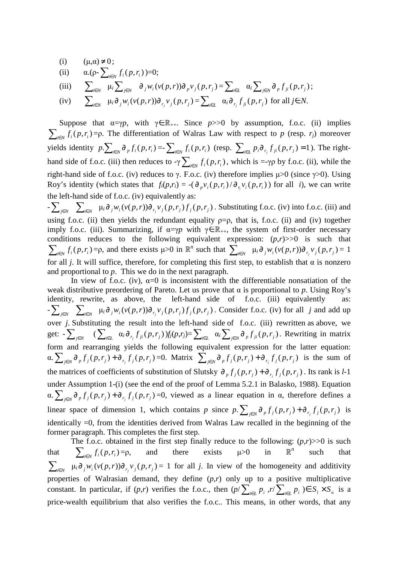(i)  $(\mu, \alpha) \neq 0$ ;

(ii) 
$$
\alpha \cdot (\rho - \sum_{i \in N} f_i(p, r_i)) = 0;
$$

(iii) 
$$
\sum_{i\in N} \mu_i \sum_{j\in N} \partial_j w_i(v(p,r)) \partial_p v_j(p,r_j) = \sum_{i\in L} \alpha_i \sum_{j\in N} \partial_p f_{ji}(p,r_j);
$$

(iv)  $\sum_{i\in N} \mu_i \partial_j w_i(v(p,r)) \partial_{r_j} v_j(p,r_j) = \sum_{i\in L} \alpha_i \partial_{r_j} f_{ji}(p,r_j)$  for all  $j \in N$ .

Suppose that  $\alpha = \gamma p$ , with  $\gamma \in \mathbb{R}_{++}$ . Since  $p>>0$  by assumption, f.o.c. (ii) implies  $\sum_{i \in N} f_i(p, r_i) = p$ . The differentiation of Walras Law with respect to *p* (resp. *r<sub>j</sub>*) moreover yields identity  $p.\sum_{i\in N} \partial_p f_i(p,r_i) = \sum_{i\in N} f_i(p,r_i)$  (resp.  $\sum_{i\in L} p_i \partial_{r_i} f_{ji}(p,r_i) = 1$ ). The righthand side of f.o.c. (iii) then reduces to  $-\gamma \sum_{i \in N} f_i(p, r_i)$ , which is  $=\gamma \rho$  by f.o.c. (ii), while the right-hand side of f.o.c. (iv) reduces to γ. F.o.c. (iv) therefore implies  $\mu$  > 0 (since γ > 0). Using Roy's identity (which states that  $f_i(p,r_i) = -(\partial_p v_i(p,r_i)/\partial_{r_i} v_i(p,r_i))$  for all *i*), we can write the left-hand side of f.o.c. (iv) equivalently as:

 $-\sum_{j\in N}\sum_{i\in N}\mu_i\partial_j w_i(v(p,r))\partial_{r_j}v_j(p,r_j)f_j(p,r_j)$ . Substituting f.o.c. (iv) into f.o.c. (iii) and using f.o.c. (ii) then yields the redundant equality  $p=p$ , that is, f.o.c. (ii) and (iv) together imply f.o.c. (iii). Summarizing, if  $\alpha = \gamma p$  with  $\gamma \in \mathbb{R}_{++}$ , the system of first-order necessary conditions reduces to the following equivalent expression:  $(p,r)$ >>0 is such that  $\sum_{i\in N} f_i(p,r_i) = \rho$ , and there exists  $\mu > 0$  in  $\mathbb{R}^n$  such that  $\sum_{i\in N} \mu_i \partial_j w_i(v(p,r)) \partial_{r_j} v_j(p,r_j) = 1$ for all *j*. It will suffice, therefore, for completing this first step, to establish that  $\alpha$  is nonzero and proportional to *p*. This we do in the next paragraph.

In view of f.o.c. (iv),  $\alpha=0$  is inconsistent with the differentiable nonsatiation of the weak distributive preordering of Pareto. Let us prove that α is proportional to *p*. Using Roy's identity, rewrite, as above, the left-hand side of f.o.c. (iii) equivalently as:  $-\sum_{j\in N} \sum_{i\in N} \mu_i \partial_j w_i(v(p,r)) \partial_{r_j} v_j(p,r_j) f_j(p,r_j)$ . Consider f.o.c. (iv) for all j and add up over *j*. Substituting the result into the left-hand side of f.o.c. (iii) rewritten as above, we get:  $-\sum_{j\in N}$   $(\sum_{i\in L} \alpha_i \partial_{r_j} f_{ji}(p,r_j)) f_j(p,r_j) = \sum_{i\in L} \alpha_i \sum_{j\in N} \partial_{p} f_{ji}(p,r_j)$ . Rewriting in matrix form and rearranging yields the following equivalent expression for the latter equation:  $\alpha. \sum_{j \in N} \partial_p f_j(p, r_j) + \partial_{r_j} f_j(p, r_j) = 0.$  Matrix  $\sum_{j \in N} \partial_p f_j(p, r_j) + \partial_{r_j} f_j(p, r_j)$  is the sum of the matrices of coefficients of substitution of Slutsky  $\partial_p f_j(p, r_j) + \partial_{r_j} f_j(p, r_j)$ . Its rank is *l*-1 under Assumption 1-(i) (see the end of the proof of Lemma 5.2.1 in Balasko, 1988). Equation  $\alpha. \sum_{j \in N} \partial_p f_j(p, r_j) + \partial_{r_j} f_j(p, r_j) = 0$ , viewed as a linear equation in  $\alpha$ , therefore defines a linear space of dimension 1, which contains p since  $p \sum_{j \in N} \partial_p f_j(p, r_j) + \partial_{r_j} f_j(p, r_j)$  is identically =0, from the identities derived from Walras Law recalled in the beginning of the former paragraph. This completes the first step.

The f.o.c. obtained in the first step finally reduce to the following:  $(p,r)$ >>0 is such that  $\sum_{i \in N} f_i(p, r_i)$  $=$ ρ, and there exists  $\mu > 0$  in  $\mathbb R$  $\mathbb{R}^n$ such that  $\sum_{i\in N} \mu_i \partial_j w_i (v(p,r)) \partial_{r_j} v_j (p,r_j) = 1$  for all j. In view of the homogeneity and additivity properties of Walrasian demand, they define (*p*,*r*) only up to a positive multiplicative constant. In particular, if  $(p,r)$  verifies the f.o.c., then  $(p/\sum_{i\in L} p_i, r/\sum_{i\in L} p_i) \in S_i \times S_n$  is a price-wealth equilibrium that also verifies the f.o.c.. This means, in other words, that any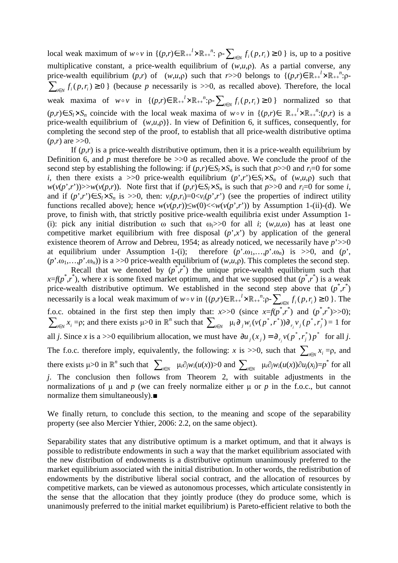local weak maximum of  $w \circ v$  in  $\{(p,r) \in \mathbb{R}_{++}^{l} \times \mathbb{R}_{++}^{n} : p - \sum_{i \in N} f_i(p,r_i) \ge 0\}$  is, up to a positive multiplicative constant, a price-wealth equilibrium of (*w*,*u*,ρ). As a partial converse, any price-wealth equilibrium  $(p,r)$  of  $(w,u,p)$  such that  $r>>0$  belongs to  $\{(p,r)\in\mathbb{R}_{++}^{l} \times \mathbb{R}_{++}^{n} : p-1\}$  $\sum_{i \in N} f_i(p, r_i) \ge 0$  } (because *p* necessarily is >>0, as recalled above). Therefore, the local weak maxima of  $w \circ v$  in  $\{(p,r) \in \mathbb{R}_{++}^{l} \times \mathbb{R}_{++}^{n} : p - \sum_{i \in N} f_i(p,r_i) \ge 0\}$  normalized so that  $(p,r) \in S_l \times S_n$  coincide with the local weak maxima of *w*∘*v* in  $\{(p,r) \in \mathbb{R}_{++}^l \times \mathbb{R}_{++}^n : (p,r) \text{ is a } \}$ price-wealth equilibrium of  $(w,u,p)$ . In view of Definition 6, it suffices, consequently, for completing the second step of the proof, to establish that all price-wealth distributive optima  $(p,r)$  are  $>>0$ .

If  $(p,r)$  is a price-wealth distributive optimum, then it is a price-wealth equilibrium by Definition 6, and  $p$  must therefore be  $>>0$  as recalled above. We conclude the proof of the second step by establishing the following: if  $(p,r) \in S_l \times S_n$  is such that  $p \geq 0$  and  $r_i = 0$  for some *i*, then there exists a >>0 price-wealth equilibrium  $(p', r') \in S_l \times S_n$  of  $(w, u, \rho)$  such that  $w(v(p', r'))$ >> $w(v(p, r))$ . Note first that if  $(p, r) \in S_l \times S_n$  is such that  $p > 0$  and  $r_i = 0$  for some *i*, and if  $(p', r') \in S_i \times S_n$  is >>0, then:  $v_i(p, r_i) = 0 \langle v_i(p', r') \rangle$  (see the properties of indirect utility functions recalled above); hence  $w(v(p,r)) \leq w(0) \lt w(v(p',r'))$  by Assumption 1-(ii)-(d). We prove, to finish with, that strictly positive price-wealth equilibria exist under Assumption 1- (i): pick any initial distribution  $\omega$  such that  $\omega_i$ >>0 for all *i*; (*w*,*u*, $\omega$ ) has at least one competitive market equilibrium with free disposal  $(p^{\prime},x^{\prime})$  by application of the general existence theorem of Arrow and Debreu, 1954; as already noticed, we necessarily have *p*'>>0 at equilibrium under Assumption 1-(i); therefore  $(p^{\prime}. \omega_1,...,p^{\prime}. \omega_n)$  is  $>>0$ , and  $(p^{\prime},$  $(p^{\prime} \cdot \omega_1, \ldots, p^{\prime} \cdot \omega_n)$  is a >>0 price-wealth equilibrium of  $(w, u, \rho)$ . This completes the second step.

Recall that we denoted by  $(p^*, r^*)$  the unique price-wealth equilibrium such that  $x=f(p^*,r^*)$ , where *x* is some fixed market optimum, and that we supposed that  $(p^*,r^*)$  is a weak price-wealth distributive optimum. We established in the second step above that  $(p^*, r^*)$ necessarily is a local weak maximum of  $w \circ v$  in  $\{(p,r) \in \mathbb{R}_{++}^l \times \mathbb{R}_{++}^n : p - \sum_{i \in N} f_i(p,r_i) \ge 0 \}$ . The f.o.c. obtained in the first step then imply that:  $x>>0$  (since  $x=f(p^*,r^*)$  and  $(p^*,r^*)>>0$ );  $\sum_{i\in N} x_i = \rho$ ; and there exists  $\mu > 0$  in  $\mathbb{R}^n$  such that  $\sum_{i\in N} \mu_i \partial_j w_i (v(p^*, r^*)) \partial_{r_j} v_j (p^*, r_j^*) = 1$  for all *j*. Since *x* is a >>0 equilibrium allocation, we must have  $\partial u_j(x_j) = \partial_{r_j} v(p^*, r_j^*) p^*$  for all *j*. The f.o.c. therefore imply, equivalently, the following: *x* is >>0, such that  $\sum_{i \in N} x_i = \rho$ , and there exists  $\mu > 0$  in  $\mathbb{R}^n$  such that  $\sum_{i \in N} \mu_i \partial_j w_i(u(x)) > 0$  and  $\sum_{i \in N} \mu_i \partial_j w_i(u(x)) \partial u_j(x) = p^*$  for all *j*. The conclusion then follows from Theorem 2, with suitable adjustments in the normalizations of  $\mu$  and  $p$  (we can freely normalize either  $\mu$  or  $p$  in the f.o.c., but cannot normalize them simultaneously).■

We finally return, to conclude this section, to the meaning and scope of the separability property (see also Mercier Ythier, 2006: 2.2, on the same object).

Separability states that any distributive optimum is a market optimum, and that it always is possible to redistribute endowments in such a way that the market equilibrium associated with the new distribution of endowments is a distributive optimum unanimously preferred to the market equilibrium associated with the initial distribution. In other words, the redistribution of endowments by the distributive liberal social contract, and the allocation of resources by competitive markets, can be viewed as autonomous processes, which articulate consistently in the sense that the allocation that they jointly produce (they do produce some, which is unanimously preferred to the initial market equilibrium) is Pareto-efficient relative to both the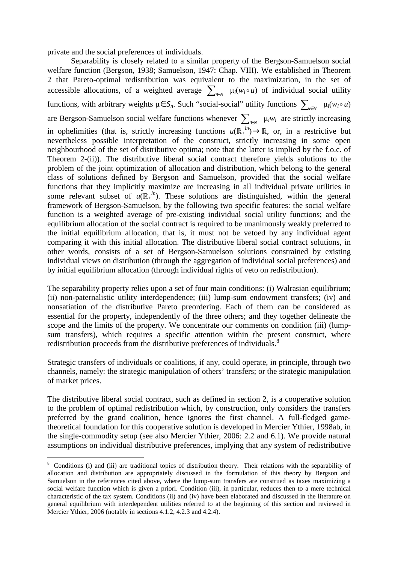private and the social preferences of individuals.

 Separability is closely related to a similar property of the Bergson-Samuelson social welfare function (Bergson, 1938; Samuelson, 1947: Chap. VIII). We established in Theorem 2 that Pareto-optimal redistribution was equivalent to the maximization, in the set of accessible allocations, of a weighted average  $\sum_{i \in N} \mu_i(w_i \circ u)$  of individual social utility functions, with arbitrary weights  $\mu \in S_n$ . Such "social-social" utility functions  $\sum_{i \in N} \mu_i(w_i \circ u)$ are Bergson-Samuelson social welfare functions whenever  $\sum_{i \in N} \mu_i w_i$  are strictly increasing in ophelimities (that is, strictly increasing functions  $u(\mathbb{R}^{\mu}_{+}) \to \mathbb{R}$ , or, in a restrictive but nevertheless possible interpretation of the construct, strictly increasing in some open neighbourhood of the set of distributive optima; note that the latter is implied by the f.o.c. of Theorem 2-(ii)). The distributive liberal social contract therefore yields solutions to the problem of the joint optimization of allocation and distribution, which belong to the general class of solutions defined by Bergson and Samuelson, provided that the social welfare functions that they implicitly maximize are increasing in all individual private utilities in some relevant subset of  $u(\mathbb{R}^{\mu})$ . These solutions are distinguished, within the general framework of Bergson-Samuelson, by the following two specific features: the social welfare function is a weighted average of pre-existing individual social utility functions; and the equilibrium allocation of the social contract is required to be unanimously weakly preferred to the initial equilibrium allocation, that is, it must not be vetoed by any individual agent comparing it with this initial allocation. The distributive liberal social contract solutions, in other words, consists of a set of Bergson-Samuelson solutions constrained by existing individual views on distribution (through the aggregation of individual social preferences) and by initial equilibrium allocation (through individual rights of veto on redistribution).

The separability property relies upon a set of four main conditions: (i) Walrasian equilibrium; (ii) non-paternalistic utility interdependence; (iii) lump-sum endowment transfers; (iv) and nonsatiation of the distributive Pareto preordering. Each of them can be considered as essential for the property, independently of the three others; and they together delineate the scope and the limits of the property. We concentrate our comments on condition (iii) (lumpsum transfers), which requires a specific attention within the present construct, where redistribution proceeds from the distributive preferences of individuals.<sup>8</sup>

Strategic transfers of individuals or coalitions, if any, could operate, in principle, through two channels, namely: the strategic manipulation of others' transfers; or the strategic manipulation of market prices.

The distributive liberal social contract, such as defined in section 2, is a cooperative solution to the problem of optimal redistribution which, by construction, only considers the transfers preferred by the grand coalition, hence ignores the first channel. A full-fledged gametheoretical foundation for this cooperative solution is developed in Mercier Ythier, 1998ab, in the single-commodity setup (see also Mercier Ythier, 2006: 2.2 and 6.1). We provide natural assumptions on individual distributive preferences, implying that any system of redistributive

<sup>&</sup>lt;sup>8</sup> Conditions (i) and (iii) are traditional topics of distribution theory. Their relations with the separability of allocation and distribution are appropriately discussed in the formulation of this theory by Bergson and Samuelson in the references cited above, where the lump-sum transfers are construed as taxes maximizing a social welfare function which is given a priori. Condition (iii), in particular, reduces then to a mere technical characteristic of the tax system. Conditions (ii) and (iv) have been elaborated and discussed in the literature on general equilibrium with interdependent utilities referred to at the beginning of this section and reviewed in Mercier Ythier, 2006 (notably in sections 4.1.2, 4.2.3 and 4.2.4).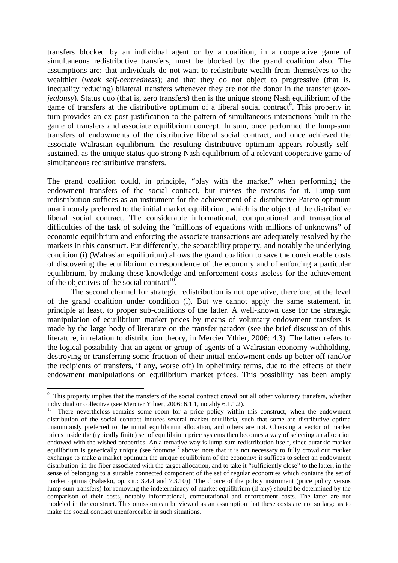transfers blocked by an individual agent or by a coalition, in a cooperative game of simultaneous redistributive transfers, must be blocked by the grand coalition also. The assumptions are: that individuals do not want to redistribute wealth from themselves to the wealthier (*weak self-centredness*); and that they do not object to progressive (that is, inequality reducing) bilateral transfers whenever they are not the donor in the transfer (*nonjealousy*). Status quo (that is, zero transfers) then is the unique strong Nash equilibrium of the game of transfers at the distributive optimum of a liberal social contract<sup>9</sup>. This property in turn provides an ex post justification to the pattern of simultaneous interactions built in the game of transfers and associate equilibrium concept. In sum, once performed the lump-sum transfers of endowments of the distributive liberal social contract, and once achieved the associate Walrasian equilibrium, the resulting distributive optimum appears robustly selfsustained, as the unique status quo strong Nash equilibrium of a relevant cooperative game of simultaneous redistributive transfers.

The grand coalition could, in principle, "play with the market" when performing the endowment transfers of the social contract, but misses the reasons for it. Lump-sum redistribution suffices as an instrument for the achievement of a distributive Pareto optimum unanimously preferred to the initial market equilibrium, which is the object of the distributive liberal social contract. The considerable informational, computational and transactional difficulties of the task of solving the "millions of equations with millions of unknowns" of economic equilibrium and enforcing the associate transactions are adequately resolved by the markets in this construct. Put differently, the separability property, and notably the underlying condition (i) (Walrasian equilibrium) allows the grand coalition to save the considerable costs of discovering the equilibrium correspondence of the economy and of enforcing a particular equilibrium, by making these knowledge and enforcement costs useless for the achievement of the objectives of the social contract<sup>10</sup>.

The second channel for strategic redistribution is not operative, therefore, at the level of the grand coalition under condition (i). But we cannot apply the same statement, in principle at least, to proper sub-coalitions of the latter. A well-known case for the strategic manipulation of equilibrium market prices by means of voluntary endowment transfers is made by the large body of literature on the transfer paradox (see the brief discussion of this literature, in relation to distribution theory, in Mercier Ythier, 2006: 4.3). The latter refers to the logical possibility that an agent or group of agents of a Walrasian economy withholding, destroying or transferring some fraction of their initial endowment ends up better off (and/or the recipients of transfers, if any, worse off) in ophelimity terms, due to the effects of their endowment manipulations on equilibrium market prices. This possibility has been amply

<sup>&</sup>lt;sup>9</sup> This property implies that the transfers of the social contract crowd out all other voluntary transfers, whether individual or collective (see Mercier Ythier, 2006: 6.1.1, notably 6.1.1.2).

<sup>&</sup>lt;sup>10</sup> There nevertheless remains some room for a price policy within this construct, when the endowment distribution of the social contract induces several market equilibria, such that some are distributive optima unanimously preferred to the initial equilibrium allocation, and others are not. Choosing a vector of market prices inside the (typically finite) set of equilibrium price systems then becomes a way of selecting an allocation endowed with the wished properties. An alternative way is lump-sum redistribution itself, since autarkic market equilibrium is generically unique (see footnote  $\frac{7}{1}$  above; note that it is not necessary to fully crowd out market exchange to make a market optimum the unique equilibrium of the economy: it suffices to select an endowment distribution in the fiber associated with the target allocation, and to take it "sufficiently close" to the latter, in the sense of belonging to a suitable connected component of the set of regular economies which contains the set of market optima (Balasko, op. cit.: 3.4.4 and 7.3.10)). The choice of the policy instrument (price policy versus lump-sum transfers) for removing the indeterminacy of market equilibrium (if any) should be determined by the comparison of their costs, notably informational, computational and enforcement costs. The latter are not modeled in the construct. This omission can be viewed as an assumption that these costs are not so large as to make the social contract unenforceable in such situations.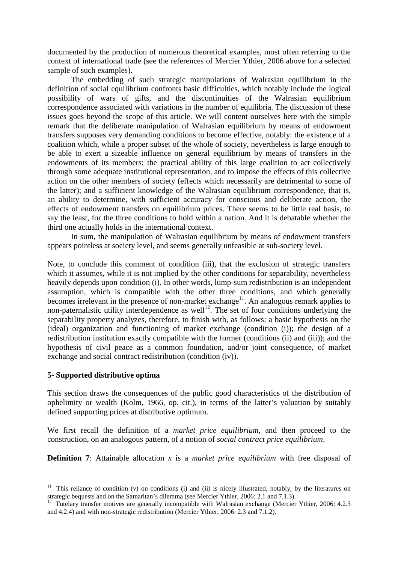documented by the production of numerous theoretical examples, most often referring to the context of international trade (see the references of Mercier Ythier, 2006 above for a selected sample of such examples).

 The embedding of such strategic manipulations of Walrasian equilibrium in the definition of social equilibrium confronts basic difficulties, which notably include the logical possibility of wars of gifts, and the discontinuities of the Walrasian equilibrium correspondence associated with variations in the number of equilibria. The discussion of these issues goes beyond the scope of this article. We will content ourselves here with the simple remark that the deliberate manipulation of Walrasian equilibrium by means of endowment transfers supposes very demanding conditions to become effective, notably: the existence of a coalition which, while a proper subset of the whole of society, nevertheless is large enough to be able to exert a sizeable influence on general equilibrium by means of transfers in the endowments of its members; the practical ability of this large coalition to act collectively through some adequate institutional representation, and to impose the effects of this collective action on the other members of society (effects which necessarily are detrimental to some of the latter); and a sufficient knowledge of the Walrasian equilibrium correspondence, that is, an ability to determine, with sufficient accuracy for conscious and deliberate action, the effects of endowment transfers on equilibrium prices. There seems to be little real basis, to say the least, for the three conditions to hold within a nation. And it is debatable whether the third one actually holds in the international context.

 In sum, the manipulation of Walrasian equilibrium by means of endowment transfers appears pointless at society level, and seems generally unfeasible at sub-society level.

Note, to conclude this comment of condition (iii), that the exclusion of strategic transfers which it assumes, while it is not implied by the other conditions for separability, nevertheless heavily depends upon condition (i). In other words, lump-sum redistribution is an independent assumption, which is compatible with the other three conditions, and which generally becomes irrelevant in the presence of non-market exchange<sup>11</sup>. An analogous remark applies to non-paternalistic utility interdependence as well<sup>12</sup>. The set of four conditions underlying the separability property analyzes, therefore, to finish with, as follows: a basic hypothesis on the (ideal) organization and functioning of market exchange (condition (i)); the design of a redistribution institution exactly compatible with the former (conditions (ii) and (iii)); and the hypothesis of civil peace as a common foundation, and/or joint consequence, of market exchange and social contract redistribution (condition (iv)).

#### **5- Supported distributive optima**

 $\overline{a}$ 

This section draws the consequences of the public good characteristics of the distribution of ophelimity or wealth (Kolm, 1966, op. cit.), in terms of the latter's valuation by suitably defined supporting prices at distributive optimum.

We first recall the definition of a *market price equilibrium*, and then proceed to the construction, on an analogous pattern, of a notion of *social contract price equilibrium*.

**Definition 7:** Attainable allocation *x* is a *market price equilibrium* with free disposal of

<sup>&</sup>lt;sup>11</sup> This reliance of condition (v) on conditions (i) and (ii) is nicely illustrated, notably, by the literatures on strategic bequests and on the Samaritan's dilemma (see Mercier Ythier, 2006: 2.1 and 7.1.3).

<sup>&</sup>lt;sup>12</sup> Tutelary transfer motives are generally incompatible with Walrasian exchange (Mercier Ythier, 2006: 4.2.3) and 4.2.4) and with non-strategic redistribution (Mercier Ythier, 2006: 2.3 and 7.1.2).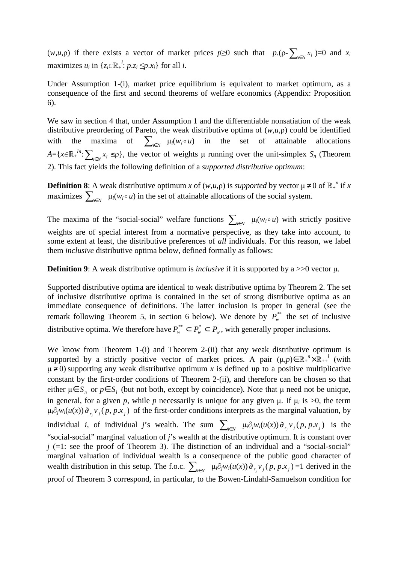(*w*,*u*,*p*) if there exists a vector of market prices  $p \ge 0$  such that  $p \cdot (p - \sum_{i \in N} x_i) = 0$  and  $x_i$ maximizes  $u_i$  in  $\{z_i \in \mathbb{R}^l : p.z_i \leq p.x_i\}$  for all *i*.

Under Assumption 1-(i), market price equilibrium is equivalent to market optimum, as a consequence of the first and second theorems of welfare economics (Appendix: Proposition 6).

We saw in section 4 that, under Assumption 1 and the differentiable nonsatiation of the weak distributive preordering of Pareto, the weak distributive optima of (*w*,*u*,ρ) could be identified with the maxima of  $\sum_{i \in N} \mu_i(w_i \circ u)$  in the set of attainable allocations  $A = \{x \in \mathbb{R}^{\mu} : \sum_{i \in N} x_i \leq \rho\}$ , the vector of weights  $\mu$  running over the unit-simplex  $S_n$  (Theorem 2). This fact yields the following definition of a *supported distributive optimum*:

**Definition 8**: A weak distributive optimum *x* of  $(w, u, \rho)$  is *supported* by vector  $\mu \neq 0$  of  $\mathbb{R}^n$  if *x* maximizes  $\sum_{i \in N} \mu_i(w_i \circ u)$  in the set of attainable allocations of the social system.

The maxima of the "social-social" welfare functions  $\sum_{i \in N} \mu_i(w_i \circ u)$  with strictly positive weights are of special interest from a normative perspective, as they take into account, to some extent at least, the distributive preferences of *all* individuals. For this reason, we label them *inclusive* distributive optima below, defined formally as follows:

**Definition 9:** A weak distributive optimum is *inclusive* if it is supported by a  $>>0$  vector  $\mu$ .

Supported distributive optima are identical to weak distributive optima by Theorem 2. The set of inclusive distributive optima is contained in the set of strong distributive optima as an immediate consequence of definitions. The latter inclusion is proper in general (see the remark following Theorem 5, in section 6 below). We denote by  $P_{w}^{**}$  the set of inclusive distributive optima. We therefore have  $P_w^* \subset P_w^* \subset P_w$ , with generally proper inclusions.

We know from Theorem 1-(i) and Theorem 2-(ii) that any weak distributive optimum is supported by a strictly positive vector of market prices. A pair  $(\mu, p) \in \mathbb{R}^n + \times \mathbb{R}^n + \mu$  (with  $\mu \neq 0$ ) supporting any weak distributive optimum *x* is defined up to a positive multiplicative constant by the first-order conditions of Theorem 2-(ii), and therefore can be chosen so that either  $\mu \in S_n$  or  $p \in S_i$  (but not both, except by coincidence). Note that  $\mu$  need not be unique, in general, for a given p, while p necessarily is unique for any given  $\mu$ . If  $\mu_i$  is  $>0$ , the term  $\mu_i \partial_j w_i(u(x)) \partial_{r_j} v_j(p, p.x_j)$  of the first-order conditions interprets as the marginal valuation, by individual *i*, of individual *j*'s wealth. The sum  $\sum_{i \in N} \mu_i \partial_j w_i(u(x)) \partial_{r_j} v_j(p, p.x_j)$  is the "social-social" marginal valuation of *j*'s wealth at the distributive optimum. It is constant over  $j$   $(=1:$  see the proof of Theorem 3). The distinction of an individual and a "social-social" marginal valuation of individual wealth is a consequence of the public good character of wealth distribution in this setup. The f.o.c.  $\sum_{i \in N} \mu_i \partial_j w_i(u(x)) \partial_{r_j} v_j(p, p.x_j) = 1$  derived in the proof of Theorem 3 correspond, in particular, to the Bowen-Lindahl-Samuelson condition for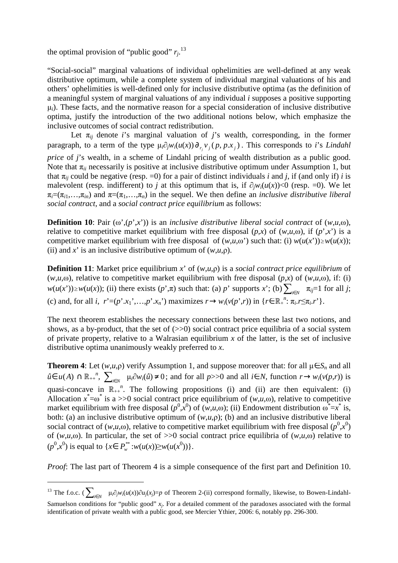the optimal provision of "public good"  $r_j$ <sup>13</sup>

"Social-social" marginal valuations of individual ophelimities are well-defined at any weak distributive optimum, while a complete system of individual marginal valuations of his and others' ophelimities is well-defined only for inclusive distributive optima (as the definition of a meaningful system of marginal valuations of any individual *i* supposes a positive supporting  $\mu_i$ ). These facts, and the normative reason for a special consideration of inclusive distributive optima, justify the introduction of the two additional notions below, which emphasize the inclusive outcomes of social contract redistribution.

Let  $\pi_{ij}$  denote *i*'s marginal valuation of *j*'s wealth, corresponding, in the former paragraph, to a term of the type  $\mu_i \partial_j w_i(u(x)) \partial_{r_j} v_j(p, p.x_j)$ . This corresponds to *i*'s *Lindahl price* of *j*'s wealth, in a scheme of Lindahl pricing of wealth distribution as a public good. Note that  $\pi_{ii}$  necessarily is positive at inclusive distributive optimum under Assumption 1, but that  $\pi_{ii}$  could be negative (resp. =0) for a pair of distinct individuals *i* and *j*, if (and only if) *i* is malevolent (resp. indifferent) to *j* at this optimum that is, if  $\partial_i w_i(u(x)) < 0$  (resp. =0). We let

 $\pi_i = (\pi_{i1}, \ldots, \pi_{in})$  and  $\pi = (\pi_1, \ldots, \pi_n)$  in the sequel. We then define an *inclusive distributive liberal* 

*social contract*, and a *social contract price equilibrium* as follows:

**Definition 10**: Pair  $(\omega', (p', x'))$  is an *inclusive distributive liberal social contract* of  $(w, u, \omega)$ , relative to competitive market equilibrium with free disposal  $(p,x)$  of  $(w,u,\omega)$ , if  $(p,x')$  is a competitive market equilibrium with free disposal of  $(w, u, \omega)$  such that: (i)  $w(u(x')) \geq w(u(x))$ ; (ii) and *x*' is an inclusive distributive optimum of  $(w, u, \rho)$ .

**Definition 11**: Market price equilibrium *x*' of (*w*,*u*,ρ) is a *social contract price equilibrium* of (*w*,*u*, $\omega$ ), relative to competitive market equilibrium with free disposal (*p*,*x*) of (*w*,*u*, $\omega$ ), if: (i)  $w(u(x'))\geq w(u(x))$ ; (ii) there exists  $(p', \pi)$  such that: (a) *p*' supports *x*'; (b)  $\sum_{i\in N}$   $\pi_{ij}=1$  for all *j*; (c) and, for all i,  $r'=(p' \cdot x_1',...,p' \cdot x_n')$  maximizes  $r \to w_i(v(p',r))$  in  $\{r \in \mathbb{R}_+^n : \pi_i.r \leq \pi_i.r'\}$ .

The next theorem establishes the necessary connections between these last two notions, and shows, as a by-product, that the set of  $(\gg 0)$  social contract price equilibria of a social system of private property, relative to a Walrasian equilibrium *x* of the latter, is the set of inclusive distributive optima unanimously weakly preferred to *x*.

**Theorem 4**: Let  $(w, u, \rho)$  verify Assumption 1, and suppose moreover that: for all  $\mu \in S_n$  and all  $\hat{u} \in u(A)$  ∩  $\mathbb{R}_{++}^n$ ,  $\sum_{i \in N} \mu_i \partial w_i(\hat{u}) \neq 0$ ; and for all *p*>>0 and all *i*∈ *N*, function  $r \rightarrow w_i(v(p,r))$  is quasi-concave in  $\mathbb{R}_{++}^n$ . The following propositions (i) and (ii) are then equivalent: (i) Allocation  $x^* = \omega^*$  is a >>0 social contract price equilibrium of ( $w, u, \omega$ ), relative to competitive market equilibrium with free disposal  $(p^0, x^0)$  of  $(w, u, \omega)$ ; (ii) Endowment distribution  $\omega^* = x^*$  is, both: (a) an inclusive distributive optimum of  $(w, u, \rho)$ ; (b) and an inclusive distributive liberal social contract of  $(w, u, \omega)$ , relative to competitive market equilibrium with free disposal  $(p^0, x^0)$ of  $(w,u,\omega)$ . In particular, the set of  $>>0$  social contract price equilibria of  $(w,u,\omega)$  relative to  $(p^{0},x^{0})$  is equal to { $x \in P_{w}^{**}: w(u(x)) \geq w(u(x^{0}))$  }.

*Proof*: The last part of Theorem 4 is a simple consequence of the first part and Definition 10.

<sup>&</sup>lt;sup>13</sup> The f.o.c. ( $\sum_{i\in N}$   $\mu_i \partial_j w_i(u(x))\partial u_j(x_j)=p$  of Theorem 2-(ii) correspond formally, likewise, to Bowen-Lindahl-

Samuelson conditions for "public good"  $x_j$ . For a detailed comment of the paradoxes associated with the formal identification of private wealth with a public good, see Mercier Ythier, 2006: 6, notably pp. 296-300.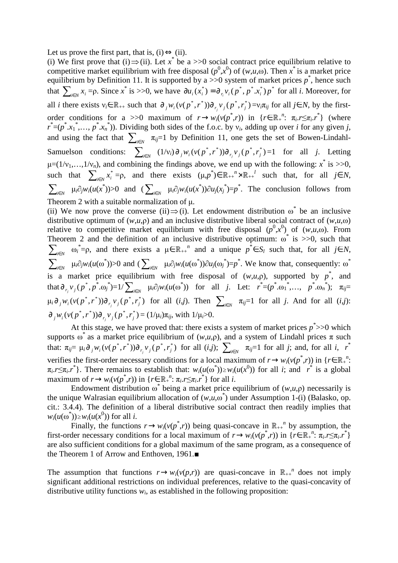Let us prove the first part, that is,  $(i) \Leftrightarrow (ii)$ .

(i) We first prove that (i)  $\Rightarrow$  (ii). Let *x*<sup>\*</sup> be a >>0 social contract price equilibrium relative to competitive market equilibrium with free disposal  $(p^0, x^0)$  of  $(w, u, \omega)$ . Then  $x^*$  is a market price equilibrium by Definition 11. It is supported by a  $\gg$  0 system of market prices  $p^*$ , hence such that  $\sum_{i \in N} x_i = \rho$ . Since  $x^*$  is >>0, we have  $\partial u_i(x_i^*) = \partial_{x_i} v_i(p^*, p^*, x_i^*) p^*$  for all *i*. Moreover, for all *i* there exists  $v_i \in \mathbb{R}_{++}$  such that  $\partial_j w_i (v(p^*, r^*)) \partial_{r_j} v_j (p^*, r_j^*) = v_i \pi_{ij}$  for all  $j \in N$ , by the firstorder conditions for a >>0 maximum of  $r \rightarrow w_i(v(p^*, r))$  in  $\{r \in \mathbb{R}_+^n: \pi_i.r \leq \pi_i.r^*\}$  (where  $r^* = (p^*.x_1^*...., p^*.x_n^*)$ ). Dividing both sides of the f.o.c. by  $v_i$ , adding up over *i* for any given *j*, and using the fact that  $\sum_{i \in N} \pi_{ij}=1$  by Definition 11, one gets the set of Bowen-Lindahl-Samuelson conditions:  $(1/v_i) \partial_j w_i (v (p^*, r^*)) \partial_{r_j} v_j (p^*, r_j^*) = 1$  for all *j*. Letting  $\mu=(1/v_1,...,1/v_n)$ , and combining the findings above, we end up with the following:  $x^*$  is  $>>0$ , such that  $\sum_{i \in N} x_i^* = \rho$ , and there exists  $(\mu, p^*) \in \mathbb{R}_{++}^n \times \mathbb{R}_{++}^l$  such that, for all  $j \in N$ ,  $\sum_{i\in N} \mu_i \partial_j w_i(u(x^*))>0$  and  $(\sum_{i\in N} \mu_i \partial_j w_i(u(x^*))\partial u_j(x^*)=p^*$ . The conclusion follows from Theorem 2 with a suitable normalization of u.

(ii) We now prove the converse (ii)  $\Rightarrow$  (i). Let endowment distribution  $\omega^*$  be an inclusive distributive optimum of  $(w,u,\rho)$  and an inclusive distributive liberal social contract of  $(w,u,\omega)$ relative to competitive market equilibrium with free disposal  $(p^0, x^0)$  of  $(w, u, \omega)$ . From Theorem 2 and the definition of an inclusive distributive optimum:  $\omega^*$  is  $\gg 0$ , such that  $\sum_{i \in N} \omega_i^* = \rho$ , and there exists a  $\mu \in \mathbb{R}_{++}^n$  and a unique  $p^* \in S_l$  such that, for all  $j \in N$ ,  $\sum_{i \in N}$   $\mu_i \partial_j w_i(u(\omega^*)) > 0$  and  $(\sum_{i \in N} \mu_i \partial_j w_i(u(\omega^*)) \partial u_j(\omega_j^*) = p^*$ . We know that, consequently:  $\omega^*$ is a market price equilibrium with free disposal of  $(w, u, \rho)$ , supported by  $p^*$ , and that  $\partial_{r_j} v_j (p^*, p^*, \omega_j^*) = 1/\sum_{i \in N} \mu_i \partial_j w_i (u(\omega^*))$  for all j. Let:  $r^* = (p^*, \omega_1^*, \dots, p^*, \omega_n^*)$ ;  $\pi_{ij} =$  $\mu_i \partial_j w_i (v(p^*, r^*)) \partial_{r_j} v_j (p^*, r_j^*)$  for all  $(i, j)$ . Then  $\sum_{i \in N} \pi_{ij} = 1$  for all j. And for all  $(i, j)$ :  $\partial_j w_i (v(p^*, r^*)) \partial_{r_j} v_j (p^*, r_j^*) = (1/\mu_i) \pi_{ij}$ , with  $1/\mu_i > 0$ .

At this stage, we have proved that: there exists a system of market prices  $p \rightarrow \infty$  which supports  $\omega^*$  as a market price equilibrium of  $(w,u,\rho)$ , and a system of Lindahl prices  $\pi$  such that:  $\pi_{ij} = \mu_i \partial_j w_i (v(p^*, r^*)) \partial_{r_j} v_j (p^*, r_j^*)$  for all  $(i,j)$ ;  $\sum_{i \in N} \pi_{ij} = 1$  for all j; and, for all i,  $r^*$ verifies the first-order necessary conditions for a local maximum of  $r \to w_i(v(p^*, r))$  in { $r \in \mathbb{R}^n$ <sup>n</sup>.  $\pi_i \to \pi_i$ , *r*<sup>\*</sup>). There remains to establish that:  $w_i(u(\omega^*)) \geq w_i(u(x^0))$  for all *i*; and *r*<sup>\*</sup> is a global maximum of  $r \to w_i(v(p^*, r))$  in  $\{r \in \mathbb{R}_+^n : \pi_i.r \leq \pi_i.r^*\}$  for all *i*.

Endowment distribution  $\omega^*$  being a market price equilibrium of  $(w, u, \rho)$  necessarily is the unique Walrasian equilibrium allocation of  $(w, u, \omega^*)$  under Assumption 1-(i) (Balasko, op. cit.: 3.4.4). The definition of a liberal distributive social contract then readily implies that  $w_i(u(\omega^*)) \geq w_i(u(x^0))$  for all *i*.

Finally, the functions  $r \to w_i(v(p^*, r))$  being quasi-concave in  $\mathbb{R}_{++}^n$  by assumption, the first-order necessary conditions for a local maximum of  $r \to w_i(v(p^*, r))$  in  $\{r \in \mathbb{R}_+^n : \pi_i.r \leq \pi_i.r^*\}$ are also sufficient conditions for a global maximum of the same program, as a consequence of the Theorem 1 of Arrow and Enthoven, 1961.■

The assumption that functions  $r \rightarrow w_i(v(p,r))$  are quasi-concave in  $\mathbb{R}_{++}^n$  does not imply significant additional restrictions on individual preferences, relative to the quasi-concavity of distributive utility functions  $w_i$ , as established in the following proposition: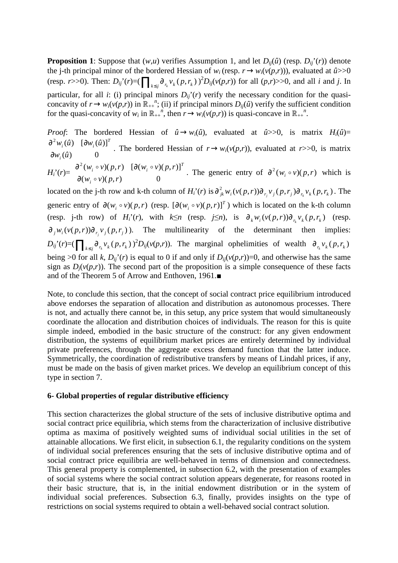**Proposition 1**: Suppose that  $(w,u)$  verifies Assumption 1, and let  $D_{ij}(\hat{u})$  (resp.  $D_{ij}(r)$ ) denote the j-th principal minor of the bordered Hessian of  $w_i$  (resp.  $r \rightarrow w_i(v(p,r))$ ), evaluated at  $\hat{u}$ >>0 (resp. r>>0). Then:  $D_{ij}^{\, \prime}(r) = (\prod_{k \leq j} \partial_{r_k} v_k(p, r_k))^{2} D_{ij}(v(p,r))$  for all  $(p,r)$ >>0, and all i and j. In particular, for all *i*: (i) principal minors  $D_{ij}$ '(*r*) verify the necessary condition for the quasiconcavity of  $r \to w_i(v(p,r))$  in  $\mathbb{R}_{++}^n$ ; (ii) if principal minors  $D_{ij}(\hat{u})$  verify the sufficient condition for the quasi-concavity of  $w_i$  in  $\mathbb{R}_{++}^n$ , then  $r \to w_i(v(p,r))$  is quasi-concave in  $\mathbb{R}_{++}^n$ .

*Proof*: The bordered Hessian of  $\hat{u} \rightarrow w_i(\hat{u})$ , evaluated at  $\hat{u} \gg 0$ , is matrix  $H_i(\hat{u}) =$  $(\hat{u})$  0  $^{2}w_{i}(\hat{u})$  [ $\partial w_{i}(\hat{u})$ ]  $w_i$  $(\hat{u})$  $w_i(\hat{u})$  [ $\partial w_i(\hat{u})$ *i T*  $i^{(u)}$   $\mathbf{L}^{ow}$ ∂  $\partial^2 w_i(\hat{u})$  [∂ . The bordered Hessian of  $r \rightarrow w_i(v(p,r))$ , evaluated at  $r \rightarrow 0$ , is matrix  $H_i^{\prime}(r) =$  $(w_i \circ v)(p, r)$  0  $\int^2 (w_i \circ v)(p, r) \quad [\partial(w_i \circ v)(p, r)]$  $w_i \circ v$ ) $(p, r)$  $w_i \circ v$  $(p,r)$   $\left[ \frac{\partial (w_i \circ v)}{\partial p,r} \right]$ *i T*  $\iota_i$ <sup> $\circ$ </sup>  $\nu \wedge P$ ,  $\iota$   $\iota$   $\iota$   $\iota$   $\iota$   $\iota$   $\iota$   $\iota$   $\iota$   $\iota$   $\iota$   $\iota$   $\iota$   $\iota$   $\iota$   $\iota$   $\iota$   $\iota$   $\iota$   $\iota$   $\iota$   $\iota$   $\iota$   $\iota$   $\iota$   $\iota$   $\iota$   $\iota$   $\iota$   $\iota$   $\iota$   $\iota$   $\iota$  o  $\circ v$ ) $(p,r)$   $\partial(w, \circ$ ∂  $\partial^2 (w_i \circ v)(p,r)$  [∂ The generic entry of  $\partial^2 (w_i \circ v)(p, r)$  which is located on the j-th row and k-th column of  $H_i^{\prime}(r)$  is  $\partial_{jk}^2 w_i(v(p,r))\partial_{r_j}v_j(p,r_j)\partial_{r_k}v_k(p,r_k)$ . The generic entry of  $\partial(w_i \circ v)(p, r)$  (resp.  $[\partial(w_i \circ v)(p, r)]^T$ ) which is located on the k-th column (resp. j-th row) of  $H_i^{\prime}(r)$ , with  $k \leq n$  (resp.  $j \leq n$ ), is  $\partial_k w_i(v(p,r)) \partial_{r_k} v_k(p,r_k)$  (resp.  $\partial_j w_i(v(p, r)) \partial_{r_j} v_j(p, r_j)$ . The multilinearity of the determinant then implies:  $D_{ij}(r)=(\prod_{k\leq j}\partial_{r_k}v_k(p,r_k))^2D_{ij}(v(p,r))$ . The marginal ophelimities of wealth  $\partial_{r_k}v_k(p,r_k)$ being >0 for all *k*,  $D_{ij}$ '(*r*) is equal to 0 if and only if  $D_{ij}(v(p,r))=0$ , and otherwise has the same sign as  $D_i(v(p,r))$ . The second part of the proposition is a simple consequence of these facts and of the Theorem 5 of Arrow and Enthoven, 1961.■

Note, to conclude this section, that the concept of social contract price equilibrium introduced above endorses the separation of allocation and distribution as autonomous processes. There is not, and actually there cannot be, in this setup, any price system that would simultaneously coordinate the allocation and distribution choices of individuals. The reason for this is quite simple indeed, embodied in the basic structure of the construct: for any given endowment distribution, the systems of equilibrium market prices are entirely determined by individual private preferences, through the aggregate excess demand function that the latter induce. Symmetrically, the coordination of redistributive transfers by means of Lindahl prices, if any, must be made on the basis of given market prices. We develop an equilibrium concept of this type in section 7.

#### **6- Global properties of regular distributive efficiency**

This section characterizes the global structure of the sets of inclusive distributive optima and social contract price equilibria, which stems from the characterization of inclusive distributive optima as maxima of positively weighted sums of individual social utilities in the set of attainable allocations. We first elicit, in subsection 6.1, the regularity conditions on the system of individual social preferences ensuring that the sets of inclusive distributive optima and of social contract price equilibria are well-behaved in terms of dimension and connectedness. This general property is complemented, in subsection 6.2, with the presentation of examples of social systems where the social contract solution appears degenerate, for reasons rooted in their basic structure, that is, in the initial endowment distribution or in the system of individual social preferences. Subsection 6.3, finally, provides insights on the type of restrictions on social systems required to obtain a well-behaved social contract solution.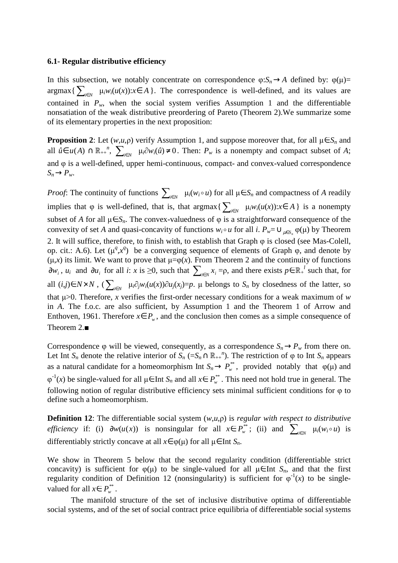#### **6.1- Regular distributive efficiency**

In this subsection, we notably concentrate on correspondence  $\varphi: S_n \to A$  defined by:  $\varphi(\mu)$ =  $\argmax\{\sum_{i\in N} \mu_i w_i(u(x)) : x \in A\}$ . The correspondence is well-defined, and its values are contained in  $P_w$ , when the social system verifies Assumption 1 and the differentiable nonsatiation of the weak distributive preordering of Pareto (Theorem 2).We summarize some of its elementary properties in the next proposition:

**Proposition 2**: Let  $(w, u, \rho)$  verify Assumption 1, and suppose moreover that, for all  $\mu \in S_n$  and all  $\hat{u} \in u(A) \cap \mathbb{R}_{++}^n$ ,  $\sum_{i \in N} \mu_i \partial w_i(\hat{u}) \neq 0$ . Then:  $P_w$  is a nonempty and compact subset of *A*; and φ is a well-defined, upper hemi-continuous, compact- and convex-valued correspondence  $S_n \rightarrow P_w$ .

*Proof*: The continuity of functions  $\sum_{i \in N} \mu_i(w_i \circ u)$  for all  $\mu \in S_n$  and compactness of *A* readily implies that  $\varphi$  is well-defined, that is, that argmax $\{\sum_{i\in N} \mu_i w_i(u(x)) : x \in A\}$  is a nonempty subset of *A* for all  $\mu \in S_n$ . The convex-valuedness of  $\varphi$  is a straightforward consequence of the convexity of set *A* and quasi-concavity of functions  $w_i \circ u$  for all *i*.  $P_w = \bigcup_{\mu \in S_n} \varphi(\mu)$  by Theorem 2. It will suffice, therefore, to finish with, to establish that Graph φ is closed (see Mas-Colell, op. cit.: A.6). Let  $(\mu^q, x^q)$  be a converging sequence of elements of Graph  $\varphi$ , and denote by  $(\mu, x)$  its limit. We want to prove that  $\mu = \varphi(x)$ . From Theorem 2 and the continuity of functions  $\partial w_i$ ,  $u_i$  and  $\partial u_i$  for all *i*: *x* is ≥0, such that  $\sum_{i \in N} x_i = \rho$ , and there exists  $p \in \mathbb{R}^l$  such that, for all  $(i,j) \in N \times N$ ,  $(\sum_{i \in N} \mu_i \partial_j w_i(u(x)) \partial u_j(x_j) = p$ . µ belongs to  $S_n$  by closedness of the latter, so that  $\mu > 0$ . Therefore, *x* verifies the first-order necessary conditions for a weak maximum of *w* in *A*. The f.o.c. are also sufficient, by Assumption 1 and the Theorem 1 of Arrow and Enthoven, 1961. Therefore  $x \in P_w$ , and the conclusion then comes as a simple consequence of Theorem 2.■

Correspondence  $\varphi$  will be viewed, consequently, as a correspondence  $S_n \to P_\nu$  from there on. Let Int  $S_n$  denote the relative interior of  $S_n$  (= $S_n \cap \mathbb{R}_{++}^n$ ). The restriction of  $\varphi$  to Int  $S_n$  appears as a natural candidate for a homeomorphism Int  $S_n \to P_w^{**}$ , provided notably that  $\varphi(\mu)$  and  $\varphi^{-1}(x)$  be single-valued for all  $\mu \in \text{Int } S_n$  and all  $x \in P^*_{w}$ . This need not hold true in general. The following notion of regular distributive efficiency sets minimal sufficient conditions for φ to define such a homeomorphism.

**Definition 12**: The differentiable social system (*w*,*u*,ρ) is *regular with respect to distributive efficiency* if: (i)  $\partial w(u(x))$  is nonsingular for all  $x \in P_w^{**}$ ; (ii) and  $\sum_{i \in N} \mu_i(w_i \circ u)$  is differentiably strictly concave at all  $x \in \varphi(\mu)$  for all  $\mu \in$  Int  $S_n$ .

We show in Theorem 5 below that the second regularity condition (differentiable strict concavity) is sufficient for  $\varphi(\mu)$  to be single-valued for all  $\mu \in$  Int  $S_n$ , and that the first regularity condition of Definition 12 (nonsingularity) is sufficient for  $\varphi^{-1}(x)$  to be singlevalued for all  $x \in P_{w}^{**}$ .

The manifold structure of the set of inclusive distributive optima of differentiable social systems, and of the set of social contract price equilibria of differentiable social systems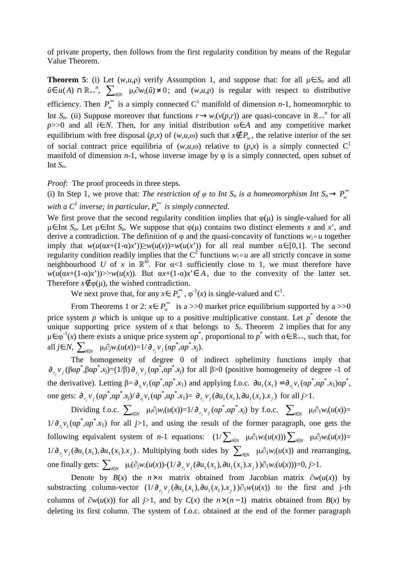of private property, then follows from the first regularity condition by means of the Regular Value Theorem.

**Theorem 5**: (i) Let  $(w, u, \rho)$  verify Assumption 1, and suppose that: for all  $\mu \in S_n$  and all  $\hat{u} \in u(A)$  ∩  $\mathbb{R}_{++}^n$ ,  $\sum_{i \in N} \mu_i \partial w_i(\hat{u}) \neq 0$ ; and  $(w, u, \rho)$  is regular with respect to distributive efficiency. Then  $P_w^*$  is a simply connected C<sup>1</sup> manifold of dimension *n*-1, homeomorphic to Int  $S_n$ . (ii) Suppose moreover that functions  $r \to w_i(v(p,r))$  are quasi-concave in  $\mathbb{R}_{++}^n$  for all *p*>>0 and all *i*∈*N*. Then, for any initial distribution  $\omega \in A$  and any competitive market equilibrium with free disposal  $(p,x)$  of  $(w,u,\omega)$  such that  $x \notin P_w$ , the relative interior of the set of social contract price equilibria of  $(w,u,\omega)$  relative to  $(p,x)$  is a simply connected  $C^1$ manifold of dimension  $n-1$ , whose inverse image by  $\varphi$  is a simply connected, open subset of Int  $S_n$ .

*Proof*: The proof proceeds in three steps.

(i) In Step 1, we prove that: *The restriction of*  $\varphi$  *to Int S<sub>n</sub> is a homeomorphism Int*  $S_n \to P_w^*$ with a  $C^I$  inverse; in particular,  $P_{w}^{**}$  is simply connected.

We first prove that the second regularity condition implies that  $\varphi(\mu)$  is single-valued for all µ∈ Int *S<sub>n</sub>*. Let µ∈ Int *S<sub>n</sub>*. We suppose that  $\varphi(\mu)$  contains two distinct elements *x* and *x*<sup>'</sup>, and derive a contradiction. The definition of  $\varphi$  and the quasi-concavity of functions  $w_i \circ u$  together imply that  $w(u(\alpha x+(1-\alpha)x^*))\ge w(u(x))=w(u(x^*))$  for all real number  $\alpha \in [0,1]$ . The second regularity condition readily implies that the  $C^2$  functions  $w_i \circ u$  are all strictly concave in some neighbourhood *U* of *x* in  $\mathbb{R}^{\bar{h}}$ . For  $\alpha$ <1 sufficiently close to 1, we must therefore have  $w(u(\alpha x + (1-\alpha)x'))$ >> $w(u(x))$ . But  $\alpha x + (1-\alpha)x \in A$ , due to the convexity of the latter set. Therefore  $x \notin \varphi(\mu)$ , the wished contradiction.

We next prove that, for any  $x \in P_w^{**}$ ,  $\varphi^{-1}(x)$  is single-valued and C<sup>1</sup>.

From Theorems 1 or 2:  $x \in P_w^*$  is a >>0 market price equilibrium supported by a >>0 price system p which is unique up to a positive multiplicative constant. Let  $p^*$  denote the unique supporting price system of  $x$  that belongs to  $S_l$ . Theorem 2 implies that for any  $\mu \in \varphi^{-1}(x)$  there exists a unique price system  $\alpha p^*$ , proportional to  $p^*$  with  $\alpha \in \mathbb{R}_{++}$ , such that, for all  $j \in N$ ,  $\sum_{i \in N}$   $\mu_i \partial_j w_i(u(x)) = 1/\partial_{r_j} v_j (\alpha p^*, \alpha p^*, x_j)$ .

The homogeneity of degree 0 of indirect ophelimity functions imply that  $\frac{\partial}{\partial r_j}$  *v*<sub>*j*</sub></sub> (βα*p*<sup>\*</sup>,βα*p*<sup>\*</sup>,*x<sub>j</sub>*)=(1/β)  $\frac{\partial}{\partial r_j}$  *v<sub>j</sub>* (α*p*<sup>\*</sup>,α*p*<sup>\*</sup>,*x<sub>j</sub>*) for all β>0 (positive homogeneity of degree -1 of the derivative). Letting  $\beta = \partial_{r_1} v_1 (\alpha p^*, \alpha p^*, x_1)$  and applying f.o.c.  $\partial u_1(x_1) = \partial_{r_1} v_1 (\alpha p^*, \alpha p^*, x_1) \alpha p^*,$ one gets:  $\partial_{r_j} v_j (\alpha p^*, \alpha p^*, x_j) / \partial_{r_1} v_1 (\alpha p^*, \alpha p^*, x_1) = \partial_{r_j} v_j (\partial u_1(x_1), \partial u_1(x_1), x_j)$  for all  $j > 1$ .

Dividing f.o.c.  $\sum_{i \in N} \mu_i \partial_j w_i(u(x)) = 1/\partial_{r_j} v_j(\alpha p^*, \alpha p^*, x_j)$  by f.o.c.  $\sum_{i \in N} \mu_i \partial_1 w_i(u(x)) =$  $1/\partial_{n_1}v_1(\alpha p^*, \alpha p^*, x_1)$  for all *j*>1, and using the result of the former paragraph, one gets the following equivalent system of *n*-1 equations:  $(1/\sum_{i\in N} \mu_i \partial_1 w_i(u(x)))\sum_{i\in N} \mu_i \partial_j w_i(u(x))=$  $1/\partial_{r_i} v_j(\partial u_1(x_1), \partial u_1(x_1).x_j)$ . Multiplying both sides by  $\sum_{i \in N} \mu_i \partial_1 w_i(u(x))$  and rearranging, one finally gets:  $\sum_{i \in N} \mu_i(\partial_j w_i(u(x)) - (1/\partial_{r_j} v_j(\partial u_1(x_1), \partial u_1(x_1), x_j))\partial_1 w_i(u(x))) = 0, j > 1.$ 

Denote by *B*(*x*) the *n*×*n* matrix obtained from Jacobian matrix  $\partial w(u(x))$  by substracting column-vector  $(1/\partial_{r_j} v_j (\partial u_1(x_1), \partial u_1(x_1), x_j))\partial_1 w(u(x))$  to the first and j-th columns of  $\partial w(u(x))$  for all *j*>1, and by  $C(x)$  the  $n \times (n-1)$  matrix obtained from  $B(x)$  by deleting its first column. The system of f.o.c. obtained at the end of the former paragraph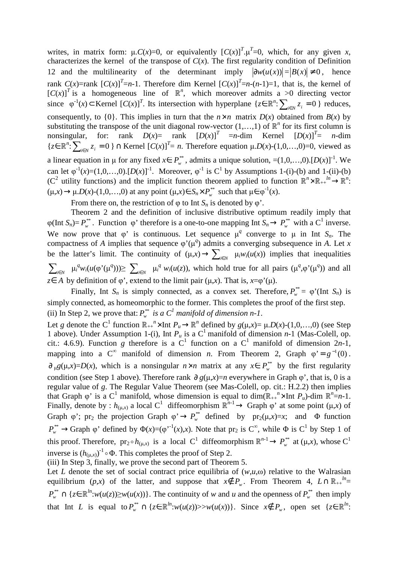writes, in matrix form:  $\mu$ .*C*(*x*)=0, or equivalently  $[C(x)]^T$ . $\mu^T$ =0, which, for any given *x*, characterizes the kernel of the transpose of  $C(x)$ . The first regularity condition of Definition 12 and the multilinearity of the determinant imply  $|\partial w(u(x))| = |B(x)| \neq 0$ , hence rank  $C(x)$ =rank  $[C(x)]^T$ =*n*-1. Therefore dim Kernel  $[C(x)]^T$ =*n*-(*n*-1)=1, that is, the kernel of  $[C(x)]^T$  is a homogeneous line of  $\mathbb{R}^n$ , which moreover admits a >0 directing vector since  $\varphi^{-1}(x) \subset \text{Kernel } [C(x)]^T$ . Its intersection with hyperplane  $\{z \in \mathbb{R}^n : \sum_{i \in N} z_i = 0 \}$  reduces, consequently, to {0}. This implies in turn that the  $n \times n$  matrix  $D(x)$  obtained from  $B(x)$  by substituting the transpose of the unit diagonal row-vector  $(1,...,1)$  of  $\mathbb{R}^n$  for its first column is nonsingular, for: rank  $D(x) = \text{rank} \left[ D(x) \right]^T = n - \text{dim} \left[ D(x) \right]^T = n - \text{dim} \left[ D(x) \right]^T = n - \text{dim} \left[ D(x) \right]^T = n - \text{dim} \left[ D(x) \right]^T = n - \text{dim} \left[ D(x) \right]^T = n - \text{dim} \left[ D(x) \right]^T = n - \text{dim} \left[ D(x) \right]^T = n - \text{dim} \left[ D(x) \right]^T = n - \text{dim} \left[ D(x) \right]^T = n - \text{dim} \left[ D(x) \right$ { $z \in \mathbb{R}^n$ :  $\sum_{i \in N} z_i = 0$  } ∩ Kernel  $[C(x)]^T = n$ . Therefore equation  $\mu.D(x)$ -(1,0,...,0)=0, viewed as a linear equation in  $\mu$  for any fixed  $x \in P_w^{**}$ , admits a unique solution, =(1,0,...,0).[*D*(*x*)]<sup>-1</sup>. We can let  $\varphi^{-1}(x)=(1,0,...,0)$ .  $[D(x)]^{-1}$ . Moreover,  $\varphi^{-1}$  is C<sup>1</sup> by Assumptions 1-(i)-(b) and 1-(ii)-(b) (C<sup>2</sup> utility functions) and the implicit function theorem applied to function  $\mathbb{R}^n \times \mathbb{R}_{++}^{h} \to \mathbb{R}^n$ .  $(\mu, x) \rightarrow \mu$ .*D*(*x*)-(1,0,...,0) at any point  $(\mu, x) \in S_n \times P_w^*$  such that  $\mu \in \varphi^{-1}(x)$ .

From there on, the restriction of  $\varphi$  to Int  $S_n$  is denoted by  $\varphi'$ .

Theorem 2 and the definition of inclusive distributive optimum readily imply that  $\varphi$ (Int  $S_n$ )=  $P_{w}^{**}$ . Function  $\varphi$ ' therefore is a one-to-one mapping Int  $S_n \to P_{w}^{**}$  with a C<sup>1</sup> inverse. We now prove that  $\varphi'$  is continuous. Let sequence  $\mu^q$  converge to  $\mu$  in Int  $S_n$ . The compactness of *A* implies that sequence  $\varphi'(\mu^q)$  admits a converging subsequence in *A*. Let *x* be the latter's limit. The continuity of  $(\mu, x) \to \sum_{i \in N} \mu_i w_i(u(x))$  implies that inequalities  $\sum_{i\in N} \mu_i^q w_i(u(\varphi'(\mu^q))) \ge \sum_{i\in N} \mu_i^q w_i(u(z))$ , which hold true for all pairs  $(\mu^q, \varphi'(\mu^q))$  and all *z*∈ *A* by definition of  $\varphi$ ', extend to the limit pair ( $\mu$ ,*x*). That is, *x*= $\varphi$ '( $\mu$ ).

Finally, Int  $S_n$  is simply connected, as a convex set. Therefore,  $P_w^{**} = \varphi'$  (Int  $S_n$ ) is simply connected, as homeomorphic to the former. This completes the proof of the first step. (ii) In Step 2, we prove that:  $P_w^*$  *is a C<sup>1</sup>* manifold of dimension n-1.

Let *g* denote the C<sup>1</sup> function  $\mathbb{R}_{++}^n \times \text{Int } P_u \to \mathbb{R}^n$  defined by  $g(\mu, x) = \mu \cdot D(x) - (1, 0, \dots, 0)$  (see Step 1 above). Under Assumption 1-(i), Int  $P_u$  is a  $C^1$  manifold of dimension *n*-1 (Mas-Colell, op. cit.: 4.6.9). Function *g* therefore is a C<sup>1</sup> function on a C<sup>1</sup> manifold of dimension  $2n-1$ , mapping into a C<sup>∞</sup> manifold of dimension *n*. From Theorem 2, Graph  $\varphi$ ' =  $g^{-1}(0)$ .  $\partial_{\mu}g(\mu,x)=D(x)$ , which is a nonsingular  $n \times n$  matrix at any  $x \in P_{w}^{**}$  by the first regularity condition (see Step 1 above). Therefore rank  $\partial g(\mu, x)=n$  everywhere in Graph  $\varphi'$ , that is, 0 is a regular value of *g*. The Regular Value Theorem (see Mas-Colell, op. cit.: H.2.2) then implies that Graph  $\varphi$ ' is a C<sup>1</sup> manifold, whose dimension is equal to dim( $\mathbb{R}_{++}^n \times$ Int  $P_u$ )-dim  $\mathbb{R}^n = n-1$ . Finally, denote by :  $h_{(\mu,x)}$  a local C<sup>1</sup> diffeomorphism  $\mathbb{R}^{n-1} \to$  Graph  $\varphi$ ' at some point  $(\mu,x)$  of Graph  $\varphi$ ; pr<sub>2</sub> the projection Graph  $\varphi \to P_w^{**}$  defined by  $pr_2(\mu, x) = x$ ; and  $\Phi$  function  $P_{w}^{**} \to$ Graph  $\varphi$ ' defined by  $\Phi(x)=(\varphi^{-1}(x),x)$ . Note that pr<sub>2</sub> is C<sup>∞</sup>, while  $\Phi$  is C<sup>1</sup> by Step 1 of this proof. Therefore,  $pr_2 \circ h_{(\mu,x)}$  is a local C<sup>1</sup> diffeomorphism  $\mathbb{R}^{n-1} \to P_{w}^{**}$  at ( $\mu,x$ ), whose C<sup>1</sup> inverse is  $(h_{(\mu,x)})^{-1} \circ \Phi$ . This completes the proof of Step 2.

(iii) In Step 3, finally, we prove the second part of Theorem 5.

Let *L* denote the set of social contract price equilibria of  $(w, u, \omega)$  relative to the Walrasian equilibrium (*p*,*x*) of the latter, and suppose that  $x \notin P_w$ . From Theorem 4,  $L \cap \mathbb{R}_{++}^{h} =$  $P_{w}^{**} \cap \{z \in \mathbb{R}^{ln}: w(u(z)) \geq w(u(x))\}.$  The continuity of *w* and *u* and the openness of  $P_{w}^{**}$  then imply that Int *L* is equal to  $P_{w}^{**} \cap \{z \in \mathbb{R}^{ln}: w(u(z)) \geq w(u(x))\}$ . Since  $x \notin P_{w}$ , open set  $\{z \in \mathbb{R}^{ln}:$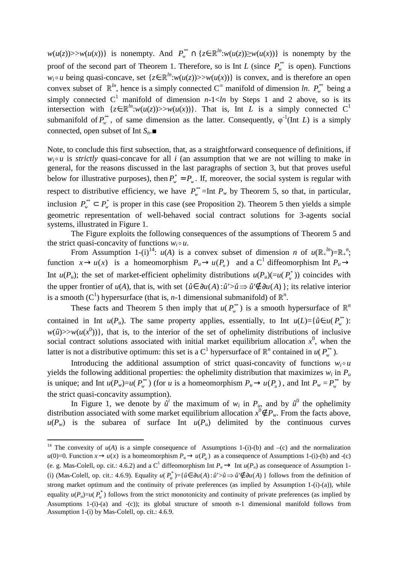$w(u(z)) \geq w(u(x))$  is nonempty. And  $P_w^* \cap \{z \in \mathbb{R}^m : w(u(z)) \geq w(u(x))\}$  is nonempty by the proof of the second part of Theorem 1. Therefore, so is Int *L* (since  $P_{w}^{**}$  is open). Functions *w*<sub>*i*</sub> o *u* being quasi-concave, set { $z \in \mathbb{R}^m$ : $w(u(z))$ >> $w(u(x))$ } is convex, and is therefore an open convex subset of  $\mathbb{R}^{ln}$ , hence is a simply connected C<sup>∞</sup> manifold of dimension *ln*.  $P_{w}^{**}$  being a simply connected  $C^1$  manifold of dimension *n*-1<*ln* by Steps 1 and 2 above, so is its intersection with  $\{z \in \mathbb{R}^{ln}: w(u(z)) \geq w(u(x))\}$ . That is, Int *L* is a simply connected C<sup>1</sup> submanifold of  $P_w^*$ , of same dimension as the latter. Consequently,  $\varphi^{-1}$ (Int *L*) is a simply connected, open subset of Int *Sn*.■

Note, to conclude this first subsection, that, as a straightforward consequence of definitions, if  $w_i \circ u$  is *strictly* quasi-concave for all *i* (an assumption that we are not willing to make in general, for the reasons discussed in the last paragraphs of section 3, but that proves useful below for illustrative purposes), then  $P_w^* = P_w$ . If, moreover, the social system is regular with respect to distributive efficiency, we have  $P_w^* = \text{Int } P_w$  by Theorem 5, so that, in particular, inclusion  $P_w^* \subset P_w^*$  is proper in this case (see Proposition 2). Theorem 5 then yields a simple geometric representation of well-behaved social contract solutions for 3-agents social systems, illustrated in Figure 1.

The Figure exploits the following consequences of the assumptions of Theorem 5 and the strict quasi-concavity of functions  $w_i \circ u$ .

From Assumption 1-(i)<sup>14</sup>:  $u(A)$  is a convex subset of dimension *n* of  $u(\mathbb{R}^{l})=\mathbb{R}^{n}$ ; function  $x \to u(x)$  is a homeomorphism  $P_u \to u(P_u)$  and a C<sup>1</sup> diffeomorphism Int  $P_u \to u(x)$ Int  $u(P_u)$ ; the set of market-efficient ophelimity distributions  $u(P_u)(=u(P_u^*))$  coincides with the upper frontier of *u*(*A*), that is, with set  $\{\hat{u} \in \partial u(A) : \hat{u} > \hat{u} \neq \partial u(A)\}$ ; its relative interior is a smooth (C<sup>1</sup>) hypersurface (that is, *n*-1 dimensional submanifold) of  $\mathbb{R}^n$ .

These facts and Theorem 5 then imply that  $u(P_w^*)$  is a smooth hypersurface of  $\mathbb{R}^n$ contained in Int *u*( $P_u$ ). The same property applies, essentially, to Int *u*( $L$ )={ $\hat{u} \in u(P_w^*)$ :  $w(\hat{u}) \gg w(u(x^0))$ , that is, to the interior of the set of ophelimity distributions of inclusive social contract solutions associated with initial market equilibrium allocation  $x<sup>0</sup>$ , when the latter is not a distributive optimum: this set is a C<sup>1</sup> hypersurface of  $\mathbb{R}^n$  contained in  $u(P_w^*)$ .

Introducing the additional assumption of strict quasi-concavity of functions  $w_i \circ u$ yields the following additional properties: the ophelimity distribution that maximizes  $w_i$  in  $P_u$ is unique; and Int  $u(P_w)=u(P_w^*)$  (for *u* is a homeomorphism  $P_u \to u(P_u)$ , and Int  $P_w = P_w^{**}$  by the strict quasi-concavity assumption).

In Figure 1, we denote by  $\hat{u}^i$  the maximum of  $w_i$  in  $P_u$ , and by  $\hat{u}^0$  the ophelimity distribution associated with some market equilibrium allocation  $x^0 \notin P_w$ . From the facts above,  $u(P_w)$  is the subarea of surface Int  $u(P_u)$  delimited by the continuous curves

<sup>&</sup>lt;sup>14</sup> The convexity of  $u(A)$  is a simple consequence of Assumptions 1-(i)-(b) and -(c) and the normalization  $u(0)=0$ . Function  $x \to u(x)$  is a homeomorphism  $P_u \to u(P_u)$  as a consequence of Assumptions 1-(i)-(b) and -(c) (e. g. Mas-Colell, op. cit.: 4.6.2) and a C<sup>1</sup> diffeomorphism Int  $P_u \to$  Int  $u(P_u)$  as consequence of Assumption 1-(i) (Mas-Colell, op. cit.: 4.6.9). Equality  $u(P^*_{u}) = {\hat{u} \in \partial u(A) : \hat{u} > \hat{u} \Rightarrow \hat{u}' \notin \partial u(A) }$  follows from the definition of strong market optimum and the continuity of private preferences (as implied by Assumption 1-(i)-(a)), while equality  $u(P_u)=u(P_u^*)$  follows from the strict monotonicity and continuity of private preferences (as implied by Assumptions 1-(i)-(a) and -(c)); its global structure of smooth  $n-1$  dimensional manifold follows from Assumption 1-(i) by Mas-Colell, op. cit.: 4.6.9.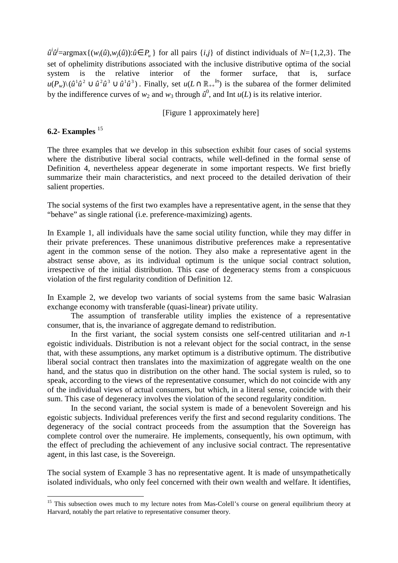$\hat{u}^i \hat{u}^j = \argmax\{(w_i(\hat{u}), w_j(\hat{u})) : \hat{u} \in P_u\}$  for all pairs  $\{i, j\}$  of distinct individuals of *N*={1,2,3}. The set of ophelimity distributions associated with the inclusive distributive optima of the social system is the relative interior of the former surface, that is, surface  $u(P_w) \setminus (\hat{u}^1 \hat{u}^2 \cup \hat{u}^2 \hat{u}^3 \cup \hat{u}^1 \hat{u}^3)$ . Finally, set  $u(L \cap \mathbb{R}_{++}^{h})$  is the subarea of the former delimited by the indifference curves of  $w_2$  and  $w_3$  through  $\hat{u}^0$ , and Int  $u(L)$  is its relative interior.

[Figure 1 approximately here]

#### **6.2- Examples** <sup>15</sup>

 $\overline{a}$ 

The three examples that we develop in this subsection exhibit four cases of social systems where the distributive liberal social contracts, while well-defined in the formal sense of Definition 4, nevertheless appear degenerate in some important respects. We first briefly summarize their main characteristics, and next proceed to the detailed derivation of their salient properties.

The social systems of the first two examples have a representative agent, in the sense that they "behave" as single rational (i.e. preference-maximizing) agents.

In Example 1, all individuals have the same social utility function, while they may differ in their private preferences. These unanimous distributive preferences make a representative agent in the common sense of the notion. They also make a representative agent in the abstract sense above, as its individual optimum is the unique social contract solution, irrespective of the initial distribution. This case of degeneracy stems from a conspicuous violation of the first regularity condition of Definition 12.

In Example 2, we develop two variants of social systems from the same basic Walrasian exchange economy with transferable (quasi-linear) private utility.

The assumption of transferable utility implies the existence of a representative consumer, that is, the invariance of aggregate demand to redistribution.

 In the first variant, the social system consists one self-centred utilitarian and *n*-1 egoistic individuals. Distribution is not a relevant object for the social contract, in the sense that, with these assumptions, any market optimum is a distributive optimum. The distributive liberal social contract then translates into the maximization of aggregate wealth on the one hand, and the status quo in distribution on the other hand. The social system is ruled, so to speak, according to the views of the representative consumer, which do not coincide with any of the individual views of actual consumers, but which, in a literal sense, coincide with their sum. This case of degeneracy involves the violation of the second regularity condition.

 In the second variant, the social system is made of a benevolent Sovereign and his egoistic subjects. Individual preferences verify the first and second regularity conditions. The degeneracy of the social contract proceeds from the assumption that the Sovereign has complete control over the numeraire. He implements, consequently, his own optimum, with the effect of precluding the achievement of any inclusive social contract. The representative agent, in this last case, is the Sovereign.

The social system of Example 3 has no representative agent. It is made of unsympathetically isolated individuals, who only feel concerned with their own wealth and welfare. It identifies,

<sup>&</sup>lt;sup>15</sup> This subsection owes much to my lecture notes from Mas-Colell's course on general equilibrium theory at Harvard, notably the part relative to representative consumer theory.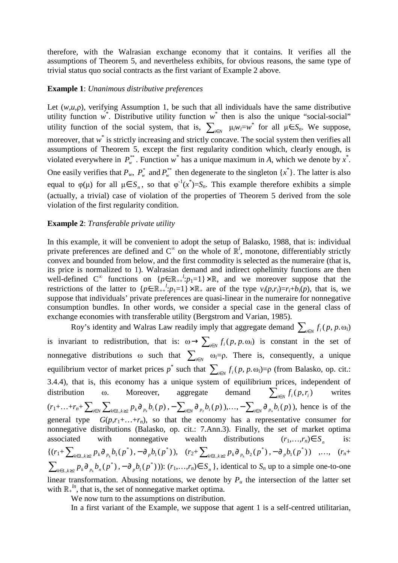therefore, with the Walrasian exchange economy that it contains. It verifies all the assumptions of Theorem 5, and nevertheless exhibits, for obvious reasons, the same type of trivial status quo social contracts as the first variant of Example 2 above.

#### **Example 1**: *Unanimous distributive preferences*

Let  $(w, u, p)$ , verifying Assumption 1, be such that all individuals have the same distributive utility function  $w^*$ . Distributive utility function  $w^*$  then is also the unique "social-social" utility function of the social system, that is,  $\sum_{i \in N} \mu_i w_i = w^*$  for all  $\mu \in S_n$ . We suppose, moreover, that w<sup>\*</sup> is strictly increasing and strictly concave. The social system then verifies all assumptions of Theorem 5, except the first regularity condition which, clearly enough, is violated everywhere in  $P_w^*$ . Function  $w^*$  has a unique maximum in *A*, which we denote by  $x^*$ . One easily verifies that  $P_w$ ,  $P_w^*$  and  $P_w^*$  then degenerate to the singleton  $\{x^*\}$ . The latter is also equal to  $\varphi(\mu)$  for all  $\mu \in S_n$ , so that  $\varphi^{-1}(x^*) = S_n$ . This example therefore exhibits a simple (actually, a trivial) case of violation of the properties of Theorem 5 derived from the sole violation of the first regularity condition.

#### **Example 2**: *Transferable private utility*

In this example, it will be convenient to adopt the setup of Balasko, 1988, that is: individual private preferences are defined and  $C^{\infty}$  on the whole of  $\mathbb{R}^{l}$ , monotone, differentiably strictly convex and bounded from below, and the first commodity is selected as the numeraire (that is, its price is normalized to 1). Walrasian demand and indirect ophelimity functions are then well-defined C<sup>∞</sup> functions on  $\{p \in \mathbb{R}_{++}^l : p_1 = 1\} \times \mathbb{R}$ , and we moreover suppose that the restrictions of the latter to  $\{p \in \mathbb{R}^{\{1\}} + \{p_1 = 1\} \times \mathbb{R}^{\{1\}}$  are of the type  $v_i(p, r_i) = r_i + b_i(p)$ , that is, we suppose that individuals' private preferences are quasi-linear in the numeraire for nonnegative consumption bundles. In other words, we consider a special case in the general class of exchange economies with transferable utility (Bergstrom and Varian, 1985).

Roy's identity and Walras Law readily imply that aggregate demand  $\sum_{i \in N} f_i(p, p, \omega_i)$ is invariant to redistribution, that is:  $\omega \to \sum_{i \in N} f_i(p, p, \omega_i)$  is constant in the set of nonnegative distributions  $\omega$  such that  $\sum_{i \in N} \omega_i = \rho$ . There is, consequently, a unique equilibrium vector of market prices  $p^*$  such that  $\sum_{i \in N} f_i(p, p, \omega_i) = \rho$  (from Balasko, op. cit.: 3.4.4), that is, this economy has a unique system of equilibrium prices, independent of distribution ω. Moreover, aggregate demand  $\sum_{i \in N} f_i(p, r_i)$  writes  $(r_1 + ... + r_n + \sum_{i \in N} \sum_{k \in L, k \ge 2} p_k \partial_{p_k} b_i(p), -\sum_{i \in N} \partial_{p_2} b_i(p)), \dots, -\sum_{i \in N} \partial_{p_n} b_i(p)),$  hence is of the general type  $G(p,r_1+\ldots+r_n)$ , so that the economy has a representative consumer for nonnegative distributions (Balasko, op. cit.: 7.Ann.3). Finally, the set of market optima associated with nonnegative wealth distributions  $(r_1,...,r_n) \in S$  is:  $\{(r_1+\sum_{k\in I}\sum_{k\geq 2}p_k\partial_{p_k}b_1(p^*))\}$  $\sum_{k \in L, k \geq 2} p_k \partial_{p_k} b_1(p^*), -\partial_{p} b_1(p^*)), \quad (r_2 + \sum_{k \in L, k \geq 2} p_k \partial_{p_k} b_2(p^*)$  $\sum_{k \in L, k \geq 2} p_k \partial_{p_k} b_2(p^*)$ ,  $- \partial_p b_1(p^*)$ ) ,...,  $(r_n +$  $(p^*)$  $\sum_{k\in L, k\geq 2} p_k \partial_{p_k} b_n(p^*)$ ,  $-\partial_p b_1(p^*))$ :  $(r_1,...,r_n) \in S_n$ , identical to  $S_n$  up to a simple one-to-one linear transformation. Abusing notations, we denote by  $P<sub>u</sub>$  the intersection of the latter set with  $\mathbb{R}^{n}$ , that is, the set of nonnegative market optima.

We now turn to the assumptions on distribution.

In a first variant of the Example, we suppose that agent 1 is a self-centred utilitarian,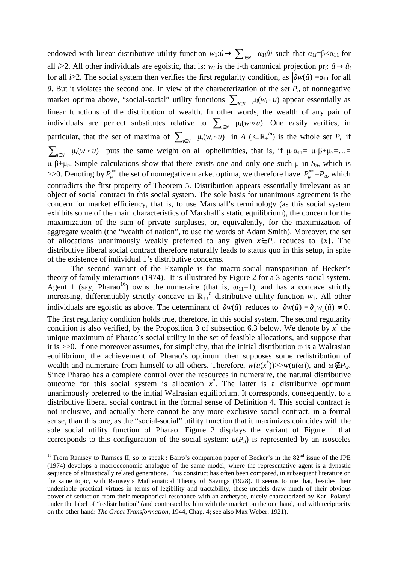endowed with linear distributive utility function  $w_1:\hat{u}\to\sum_{i\in N} \alpha_{1i}\hat{u}$  such that  $\alpha_{1i}=\beta<\alpha_{11}$  for all *i* $\geq$ 2. All other individuals are egoistic, that is: *w<sub>i</sub>* is the *i*-th canonical projection pr<sub>*i*</sub>:  $\hat{u} \rightarrow \hat{u}_i$ for all *i*≥2. The social system then verifies the first regularity condition, as  $|\partial w(\hat{u})| = \alpha_{11}$  for all  $\hat{u}$ . But it violates the second one. In view of the characterization of the set  $P_u$  of nonnegative market optima above, "social-social" utility functions  $\sum_{i \in N} \mu_i(w_i \circ u)$  appear essentially as linear functions of the distribution of wealth. In other words, the wealth of any pair of individuals are perfect substitutes relative to  $\sum_{i \in N} \mu_i(w_i \circ u)$ . One easily verifies, in particular, that the set of maxima of  $\sum_{i \in N} \mu_i(w_i \circ u)$  in  $A \subset \mathbb{R}^{\mu}$  is the whole set  $P_u$  if  $\sum_{i\in N}$   $\mu_i(w_i \circ u)$  puts the same weight on all ophelimities, that is, if  $\mu_1 \alpha_{11} = \mu_1 \beta + \mu_2 = \ldots =$  $\mu_1\beta+\mu_n$ . Simple calculations show that there exists one and only one such  $\mu$  in  $S_n$ , which is  $> 0.$  Denoting by  $P_w^*$  the set of nonnegative market optima, we therefore have  $P_w^* = P_u$ , which contradicts the first property of Theorem 5. Distribution appears essentially irrelevant as an object of social contract in this social system. The sole basis for unanimous agreement is the concern for market efficiency, that is, to use Marshall's terminology (as this social system exhibits some of the main characteristics of Marshall's static equilibrium), the concern for the maximization of the sum of private surpluses, or, equivalently, for the maximization of aggregate wealth (the "wealth of nation", to use the words of Adam Smith). Moreover, the set of allocations unanimously weakly preferred to any given  $x \in P_u$  reduces to {*x*}. The distributive liberal social contract therefore naturally leads to status quo in this setup, in spite of the existence of individual 1's distributive concerns.

 The second variant of the Example is the macro-social transposition of Becker's theory of family interactions (1974). It is illustrated by Figure 2 for a 3-agents social system. Agent 1 (say, Pharao<sup>16</sup>) owns the numeraire (that is,  $\omega_{11}=1$ ), and has a concave strictly increasing, differentiably strictly concave in  $\mathbb{R}_{++}^n$  distributive utility function  $w_1$ . All other individuals are egoistic as above. The determinant of  $\partial w(\hat{u})$  reduces to  $|\partial w(\hat{u})| = \partial_1 w_1(\hat{u}) \neq 0$ . The first regularity condition holds true, therefore, in this social system. The second regularity condition is also verified, by the Proposition 3 of subsection 6.3 below. We denote by  $x^*$  the unique maximum of Pharao's social utility in the set of feasible allocations, and suppose that it is  $>>0$ . If one moreover assumes, for simplicity, that the initial distribution  $\omega$  is a Walrasian equilibrium, the achievement of Pharao's optimum then supposes some redistribution of wealth and numeraire from himself to all others. Therefore,  $w(u(x^*))>>w(u(\omega))$ , and  $\omega \notin P_w$ . Since Pharao has a complete control over the resources in numeraire, the natural distributive outcome for this social system is allocation  $x^*$ . The latter is a distributive optimum unanimously preferred to the initial Walrasian equilibrium. It corresponds, consequently, to a distributive liberal social contract in the formal sense of Definition 4. This social contract is not inclusive, and actually there cannot be any more exclusive social contract, in a formal sense, than this one, as the "social-social" utility function that it maximizes coincides with the sole social utility function of Pharao. Figure 2 displays the variant of Figure 1 that corresponds to this configuration of the social system:  $u(P_\mu)$  is represented by an isosceles

<sup>&</sup>lt;sup>16</sup> From Ramsey to Ramses II, so to speak : Barro's companion paper of Becker's in the  $82<sup>nd</sup>$  issue of the JPE (1974) develops a macroeconomic analogue of the same model, where the representative agent is a dynastic sequence of altruistically related generations. This construct has often been compared, in subsequent literature on the same topic, with Ramsey's Mathematical Theory of Savings (1928). It seems to me that, besides their undeniable practical virtues in terms of legibility and tractability, these models draw much of their obvious power of seduction from their metaphorical resonance with an archetype, nicely characterized by Karl Polanyi under the label of "redistribution" (and contrasted by him with the market on the one hand, and with reciprocity on the other hand: *The Great Transformation*, 1944, Chap. 4; see also Max Weber, 1921).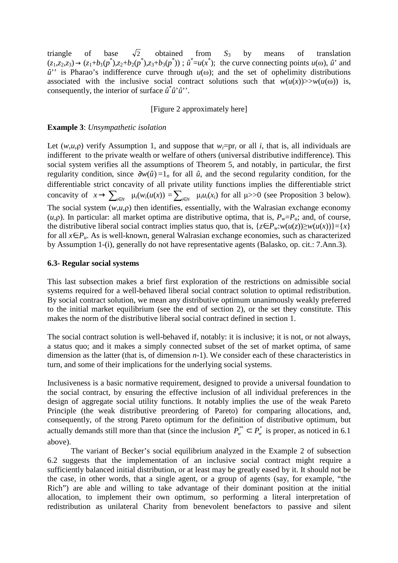triangle of base  $\sqrt{2}$  obtained from  $S_3$  by means of translation  $(z_1, z_2, z_3) \rightarrow (z_1+b_1(p^*) , z_2+b_2(p^*) , z_3+b_3(p^*))$ ;  $\hat{u}^* = u(x^*)$ ; the curve connecting points  $u(\omega)$ ,  $\hat{u}^*$  and  $\hat{u}$ <sup>"</sup> is Pharao's indifference curve through  $u(\omega)$ ; and the set of ophelimity distributions associated with the inclusive social contract solutions such that  $w(u(x))>>w(u(\omega))$  is, consequently, the interior of surface *û* \* *û*'*û*''.

[Figure 2 approximately here]

#### **Example 3**: *Unsympathetic isolation*

Let  $(w, u, \rho)$  verify Assumption 1, and suppose that  $w_i = pr_i$  or all *i*, that is, all individuals are indifferent to the private wealth or welfare of others (universal distributive indifference). This social system verifies all the assumptions of Theorem 5, and notably, in particular, the first regularity condition, since  $\partial w(\hat{u}) = 1_n$  for all  $\hat{u}$ , and the second regularity condition, for the differentiable strict concavity of all private utility functions implies the differentiable strict concavity of  $x \to \sum_{i \in N} \mu_i(w_i(u(x)) = \sum_{i \in N} \mu_i u_i(x_i)$  for all  $\mu > 0$  (see Proposition 3 below). The social system (*w*,*u*,ρ) then identifies, essentially, with the Walrasian exchange economy (*u*,*p*). In particular: all market optima are distributive optima, that is,  $P_w = P_u$ ; and, of course, the distributive liberal social contract implies status quo, that is,  $\{z \in P_w : w(u(z)) \geq w(u(x))\} = \{x\}$ for all *x*∈*Pu*. As is well-known, general Walrasian exchange economies, such as characterized by Assumption 1-(i), generally do not have representative agents (Balasko, op. cit.: 7.Ann.3).

#### **6.3- Regular social systems**

This last subsection makes a brief first exploration of the restrictions on admissible social systems required for a well-behaved liberal social contract solution to optimal redistribution. By social contract solution, we mean any distributive optimum unanimously weakly preferred to the initial market equilibrium (see the end of section 2), or the set they constitute. This makes the norm of the distributive liberal social contract defined in section 1.

The social contract solution is well-behaved if, notably: it is inclusive; it is not, or not always, a status quo; and it makes a simply connected subset of the set of market optima, of same dimension as the latter (that is, of dimension *n*-1). We consider each of these characteristics in turn, and some of their implications for the underlying social systems.

Inclusiveness is a basic normative requirement, designed to provide a universal foundation to the social contract, by ensuring the effective inclusion of all individual preferences in the design of aggregate social utility functions. It notably implies the use of the weak Pareto Principle (the weak distributive preordering of Pareto) for comparing allocations, and, consequently, of the strong Pareto optimum for the definition of distributive optimum, but actually demands still more than that (since the inclusion  $P_w^* \subset P_w^*$  is proper, as noticed in 6.1 above).

 The variant of Becker's social equilibrium analyzed in the Example 2 of subsection 6.2 suggests that the implementation of an inclusive social contract might require a sufficiently balanced initial distribution, or at least may be greatly eased by it. It should not be the case, in other words, that a single agent, or a group of agents (say, for example, "the Rich") are able and willing to take advantage of their dominant position at the initial allocation, to implement their own optimum, so performing a literal interpretation of redistribution as unilateral Charity from benevolent benefactors to passive and silent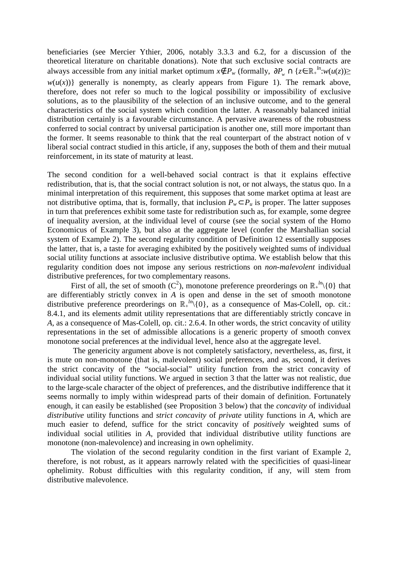beneficiaries (see Mercier Ythier, 2006, notably 3.3.3 and 6.2, for a discussion of the theoretical literature on charitable donations). Note that such exclusive social contracts are always accessible from any initial market optimum  $x \notin P_w$  (formally,  $\partial P_w \cap \{z \in \mathbb{R}_+^{l_n}: w(u(z)) \geq 0\}$  $w(u(x))$ } generally is nonempty, as clearly appears from Figure 1). The remark above, therefore, does not refer so much to the logical possibility or impossibility of exclusive solutions, as to the plausibility of the selection of an inclusive outcome, and to the general characteristics of the social system which condition the latter. A reasonably balanced initial distribution certainly is a favourable circumstance. A pervasive awareness of the robustness conferred to social contract by universal participation is another one, still more important than the former. It seems reasonable to think that the real counterpart of the abstract notion of v liberal social contract studied in this article, if any, supposes the both of them and their mutual reinforcement, in its state of maturity at least.

The second condition for a well-behaved social contract is that it explains effective redistribution, that is, that the social contract solution is not, or not always, the status quo. In a minimal interpretation of this requirement, this supposes that some market optima at least are not distributive optima, that is, formally, that inclusion  $P_w \subset P_u$  is proper. The latter supposes in turn that preferences exhibit some taste for redistribution such as, for example, some degree of inequality aversion, at the individual level of course (see the social system of the Homo Economicus of Example 3), but also at the aggregate level (confer the Marshallian social system of Example 2). The second regularity condition of Definition 12 essentially supposes the latter, that is, a taste for averaging exhibited by the positively weighted sums of individual social utility functions at associate inclusive distributive optima. We establish below that this regularity condition does not impose any serious restrictions on *non-malevolent* individual distributive preferences, for two complementary reasons.

First of all, the set of smooth  $(C^2)$ , monotone preference preorderings on  $\mathbb{R}^{\mu}$  {0} that are differentiably strictly convex in  $\overrightarrow{A}$  is open and dense in the set of smooth monotone distributive preference preorderings on  $\mathbb{R}^{\mu}_{+}(\{0\})$ , as a consequence of Mas-Colell, op. cit.: 8.4.1, and its elements admit utility representations that are differentiably strictly concave in *A*, as a consequence of Mas-Colell, op. cit.: 2.6.4. In other words, the strict concavity of utility representations in the set of admissible allocations is a generic property of smooth convex monotone social preferences at the individual level, hence also at the aggregate level.

 The genericity argument above is not completely satisfactory, nevertheless, as, first, it is mute on non-monotone (that is, malevolent) social preferences, and as, second, it derives the strict concavity of the "social-social" utility function from the strict concavity of individual social utility functions. We argued in section 3 that the latter was not realistic, due to the large-scale character of the object of preferences, and the distributive indifference that it seems normally to imply within widespread parts of their domain of definition. Fortunately enough, it can easily be established (see Proposition 3 below) that the *concavity* of individual *distributive* utility functions and *strict concavity* of *private* utility functions in *A*, which are much easier to defend, suffice for the strict concavity of *positively* weighted sums of individual social utilities in *A*, provided that individual distributive utility functions are monotone (non-malevolence) and increasing in own ophelimity.

The violation of the second regularity condition in the first variant of Example 2, therefore, is not robust, as it appears narrowly related with the specificities of quasi-linear ophelimity. Robust difficulties with this regularity condition, if any, will stem from distributive malevolence.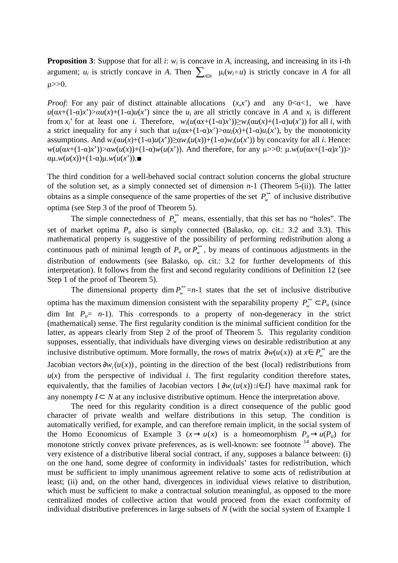**Proposition 3:** Suppose that for all *i*:  $w_i$  is concave in *A*, increasing, and increasing in its i-th argument;  $u_i$  is strictly concave in *A*. Then  $\sum_{i \in N} \mu_i(w_i \circ u)$  is strictly concave in *A* for all  $\mu$  $>0$ .

*Proof*: For any pair of distinct attainable allocations  $(x,x')$  and any  $0<\alpha<1$ , we have  $u(\alpha x + (1-\alpha)x') > \alpha u(x) + (1-\alpha)u(x')$  since the  $u_i$  are all strictly concave in *A* and  $x_i$  is different from *x<sub>i</sub>*<sup>'</sup> for at least one *i*. Therefore,  $w_i(u(\alpha x + (1-\alpha)x^i))\ge w_i(\alpha u(x) + (1-\alpha)u(x^i))$  for all *i*, with a strict inequality for any *i* such that  $u_i(\alpha x + (1-\alpha)x') > \alpha u_i(x) + (1-\alpha)u_i(x')$ , by the monotonicity assumptions. And *w*<sub>*i*</sub>(α*u*(*x*)+(1-α)*u*(*x*<sup>'</sup>))≥α*w*<sub>*i*</sub>(*u*(*x*))+(1-α)*w*<sub>*i*</sub>(*u*(*x*<sup>'</sup>)) by concavity for all *i*. Hence: *w*(*u*(α*x*+(1-α)*x*'))>α*w*(*u*(*x*))+(1-α)*w*(*u*(*x*')). And therefore, for any µ>>0: µ.*w*(*u*(α*x*+(1-α)*x*'))>  $\alpha\mu(w(u(x))+(1-\alpha)\mu(w(u(x')))$ .

The third condition for a well-behaved social contract solution concerns the global structure of the solution set, as a simply connected set of dimension *n*-1 (Theorem 5-(ii)). The latter obtains as a simple consequence of the same properties of the set  $P_w^*$  of inclusive distributive optima (see Step 3 of the proof of Theorem 5).

The simple connectedness of  $P_w^*$  means, essentially, that this set has no "holes". The set of market optima  $P_u$  also is simply connected (Balasko, op. cit.: 3.2 and 3.3). This mathematical property is suggestive of the possibility of performing redistribution along a continuous path of minimal length of  $P_u$  or  $P_w^*$ , by means of continuous adjustments in the distribution of endowments (see Balasko, op. cit.: 3.2 for further developments of this interpretation). It follows from the first and second regularity conditions of Definition 12 (see Step 1 of the proof of Theorem 5).

The dimensional property dim  $P_w^* = n-1$  states that the set of inclusive distributive optima has the maximum dimension consistent with the separability property  $P_w^* \subset P_u$  (since dim Int  $P_u = n-1$ ). This corresponds to a property of non-degeneracy in the strict (mathematical) sense. The first regularity condition is the minimal sufficient condition for the latter, as appears clearly from Step 2 of the proof of Theorem 5. This regularity condition supposes, essentially, that individuals have diverging views on desirable redistribution at any inclusive distributive optimum. More formally, the rows of matrix  $\partial w(u(x))$  at  $x \in P_w^{**}$  are the Jacobian vectors  $\partial w_i(u(x))$ , pointing in the direction of the best (local) redistributions from  $u(x)$  from the perspective of individual *i*. The first regularity condition therefore states, equivalently, that the families of Jacobian vectors  $\{\partial w_i(u(x)) : i \in I\}$  have maximal rank for any nonempty  $I \subset N$  at any inclusive distributive optimum. Hence the interpretation above.

The need for this regularity condition is a direct consequence of the public good character of private wealth and welfare distributions in this setup. The condition is automatically verified, for example, and can therefore remain implicit, in the social system of the Homo Economicus of Example 3 ( $x \rightarrow u(x)$  is a homeomorphism  $P_u \rightarrow u(P_u)$  for monotone strictly convex private preferences, as is well-known: see footnote <sup>14</sup> above). The very existence of a distributive liberal social contract, if any, supposes a balance between: (i) on the one hand, some degree of conformity in individuals' tastes for redistribution, which must be sufficient to imply unanimous agreement relative to some acts of redistribution at least; (ii) and, on the other hand, divergences in individual views relative to distribution, which must be sufficient to make a contractual solution meaningful, as opposed to the more centralized modes of collective action that would proceed from the exact conformity of individual distributive preferences in large subsets of *N* (with the social system of Example 1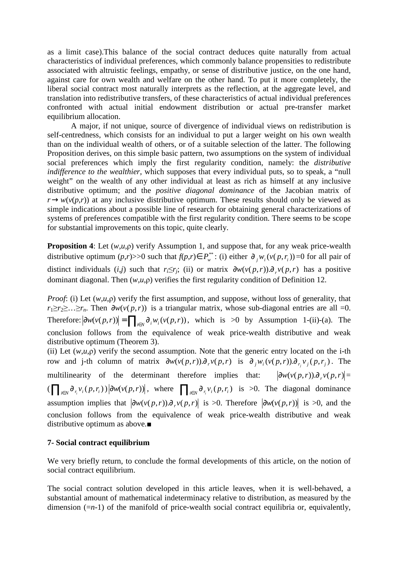as a limit case).This balance of the social contract deduces quite naturally from actual characteristics of individual preferences, which commonly balance propensities to redistribute associated with altruistic feelings, empathy, or sense of distributive justice, on the one hand, against care for own wealth and welfare on the other hand. To put it more completely, the liberal social contract most naturally interprets as the reflection, at the aggregate level, and translation into redistributive transfers, of these characteristics of actual individual preferences confronted with actual initial endowment distribution or actual pre-transfer market equilibrium allocation.

 A major, if not unique, source of divergence of individual views on redistribution is self-centredness, which consists for an individual to put a larger weight on his own wealth than on the individual wealth of others, or of a suitable selection of the latter. The following Proposition derives, on this simple basic pattern, two assumptions on the system of individual social preferences which imply the first regularity condition, namely: the *distributive indifference to the wealthier*, which supposes that every individual puts, so to speak, a "null weight" on the wealth of any other individual at least as rich as himself at any inclusive distributive optimum; and the *positive diagonal dominance* of the Jacobian matrix of  $r \rightarrow w(v(p,r))$  at any inclusive distributive optimum. These results should only be viewed as simple indications about a possible line of research for obtaining general characterizations of systems of preferences compatible with the first regularity condition. There seems to be scope for substantial improvements on this topic, quite clearly.

**Proposition 4**: Let (*w*,*u*,ρ) verify Assumption 1, and suppose that, for any weak price-wealth distributive optimum  $(p,r)$ >>0 such that  $f(p,r) \in P_w^{**}$ : (i) either  $\partial_j w_i(v(p,r_i)) = 0$  for all pair of distinct individuals (*i*,*j*) such that  $r_i \leq r_j$ ; (ii) or matrix  $\partial w(v(p,r)) \partial_r v(p,r)$  has a positive dominant diagonal. Then (*w*,*u*,ρ) verifies the first regularity condition of Definition 12.

*Proof*: (i) Let (*w*,*u*,*p*) verify the first assumption, and suppose, without loss of generality, that *r*<sub>1</sub>≥*r*<sub>2</sub>≥…≥*r*<sub>*n*</sub>. Then  $\partial w(v(p,r))$  is a triangular matrix, whose sub-diagonal entries are all =0. Therefore:  $|\partial w(v(p,r))| = \prod_{i \in N} \partial_i w_i(v(p,r))$ , which is >0 by Assumption 1-(ii)-(a). The conclusion follows from the equivalence of weak price-wealth distributive and weak distributive optimum (Theorem 3).

(ii) Let  $(w, u, \rho)$  verify the second assumption. Note that the generic entry located on the i-th row and j-th column of matrix  $\partial w(v(p,r)) \partial_r v(p,r)$  is  $\partial_j w_i(v(p,r)) \partial_{r_j} v_j(p,r_j)$ . The multilinearity of the determinant therefore implies that:  $|\partial w(v(p,r)).\partial_r v(p,r)|=$  $\left(\prod_{i\in N}\partial_{r_i}v_i(p,r_i)\right)\left|\partial w(v(p,r))\right|$ , where  $\prod_{i\in N}\partial_{r_i}v_i(p,r_i)$  is >0. The diagonal dominance assumption implies that  $\left|\frac{\partial w(v(p,r))}{\partial r}(p,r)\right|$  is >0. Therefore  $\left|\frac{\partial w(v(p,r))}{\partial r}(p,r)\right|$  is >0, and the conclusion follows from the equivalence of weak price-wealth distributive and weak distributive optimum as above.■

#### **7- Social contract equilibrium**

We very briefly return, to conclude the formal developments of this article, on the notion of social contract equilibrium.

The social contract solution developed in this article leaves, when it is well-behaved, a substantial amount of mathematical indeterminacy relative to distribution, as measured by the dimension (=*n*-1) of the manifold of price-wealth social contract equilibria or, equivalently,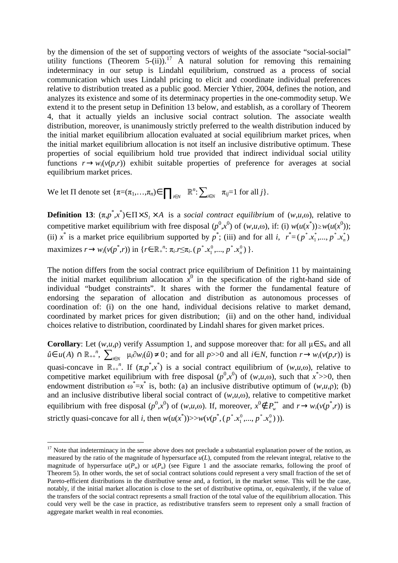by the dimension of the set of supporting vectors of weights of the associate "social-social" utility functions (Theorem 5-(ii)).<sup>17</sup> A natural solution for removing this remaining indeterminacy in our setup is Lindahl equilibrium, construed as a process of social communication which uses Lindahl pricing to elicit and coordinate individual preferences relative to distribution treated as a public good. Mercier Ythier, 2004, defines the notion, and analyzes its existence and some of its determinacy properties in the one-commodity setup. We extend it to the present setup in Definition 13 below, and establish, as a corollary of Theorem 4, that it actually yields an inclusive social contract solution. The associate wealth distribution, moreover, is unanimously strictly preferred to the wealth distribution induced by the initial market equilibrium allocation evaluated at social equilibrium market prices, when the initial market equilibrium allocation is not itself an inclusive distributive optimum. These properties of social equilibrium hold true provided that indirect individual social utility functions  $r \rightarrow w_i(v(p,r))$  exhibit suitable properties of preference for averages at social equilibrium market prices.

We let  $\Pi$  denote set  $\{\pi = (\pi_1, ..., \pi_n) \in \prod_{i \in N} \mathbb{R}^n : \sum_{i \in N} \pi_{ij} = 1 \text{ for all } j\}.$ 

**Definition 13**:  $(\pi, p^*, x^*) \in \Pi \times S$ <sub>*l*</sub> × *A* is a *social contract equilibrium* of  $(w, u, \omega)$ , relative to competitive market equilibrium with free disposal  $(p^0, x^0)$  of  $(w, u, \omega)$ , if: (i)  $w(u(x^*)) \geq w(u(x^0))$ ; (ii)  $x^*$  is a market price equilibrium supported by  $p^*$ ; (iii) and for all *i*,  $r^* = (p^* . x_1^* ,..., p^* . x_n^*)$ 1 \*  $p^*$ ,  $x_1^*$ , ...,  $p^*$ ,  $x_n^*$  $\text{maximizes } r \to w_i(v(p^*, r)) \text{ in } \{r \in \mathbb{R}_+^n : \pi_i.r \leq \pi_i. (p^*, x_1^0, ..., p^*, x_n^0) \}$ 1 \*  $p^*$   $x_1^0$ , ...,  $p^*$   $x_n^0$   $\}$ .

The notion differs from the social contract price equilibrium of Definition 11 by maintaining the initial market equilibrium allocation  $\hat{x}^0$  in the specification of the right-hand side of individual "budget constraints". It shares with the former the fundamental feature of endorsing the separation of allocation and distribution as autonomous processes of coordination of: (i) on the one hand, individual decisions relative to market demand, coordinated by market prices for given distribution; (ii) and on the other hand, individual choices relative to distribution, coordinated by Lindahl shares for given market prices.

**Corollary**: Let  $(w, u, \rho)$  verify Assumption 1, and suppose moreover that: for all  $\mu \in S_n$  and all  $\hat{u} \in u(A)$  ∩  $\mathbb{R}_{++}^n$ ,  $\sum_{i \in N} \mu_i \partial w_i(\hat{u}) \neq 0$ ; and for all *p*>>0 and all *i*∈ *N*, function  $r \rightarrow w_i(v(p,r))$  is quasi-concave in  $\mathbb{R}_{++}^n$ . If  $(\pi, p^*, x^*)$  is a social contract equilibrium of  $(w, u, \omega)$ , relative to competitive market equilibrium with free disposal  $(p^0, x^0)$  of  $(w, u, \omega)$ , such that  $x^*>>0$ , then endowment distribution  $\omega^* = x^*$  is, both: (a) an inclusive distributive optimum of  $(w, u, \rho)$ ; (b) and an inclusive distributive liberal social contract of  $(w,u,\omega)$ , relative to competitive market equilibrium with free disposal  $(p^0, x^0)$  of  $(w, u, \omega)$ . If, moreover,  $x^0 \notin P_w^*$  and  $r \to w_i(v(p^*, r))$  is strictly quasi-concave for all *i*, then  $w(u(x^*))$ >> $w(v(p^*, (p^*, x^0_1, ..., p^*, x^0_n))$ 1 \*  $p^*$   $(x_1^0$ , ...,  $p^*$   $(x_n^0)$  )).

 $17$  Note that indeterminacy in the sense above does not preclude a substantial explanation power of the notion, as measured by the ratio of the magnitude of hypersurface  $u(L)$ , computed from the relevant integral, relative to the magnitude of hypersurface  $u(P_w)$  or  $u(P_u)$  (see Figure 1 and the associate remarks, following the proof of Theorem 5). In other words, the set of social contract solutions could represent a very small fraction of the set of Pareto-efficient distributions in the distributive sense and, a fortiori, in the market sense. This will be the case, notably, if the initial market allocation is close to the set of distributive optima, or, equivalently, if the value of the transfers of the social contract represents a small fraction of the total value of the equilibrium allocation. This could very well be the case in practice, as redistributive transfers seem to represent only a small fraction of aggregate market wealth in real economies.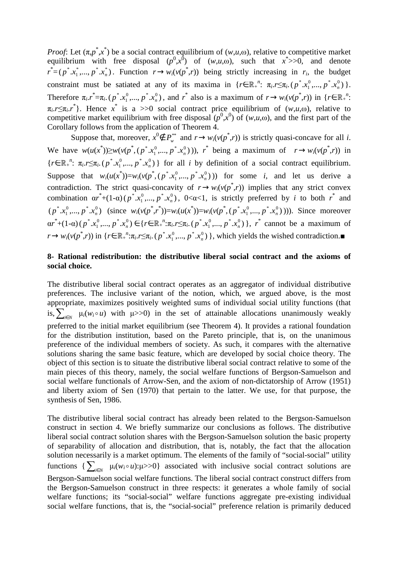*Proof*: Let  $(\pi, p^*, x^*)$  be a social contract equilibrium of  $(w, u, \omega)$ , relative to competitive market equilibrium with free disposal  $(p^0, x^0)$  of  $(w, u, \omega)$ , such that  $x^*>>0$ , and denote  $r^* = (p^*, x_1^*, ..., p^*, x_n^*)$ 1 \*  $p^*$  *x*<sub>1</sub><sup> $\ldots$ </sup>, *p*<sup> $\cdot$ </sup> *x*<sub>n</sub><sup> $\ddot{\!}$ </sub>). Function  $r \rightarrow w_i(v(p^*$ *,r*)) being strictly increasing in *r<sub>i</sub>*, the budget</sup> constraint must be satiated at any of its maxima in  $\{r \in \mathbb{R}^n : \pi_i.r \leq \pi_i.(p^*.x_1^0,...,p^*.x_n^0)\}$ 1 \*  $p^*$   $x_1^0$ , ...,  $p^*$   $x_n^0$   $\}$ . Therefore  $\pi_i \cdot \vec{r} = \pi_i \cdot (p^* \cdot x_1^0, ..., p^* \cdot x_n^0)$ 1 \*  $p^* . x_1^0, ..., p^* . x_n^0$ , and *r*<sup>\*</sup> also is a maximum of  $r \to w_i(v(p^*, r))$  in { $r \in \mathbb{R}_+^n$ :  $\pi_i \sim \pi_i$ , *r*<sup>\*</sup>). Hence *x*<sup>\*</sup> is a >>0 social contract price equilibrium of  $(w, u, \omega)$ , relative to competitive market equilibrium with free disposal  $(p^0, x^0)$  of  $(w, u, \omega)$ , and the first part of the Corollary follows from the application of Theorem 4.

Suppose that, moreover,  $x^0 \notin P_w^*$  and  $r \to w_i(v(p^*, r))$  is strictly quasi-concave for all *i*. We have  $w(u(x^*)) \geq w(v(p^*, (p^*, x_1^0, ..., p^*, x_n^0))$ 1 \*  $p^*$  *x*<sub>1</sub><sup>*n*</sup>,...,  $p^*$  *x*<sub>n</sub><sup>0</sup>))), *r*<sup>\*</sup> being a maximum of  $r \to w_i(v(p^*, r))$  in  ${r \in \mathbb{R}_+}^n$ :  $\pi_i.r \leq \pi_i.(p^*.x_1^0, ..., p^*.x_n^0)$ 1 \*  $p^*$   $(x_1^0, ..., p^*$   $(x_n^0)$  for all *i* by definition of a social contract equilibrium. Suppose that  $w_i(u(x^*))=w_i(v(p^*, (p^*, x_1^0, ..., p^*, x_n^0))$ 1 \*  $p^*$   $(x_1^0, ..., p^*$   $(x_n^0))$  for some *i*, and let us derive a contradiction. The strict quasi-concavity of  $r \rightarrow w_i(v(p^*, r))$  implies that any strict convex combination  $ar^*+(1-a)(p^*, x_1^0, ..., p^*, x_n^0)$ 1 \*  $p^*$  *x*<sub>1</sub><sup>0</sup>, *m*, *p*<sup>\*</sup> *x*<sub>n</sub><sup>0</sup></sub>, 0< $\alpha$ <1, is strictly preferred by *i* to both *r*<sup>\*</sup> and  $(p^*, x_1^0, ..., p^*, x_n^0)$ 1 \*  $p^*$   $x_1^0$ , ...,  $p^*$   $x_n^0$ ) (since  $w_i(v(p^*, r^*)) = w_i(u(x^*)) = w_i(v(p^*, (p^*, x_1^0, \ldots, p^*, x_n^0))$ 1 \*  $p^*$   $(x_1^0, ..., p^*$   $(x_n^0))$ ). Since moreover  $ar^*$ +(1-α) ( $p^*$ . $x_1^0$ ,...,  $p^*$ . $x_n^0$ ) 1 \*  $p^{\ast}.x_1^0,...,p^{\ast}.x_n^0) \in \{r \in \mathbb{R}_+^n : \pi_i.r \leq \pi_i. (p^{\ast}.x_1^0,...,p^{\ast}.x_n^0) \}$ 1 \*  $p^*$  *x*<sub>1</sub><sup>0</sup>, *m*, *p*<sup>\*</sup> *x*<sub>n</sub><sup>0</sup>) }, *r*<sup>\*</sup> cannot be a maximum of  $r \rightarrow w_i(v(p^*, r))$  in { $r \in \mathbb{R}_+^n : \pi_i.r \leq \pi_i.$  ( $p^*, x_1^0, ..., p^*, x_n^0$ ) 1 \*  $p^*$   $x_1^0$ , ...,  $p^*$   $x_n^0$ ), which yields the wished contradiction.■

#### **8- Rational redistribution: the distributive liberal social contract and the axioms of social choice.**

The distributive liberal social contract operates as an aggregator of individual distributive preferences. The inclusive variant of the notion, which, we argued above, is the most appropriate, maximizes positively weighted sums of individual social utility functions (that is,  $\sum_{i\in N}$   $\mu_i(w_i \circ u)$  with  $\mu$ >>0) in the set of attainable allocations unanimously weakly preferred to the initial market equilibrium (see Theorem 4). It provides a rational foundation for the distribution institution, based on the Pareto principle, that is, on the unanimous preference of the individual members of society. As such, it compares with the alternative solutions sharing the same basic feature, which are developed by social choice theory. The object of this section is to situate the distributive liberal social contract relative to some of the main pieces of this theory, namely, the social welfare functions of Bergson-Samuelson and social welfare functionals of Arrow-Sen, and the axiom of non-dictatorship of Arrow (1951) and liberty axiom of Sen (1970) that pertain to the latter. We use, for that purpose, the synthesis of Sen, 1986.

The distributive liberal social contract has already been related to the Bergson-Samuelson construct in section 4. We briefly summarize our conclusions as follows. The distributive liberal social contract solution shares with the Bergson-Samuelson solution the basic property of separability of allocation and distribution, that is, notably, the fact that the allocation solution necessarily is a market optimum. The elements of the family of "social-social" utility functions  $\{\sum_{i\in N} \mu_i(w_i \circ u): \mu \geq 0\}$  associated with inclusive social contract solutions are Bergson-Samuelson social welfare functions. The liberal social contract construct differs from the Bergson-Samuelson construct in three respects: it generates a whole family of social welfare functions; its "social-social" welfare functions aggregate pre-existing individual social welfare functions, that is, the "social-social" preference relation is primarily deduced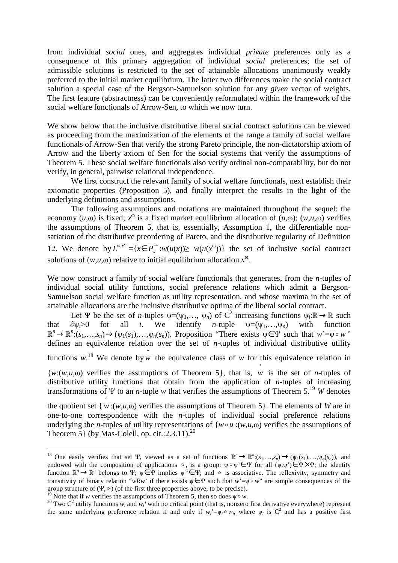from individual *social* ones, and aggregates individual *private* preferences only as a consequence of this primary aggregation of individual *social* preferences; the set of admissible solutions is restricted to the set of attainable allocations unanimously weakly preferred to the initial market equilibrium. The latter two differences make the social contract solution a special case of the Bergson-Samuelson solution for any *given* vector of weights. The first feature (abstractness) can be conveniently reformulated within the framework of the social welfare functionals of Arrow-Sen, to which we now turn.

We show below that the inclusive distributive liberal social contract solutions can be viewed as proceeding from the maximization of the elements of the range a family of social welfare functionals of Arrow-Sen that verify the strong Pareto principle, the non-dictatorship axiom of Arrow and the liberty axiom of Sen for the social systems that verify the assumptions of Theorem 5. These social welfare functionals also verify ordinal non-comparability, but do not verify, in general, pairwise relational independence.

We first construct the relevant family of social welfare functionals, next establish their axiomatic properties (Proposition 5), and finally interpret the results in the light of the underlying definitions and assumptions.

The following assumptions and notations are maintained throughout the sequel: the economy  $(u, \omega)$  is fixed;  $x^{\omega}$  is a fixed market equilibrium allocation of  $(u, \omega)$ ;  $(w, u, \omega)$  verifies the assumptions of Theorem 5, that is, essentially, Assumption 1, the differentiable nonsatiation of the distributive preordering of Pareto, and the distributive regularity of Definition 12. We denote by  $L^{w,x^{\omega}} = \{x \in P_w^{**}: w(u(x)) \geq w(u(x^{\omega}))\}$  the set of inclusive social contract solutions of  $(w, u, \omega)$  relative to initial equilibrium allocation  $x^{\omega}$ .

We now construct a family of social welfare functionals that generates, from the *n*-tuples of individual social utility functions, social preference relations which admit a Bergson-Samuelson social welfare function as utility representation, and whose maxima in the set of attainable allocations are the inclusive distributive optima of the liberal social contract.

Let  $\Psi$  be the set of *n*-tuples  $\psi = (\psi_1, \dots, \psi_n)$  of  $C^2$  increasing functions  $\psi_i : \mathbb{R} \to \mathbb{R}$  such that  $\partial \psi_i > 0$  for all *i*. We identify *n*-tuple  $\psi = (\psi_1, \dots, \psi_n)$  with function  $\mathbb{R}^n \to \mathbb{R}^n$ : $(s_1,...,s_n) \to (\psi_1(s_1),...,\psi_n(s_n))$ . Proposition "There exists  $\psi \in \Psi$  such that  $w' = \psi \circ w$ " defines an equivalence relation over the set of *n*-tuples of individual distributive utility

functions w.<sup>18</sup> We denote by w the equivalence class of w for this equivalence relation in

 ${w:(w,u,\omega)}$  verifies the assumptions of Theorem 5, that is, w is the set of *n*-tuples of distributive utility functions that obtain from the application of *n*-tuples of increasing transformations of Ψ to an *n*-tuple *w* that verifies the assumptions of Theorem 5.<sup>19</sup> *W* denotes

the quotient set { $w:(w,u,\omega)$  verifies the assumptions of Theorem 5}. The elements of *W* are in one-to-one correspondence with the *n*-tuples of individual social preference relations underlying the *n*-tuples of utility representations of  ${w \circ u : (w,u,\omega)}$  verifies the assumptions of Theorem 5 (by Mas-Colell, op. cit.:2.3.11).<sup>20</sup>

<sup>&</sup>lt;sup>18</sup> One easily verifies that set Ψ, viewed as a set of functions  $\mathbb{R}^n \to \mathbb{R}^n$ : $(s_1,...,s_n) \to (\psi_1(s_1),...,\psi_n(s_n))$ , and endowed with the composition of applications  $\circ$ , is a group:  $\psi \circ \psi \in \Psi$  for all  $(\psi, \psi') \in \Psi \times \Psi$ ; the identity function  $\mathbb{R}^n \to \mathbb{R}^n$  belongs to Ψ;  $\psi \in \Psi$  implies  $\psi^{-1} \in \Psi$ ; and  $\circ$  is associative. The reflexivity, symmetry and  $\psi$ transitivity of binary relation "*wRw*' if there exists  $\psi \in \Psi$  such that  $w' = \psi \circ w'$  are simple consequences of the group structure of (Ψ,  $\circ$ ) (of the first three properties above, to be precise).

<sup>&</sup>lt;sup>1</sup> Note that if *w* verifies the assumptions of Theorem 5, then so does  $\psi \circ w$ .

<sup>&</sup>lt;sup>20</sup> Two  $C^2$  utility functions  $w_i$  and  $w_i$ <sup>*'*</sup> with no critical point (that is, nonzero first derivative everywhere) represent the same underlying preference relation if and only if  $w_i^* = \psi_i \circ w_i$ , where  $\psi_i$  is  $C^2$  and has a positive first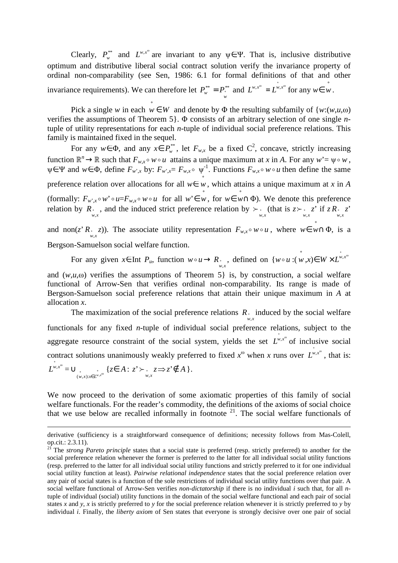Clearly,  $P_w^{**}$  and  $L^{w,x^{\omega}}$  are invariant to any  $\psi \in \Psi$ . That is, inclusive distributive optimum and distributive liberal social contract solution verify the invariance property of ordinal non-comparability (see Sen, 1986: 6.1 for formal definitions of that and other invariance requirements). We can therefore let  $P_w^{**} = P_w^{**}$  and  $L^{w,x^{\omega}} = L^{w,x^{\omega}}$  for any  $w \in w$ .

Pick a single *w* in each  $w \in W$  and denote by  $\Phi$  the resulting subfamily of  $\{w:(w,u,\omega)\}$ verifies the assumptions of Theorem 5}. Φ consists of an arbitrary selection of one single *n*tuple of utility representations for each *n*-tuple of individual social preference relations. This family is maintained fixed in the sequel.

For any  $w \in \Phi$ , and any  $x \in P_w^*$ , let  $F_{w,x}$  be a fixed  $C^2$ , concave, strictly increasing function  $\mathbb{R}^n \to \mathbb{R}$  such that  $F_{w,x} \circ w \circ u$  attains a unique maximum at *x* in *A*. For any  $w' = \psi \circ w$ ,  $\psi \in \Psi$  and  $w \in \Phi$ , define  $F_{w,x}$  by:  $F_{w,x} = F_{w,x} \circ \psi^{-1}$ . Functions  $F_{w,x} \circ w \circ u$  then define the same preference relation over allocations for all *w*∈ ° *w*, which attains a unique maximum at *x* in *A* (formally:  $F_{w^r,x} \circ w^r \circ u = F_{w,x} \circ w \circ u$  for all  $w^r \in w$ , for  $w \in w \cap \Phi$ ). We denote this preference relation by  $R_{w,x}$ , and the induced strict preference relation by  $\sum_{w,x}$  (that is  $z \sum_{w,x} z^x$  if  $z R_{w,x} z^x$ ) and non(*z*'  $R$   $\in$  *z*)). The associate utility representation  $F_{w,x} \circ w \circ u$ , where  $w \in w \cap \Phi$ , is a *w x* , Bergson-Samuelson social welfare function.

For any given  $x \in \text{Int } P_u$ , function  $w \circ u \to R_{w,x}$ , defined on  $\{w \circ u : (w,x) \in W \times L^{w,x^{\omega}}\}$ 

and  $(w,u,\omega)$  verifies the assumptions of Theorem 5 is, by construction, a social welfare functional of Arrow-Sen that verifies ordinal non-comparability. Its range is made of Bergson-Samuelson social preference relations that attain their unique maximum in *A* at allocation *x*.

The maximization of the social preference relations  $R_{w,x}$  induced by the social welfare functionals for any fixed *n*-tuple of individual social preference relations, subject to the aggregate resource constraint of the social system, yields the set  $L^{\psi,x^{\omega}}$  of inclusive social contract solutions unanimously weakly preferred to fixed  $x^{\omega}$  when *x* runs over  $L^{\psi,x^{\omega}}$ , that is:  $L^{\nu,x^{\omega}} = \bigcup_{(w,x):x \in L^{\nu,x^{\omega}}}$  $\cup$   $\bigcup_{\substack{(w,x):x \in I^{w,x^{\omega}}}$  {*z*∈ *A* : *z*<sup>'</sup>  $\succ$   $\bigcup_{\substack{w,x \in I^{w,x^{\omega}}}$  {*z* = *x*<sup>2</sup>  $\succ$  *x*<sub>*x*</sub>*x*<sup>2</sup>  $\succ$  *A* }.

We now proceed to the derivation of some axiomatic properties of this family of social welfare functionals. For the reader's commodity, the definitions of the axioms of social choice that we use below are recalled informally in footnote  $2<sup>1</sup>$ . The social welfare functionals of

<u>.</u>

derivative (sufficiency is a straightforward consequence of definitions; necessity follows from Mas-Colell, op.cit.: 2.3.11).

<sup>&</sup>lt;sup>21</sup> The *strong Pareto principle* states that a social state is preferred (resp. strictly preferred) to another for the social preference relation whenever the former is preferred to the latter for all individual social utility functions (resp. preferred to the latter for all individual social utility functions and strictly preferred to it for one individual social utility function at least). *Pairwise relational independence* states that the social preference relation over any pair of social states is a function of the sole restrictions of individual social utility functions over that pair. A social welfare functional of Arrow-Sen verifies *non-dictatorship* if there is no individual *i* such that, for all *n*tuple of individual (social) utility functions in the domain of the social welfare functional and each pair of social states *x* and *y*, *x* is strictly preferred to *y* for the social preference relation whenever it is strictly preferred to *y* by individual *i*. Finally, the *liberty axiom* of Sen states that everyone is strongly decisive over one pair of social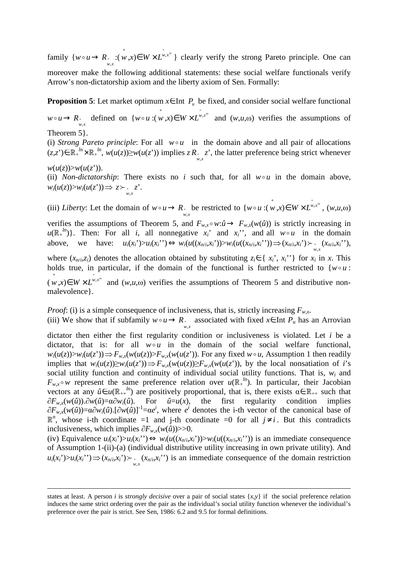family  $\{w \circ u \to R_{w,x} : (w,x) \in W \times L^{w,x^{\omega}}\}$  clearly verify the strong Pareto principle. One can moreover make the following additional statements: these social welfare functionals verify Arrow's non-dictatorship axiom and the liberty axiom of Sen. Formally:

**Proposition 5:** Let market optimum  $x \in \text{Int } P_u$  be fixed, and consider social welfare functional

 $w \circ u \to R$ , defined on  $\{w \circ u : (w,x) \in W \times L^{w,x^{\omega}} \text{ and } (w,u,\omega) \text{ verifies the assumptions of }$ 

Theorem 5}.

<u>.</u>

(i) *Strong Pareto principle*: For all  $w \circ u$  in the domain above and all pair of allocations  $(z, z') \in \mathbb{R}_+^{ln} \times \mathbb{R}_+^{ln}$ ,  $w(u(z)) \geq w(u(z'))$  implies  $z R_{w,x}^2$ , the latter preference being strict whenever

 $w(u(z)) > w(u(z'))$ .

(ii) *Non-dictatorship*: There exists no *i* such that, for all  $w \circ u$  in the domain above,  $w_i(u(z)) > w_i(u(z')) \Rightarrow z \succ \int_{w,x}^{\infty} z'.$ 

(iii) *Liberty*: Let the domain of  $w \circ u \to R$ , be restricted to  $\{w \circ u : (w, x) \in W \times L^{w, x^{\omega}}$ ,  $(w, u, \omega)$ 

verifies the assumptions of Theorem 5, and  $F_{w,x} \circ w: \hat{u} \to F_{w,x}(w(\hat{u}))$  is strictly increasing in  $u(\mathbb{R}^{n})$ . Then: For all *i*, all nonnegative  $x_i$  and  $x_i$ <sup>\*</sup>, and all  $w \circ u$  in the domain above, we have:  $u_i(x_i) > u_i(x_i') \Leftrightarrow w_i(u((x_{n/i}, x_i')) > w_i(u((x_{n/i}, x_i')) \Rightarrow (x_{n/i}, x_i') > w_i(x_{n/i}, x_i'))$ 

where  $(x_{n/i}, z_i)$  denotes the allocation obtained by substituting  $z_i \in \{x_i, x_i\}$  for  $x_i$  in  $x$ . This holds true, in particular, if the domain of the functional is further restricted to  ${w \circ u}$ :  $(w, x) \in W \times L^{w, x^{\omega}}$  and  $(w, u, \omega)$  verifies the assumptions of Theorem 5 and distributive nonmalevolence}.

*Proof*: (i) is a simple consequence of inclusiveness, that is, strictly increasing  $F_{wx}$ .

(iii) We show that if subfamily  $w \circ u \to R$  associated with fixed  $x \in \text{Int } P_u$  has an Arrovian

dictator then either the first regularity condition or inclusiveness is violated. Let *i* be a dictator, that is: for all  $w \circ u$  in the domain of the social welfare functional,  $w_i(u(z)) > w_i(u(z')) \Rightarrow F_{w,x}(w(u(z)) > F_{w,x}(w(u(z')))$ . For any fixed  $w \circ u$ , Assumption 1 then readily implies that  $w_i(u(z)) \geq w_i(u(z)) \Rightarrow F_{w,x}(w(u(z)) \geq F_{w,x}(w(u(z)))$ , by the local nonsatiation of i's social utility function and continuity of individual social utility functions. That is,  $w_i$  and  $F_{w,x} \circ w$  represent the same preference relation over  $u(\mathbb{R}^{\mu})$ . In particular, their Jacobian vectors at any  $\hat{u} \in u(\mathbb{R}_{++}^{ln})$  are positively proportional, that is, there exists  $\alpha \in \mathbb{R}_{++}$  such that ∂*Fw*,*x*(*w*(*û*)).∂*w*(*û*)=α∂*wi*(*û*). For *û*=*u*(*x*), the first regularity condition implies  $\partial F_{w,x}(w(\hat{u})) = \alpha \partial w_i(\hat{u})$ .  $[\partial w(\hat{u})]^{-1} = \alpha e^i$ , where  $e^i$  denotes the i-th vector of the canonical base of  $\mathbb{R}^n$ , whose i-th coordinate =1 and j-th coordinate =0 for all *j*≠ *i*. But this contradicts inclusiveness, which implies  $\partial F_{w.x}(w(\hat{u}))>>0.$ 

(iv) Equivalence  $u_i(x_i) > u_i(x_i') \Leftrightarrow w_i(u((x_{n/i}, x_i')) > w_i(u((x_{n/i}, x_i')))$  is an immediate consequence of Assumption 1-(ii)-(a) (individual distributive utility increasing in own private utility). And  $u_i(x_i) > u_i(x_i') \Rightarrow (x_{n/i}, x_i') > \dots (x_{n/i}, x_i')$  is an immediate consequence of the domain restriction

states at least. A person *i* is *strongly decisive* over a pair of social states  $\{x, y\}$  if the social preference relation induces the same strict ordering over the pair as the individual's social utility function whenever the individual's preference over the pair is strict. See Sen, 1986: 6.2 and 9.5 for formal definitions.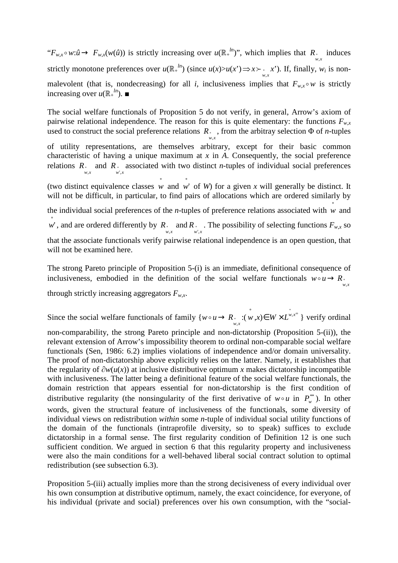" $F_{w,x} \circ w: \hat{u} \to F_{w,x}(w(\hat{u}))$  is strictly increasing over  $u(\mathbb{R}^{\mu})$ ", which implies that  $R_{w,x}$  induces strictly monotone preferences over  $u(\mathbb{R}^{n})$  (since  $u(x)>u(x') \Rightarrow x \succ \ldots \succ x'$ ). If, finally,  $w_i$  is nonmalevolent (that is, nondecreasing) for all *i*, inclusiveness implies that  $F_{w,x} \circ w$  is strictly increasing over  $u(\mathbb{R}^{\mu})$ .

The social welfare functionals of Proposition 5 do not verify, in general, Arrow's axiom of pairwise relational independence. The reason for this is quite elementary: the functions  $F_{wx}$ used to construct the social preference relations  $R_{w,x}$ , from the arbitray selection  $\Phi$  of *n*-tuples

of utility representations, are themselves arbitrary, except for their basic common characteristic of having a unique maximum at *x* in *A*. Consequently, the social preference relations  $R_{w,x}$  and  $R_{w',x}$  associated with two distinct *n*-tuples of individual social preferences

(two distinct equivalence classes  $w$  and  $w'$  of *W*) for a given *x* will generally be distinct. It will not be difficult, in particular, to find pairs of allocations which are ordered similarly by

the individual social preferences of the *n*-tuples of preference relations associated with  $\hat{w}$  and

w', and are ordered differently by  $R_{w,x}$  and  $R_{w,x}$ . The possibility of selecting functions  $F_{w,x}$  so

that the associate functionals verify pairwise relational independence is an open question, that will not be examined here.

The strong Pareto principle of Proposition 5-(i) is an immediate, definitional consequence of inclusiveness, embodied in the definition of the social welfare functionals  $w \circ u \to R$ . ,

through strictly increasing aggregators  $F_{w,x}$ .

Since the social welfare functionals of family  $\{w \circ u \to R_{w,x}: (w,x) \in W \times L^{w,x^{\circ}} \}$  verify ordinal

non-comparability, the strong Pareto principle and non-dictatorship (Proposition 5-(ii)), the relevant extension of Arrow's impossibility theorem to ordinal non-comparable social welfare functionals (Sen, 1986: 6.2) implies violations of independence and/or domain universality. The proof of non-dictatorship above explicitly relies on the latter. Namely, it establishes that the regularity of ∂*w*(*u*(*x*)) at inclusive distributive optimum *x* makes dictatorship incompatible with inclusiveness. The latter being a definitional feature of the social welfare functionals, the domain restriction that appears essential for non-dictatorship is the first condition of distributive regularity (the nonsingularity of the first derivative of  $w \circ u$  in  $P_w^{**}$ ). In other words, given the structural feature of inclusiveness of the functionals, some diversity of individual views on redistribution *within* some *n*-tuple of individual social utility functions of the domain of the functionals (intraprofile diversity, so to speak) suffices to exclude dictatorship in a formal sense. The first regularity condition of Definition 12 is one such sufficient condition. We argued in section 6 that this regularity property and inclusiveness were also the main conditions for a well-behaved liberal social contract solution to optimal redistribution (see subsection 6.3).

Proposition 5-(iii) actually implies more than the strong decisiveness of every individual over his own consumption at distributive optimum, namely, the exact coincidence, for everyone, of his individual (private and social) preferences over his own consumption, with the "social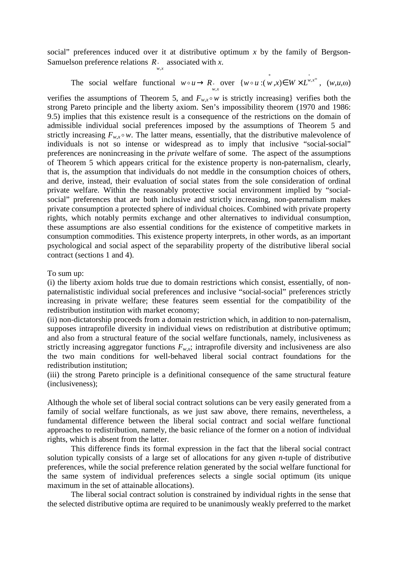social" preferences induced over it at distributive optimum *x* by the family of Bergson-Samuelson preference relations  $R$  associated with *x*. *w x* ,

The social welfare functional 
$$
w \circ u \to R_{\infty}
$$
 over  $\{w \circ u : (w, x) \in W \times L^{w, x^{\omega}}, (w, u, \omega)$ 

verifies the assumptions of Theorem 5, and  $F_{w,x} \circ w$  is strictly increasing} verifies both the strong Pareto principle and the liberty axiom. Sen's impossibility theorem (1970 and 1986: 9.5) implies that this existence result is a consequence of the restrictions on the domain of admissible individual social preferences imposed by the assumptions of Theorem 5 and strictly increasing  $F_{wx} \circ w$ . The latter means, essentially, that the distributive malevolence of individuals is not so intense or widespread as to imply that inclusive "social-social" preferences are nonincreasing in the *private* welfare of some. The aspect of the assumptions of Theorem 5 which appears critical for the existence property is non-paternalism, clearly, that is, the assumption that individuals do not meddle in the consumption choices of others, and derive, instead, their evaluation of social states from the sole consideration of ordinal private welfare. Within the reasonably protective social environment implied by "socialsocial" preferences that are both inclusive and strictly increasing, non-paternalism makes private consumption a protected sphere of individual choices. Combined with private property rights, which notably permits exchange and other alternatives to individual consumption, these assumptions are also essential conditions for the existence of competitive markets in consumption commodities. This existence property interprets, in other words, as an important psychological and social aspect of the separability property of the distributive liberal social contract (sections 1 and 4).

#### To sum up:

(i) the liberty axiom holds true due to domain restrictions which consist, essentially, of nonpaternalististic individual social preferences and inclusive "social-social" preferences strictly increasing in private welfare; these features seem essential for the compatibility of the redistribution institution with market economy;

(ii) non-dictatorship proceeds from a domain restriction which, in addition to non-paternalism, supposes intraprofile diversity in individual views on redistribution at distributive optimum; and also from a structural feature of the social welfare functionals, namely, inclusiveness as strictly increasing aggregator functions  $F_{w,x}$ ; intraprofile diversity and inclusiveness are also the two main conditions for well-behaved liberal social contract foundations for the redistribution institution;

(iii) the strong Pareto principle is a definitional consequence of the same structural feature (inclusiveness);

Although the whole set of liberal social contract solutions can be very easily generated from a family of social welfare functionals, as we just saw above, there remains, nevertheless, a fundamental difference between the liberal social contract and social welfare functional approaches to redistribution, namely, the basic reliance of the former on a notion of individual rights, which is absent from the latter.

This difference finds its formal expression in the fact that the liberal social contract solution typically consists of a large set of allocations for any given *n*-tuple of distributive preferences, while the social preference relation generated by the social welfare functional for the same system of individual preferences selects a single social optimum (its unique maximum in the set of attainable allocations).

 The liberal social contract solution is constrained by individual rights in the sense that the selected distributive optima are required to be unanimously weakly preferred to the market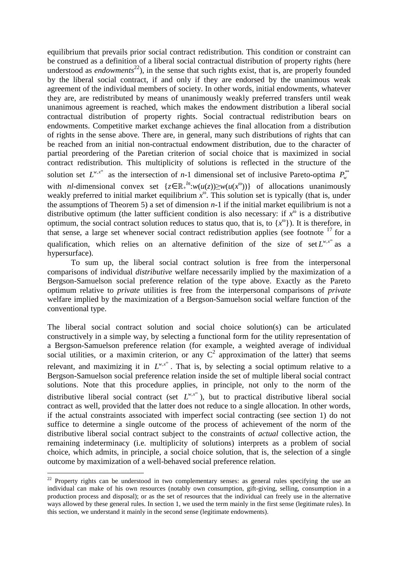equilibrium that prevails prior social contract redistribution. This condition or constraint can be construed as a definition of a liberal social contractual distribution of property rights (here understood as *endowments*<sup>22</sup>), in the sense that such rights exist, that is, are properly founded by the liberal social contract, if and only if they are endorsed by the unanimous weak agreement of the individual members of society. In other words, initial endowments, whatever they are, are redistributed by means of unanimously weakly preferred transfers until weak unanimous agreement is reached, which makes the endowment distribution a liberal social contractual distribution of property rights. Social contractual redistribution bears on endowments. Competitive market exchange achieves the final allocation from a distribution of rights in the sense above. There are, in general, many such distributions of rights that can be reached from an initial non-contractual endowment distribution, due to the character of partial preordering of the Paretian criterion of social choice that is maximized in social contract redistribution. This multiplicity of solutions is reflected in the structure of the solution set  $L^{w,x^{\omega}}$  as the intersection of *n*-1 dimensional set of inclusive Pareto-optima  $P_{w}^{**}$ with *nl*-dimensional convex set  $\{z \in \mathbb{R}^N : w(u(z)) \geq w(u(x^{\omega}))\}$  of allocations unanimously weakly preferred to initial market equilibrium  $x^{\omega}$ . This solution set is typically (that is, under the assumptions of Theorem 5) a set of dimension  $n-1$  if the initial market equilibrium is not a distributive optimum (the latter sufficient condition is also necessary: if  $x^{\hat{\omega}}$  is a distributive optimum, the social contract solution reduces to status quo, that is, to  $\{x^{\omega}\}\)$ . It is therefore, in that sense, a large set whenever social contract redistribution applies (see footnote  $17$  for a qualification, which relies on an alternative definition of the size of set  $L^{w,x^{\omega}}$  as a hypersurface).

To sum up, the liberal social contract solution is free from the interpersonal comparisons of individual *distributive* welfare necessarily implied by the maximization of a Bergson-Samuelson social preference relation of the type above. Exactly as the Pareto optimum relative to *private* utilities is free from the interpersonal comparisons of *private*  welfare implied by the maximization of a Bergson-Samuelson social welfare function of the conventional type.

The liberal social contract solution and social choice solution(s) can be articulated constructively in a simple way, by selecting a functional form for the utility representation of a Bergson-Samuelson preference relation (for example, a weighted average of individual social utilities, or a maximin criterion, or any  $C^2$  approximation of the latter) that seems relevant, and maximizing it in  $L^{w,x^{\omega}}$ . That is, by selecting a social optimum relative to a Bergson-Samuelson social preference relation inside the set of multiple liberal social contract solutions. Note that this procedure applies, in principle, not only to the norm of the distributive liberal social contract (set  $L^{w,x^{\omega}}$ ), but to practical distributive liberal social contract as well, provided that the latter does not reduce to a single allocation. In other words, if the actual constraints associated with imperfect social contracting (see section 1) do not suffice to determine a single outcome of the process of achievement of the norm of the distributive liberal social contract subject to the constraints of *actual* collective action, the remaining indeterminacy (i.e. multiplicity of solutions) interprets as a problem of social choice, which admits, in principle, a social choice solution, that is, the selection of a single outcome by maximization of a well-behaved social preference relation.

<sup>&</sup>lt;sup>22</sup> Property rights can be understood in two complementary senses: as general rules specifying the use an individual can make of his own resources (notably own consumption, gift-giving, selling, consumption in a production process and disposal); or as the set of resources that the individual can freely use in the alternative ways allowed by these general rules. In section 1, we used the term mainly in the first sense (legitimate rules). In this section, we understand it mainly in the second sense (legitimate endowments).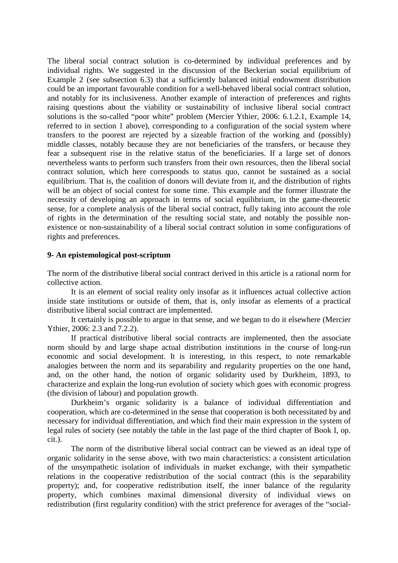The liberal social contract solution is co-determined by individual preferences and by individual rights. We suggested in the discussion of the Beckerian social equilibrium of Example 2 (see subsection 6.3) that a sufficiently balanced initial endowment distribution could be an important favourable condition for a well-behaved liberal social contract solution, and notably for its inclusiveness. Another example of interaction of preferences and rights raising questions about the viability or sustainability of inclusive liberal social contract solutions is the so-called "poor white" problem (Mercier Ythier, 2006: 6.1.2.1, Example 14, referred to in section 1 above), corresponding to a configuration of the social system where transfers to the poorest are rejected by a sizeable fraction of the working and (possibly) middle classes, notably because they are not beneficiaries of the transfers, or because they fear a subsequent rise in the relative status of the beneficiaries. If a large set of donors nevertheless wants to perform such transfers from their own resources, then the liberal social contract solution, which here corresponds to status quo, cannot be sustained as a social equilibrium. That is, the coalition of donors will deviate from it, and the distribution of rights will be an object of social contest for some time. This example and the former illustrate the necessity of developing an approach in terms of social equilibrium, in the game-theoretic sense, for a complete analysis of the liberal social contract, fully taking into account the role of rights in the determination of the resulting social state, and notably the possible nonexistence or non-sustainability of a liberal social contract solution in some configurations of rights and preferences.

#### **9- An epistemological post-scriptum**

The norm of the distributive liberal social contract derived in this article is a rational norm for collective action.

It is an element of social reality only insofar as it influences actual collective action inside state institutions or outside of them, that is, only insofar as elements of a practical distributive liberal social contract are implemented.

It certainly is possible to argue in that sense, and we began to do it elsewhere (Mercier Ythier, 2006: 2.3 and 7.2.2).

 If practical distributive liberal social contracts are implemented, then the associate norm should by and large shape actual distribution institutions in the course of long-run economic and social development. It is interesting, in this respect, to note remarkable analogies between the norm and its separability and regularity properties on the one hand, and, on the other hand, the notion of organic solidarity used by Durkheim, 1893, to characterize and explain the long-run evolution of society which goes with economic progress (the division of labour) and population growth.

 Durkheim's organic solidarity is a balance of individual differentiation and cooperation, which are co-determined in the sense that cooperation is both necessitated by and necessary for individual differentiation, and which find their main expression in the system of legal rules of society (see notably the table in the last page of the third chapter of Book I, op. cit.).

 The norm of the distributive liberal social contract can be viewed as an ideal type of organic solidarity in the sense above, with two main characteristics: a consistent articulation of the unsympathetic isolation of individuals in market exchange, with their sympathetic relations in the cooperative redistribution of the social contract (this is the separability property); and, for cooperative redistribution itself, the inner balance of the regularity property, which combines maximal dimensional diversity of individual views on redistribution (first regularity condition) with the strict preference for averages of the "social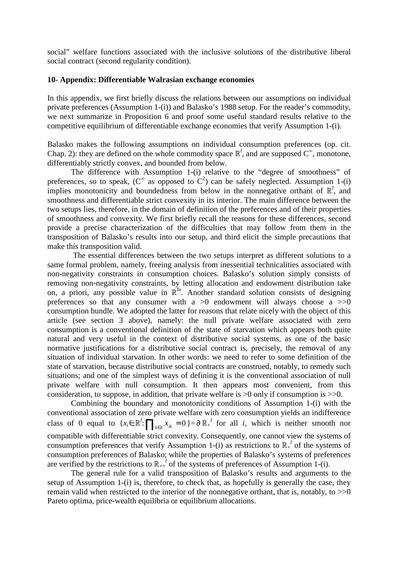social" welfare functions associated with the inclusive solutions of the distributive liberal social contract (second regularity condition).

#### **10- Appendix: Differentiable Walrasian exchange economies**

In this appendix, we first briefly discuss the relations between our assumptions on individual private preferences (Assumption 1-(i)) and Balasko's 1988 setup. For the reader's commodity, we next summarize in Proposition 6 and proof some useful standard results relative to the competitive equilibrium of differentiable exchange economies that verify Assumption 1-(i).

Balasko makes the following assumptions on individual consumption preferences (op. cit. Chap. 2): they are defined on the whole commodity space  $\mathbb{R}^l$ , and are supposed  $C^{\infty}$ , monotone, differentiably strictly convex, and bounded from below.

 The difference with Assumption 1-(i) relative to the "degree of smoothness" of preferences, so to speak, ( $C^{\infty}$  as opposed to  $C^2$ ) can be safely neglected. Assumption 1-(i) implies monotonicity and boundedness from below in the nonnegative orthant of  $\mathbb{R}^l$ , and smoothness and differentiable strict convexity in its interior. The main difference between the two setups lies, therefore, in the domain of definition of the preferences and of their properties of smoothness and convexity. We first briefly recall the reasons for these differences, second provide a precise characterization of the difficulties that may follow from them in the transposition of Balasko's results into our setup, and third elicit the simple precautions that make this transposition valid.

 The essential differences between the two setups interpret as different solutions to a same formal problem, namely, freeing analysis from inessential technicalities associated with non-negativity constraints in consumption choices. Balasko's solution simply consists of removing non-negativity constraints, by letting allocation and endowment distribution take on, a priori, any possible value in  $\mathbb{R}^{ln}$ . Another standard solution consists of designing preferences so that any consumer with a  $>0$  endowment will always choose a  $>>0$ consumption bundle. We adopted the latter for reasons that relate nicely with the object of this article (see section 3 above), namely: the null private welfare associated with zero consumption is a conventional definition of the state of starvation which appears both quite natural and very useful in the context of distributive social systems, as one of the basic normative justifications for a distributive social contract is, precisely, the removal of any situation of individual starvation. In other words: we need to refer to some definition of the state of starvation, because distributive social contracts are construed, notably, to remedy such situations; and one of the simplest ways of defining it is the conventional association of null private welfare with null consumption. It then appears most convenient, from this consideration, to suppose, in addition, that private welfare is  $>0$  only if consumption is  $>>0$ .

 Combining the boundary and monotonicity conditions of Assumption 1-(i) with the conventional association of zero private welfare with zero consumption yields an indifference class of 0 equal to  $\{x_i \in \mathbb{R}^l : \prod_{k \in L} x_{ik} = 0\} = \partial \mathbb{R}^{l}$  for all *i*, which is neither smooth nor compatible with differentiable strict convexity. Consequently, one cannot view the systems of consumption preferences that verify Assumption 1-(i) as restrictions to  $\mathbb{R}^l$  of the systems of consumption preferences of Balasko; while the properties of Balasko's systems of preferences are verified by the restrictions to  $\mathbb{R}_{++}^l$  of the systems of preferences of Assumption 1-(i).

 The general rule for a valid transposition of Balasko's results and arguments to the setup of Assumption 1-(i) is, therefore, to check that, as hopefully is generally the case, they remain valid when restricted to the interior of the nonnegative orthant, that is, notably, to >>0 Pareto optima, price-wealth equilibria or equilibrium allocations.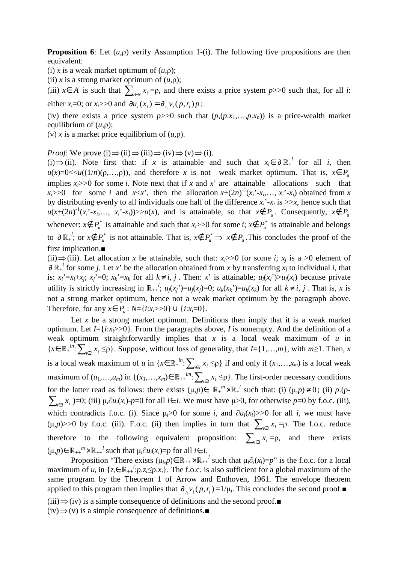**Proposition 6**: Let (*u*,ρ) verify Assumption 1-(i). The following five propositions are then equivalent:

(i) *x* is a weak market optimum of  $(u, \rho)$ ;

(ii) *x* is a strong market optimum of  $(u, \rho)$ ;

(iii)  $x \in A$  is such that  $\sum_{i \in N} x_i = \rho$ , and there exists a price system  $p \ge 0$  such that, for all *i*: either *x<sub>i</sub>*=0; or *x<sub>i</sub>*>>0 and  $\partial u_i(x_i) = \partial_{r_i} v_i(p, r_i)p$ ;

(iv) there exists a price system  $p>>0$  such that  $(p,(p.x_1,...,p.x_n))$  is a price-wealth market equilibrium of (*u*,ρ);

(v) *x* is a market price equilibrium of  $(u, \rho)$ .

*Proof*: We prove (i)  $\Rightarrow$  (ii)  $\Rightarrow$  (iii)  $\Rightarrow$  (iv)  $\Rightarrow$  (v)  $\Rightarrow$  (i).

(i) ⇒(ii). Note first that: if *x* is attainable and such that  $x_i \in \partial \mathbb{R}^{l}$  for all *i*, then  $u(x)=0\lt u((1/n)(\rho,...,\rho))$ , and therefore *x* is not weak market optimum. That is,  $x \in P$ implies  $x_i$  >>0 for some *i*. Note next that if *x* and *x*' are attainable allocations such that  $x_i$  >>0 for some *i* and *x*<*x*<sup>2</sup>, then the allocation  $x+(2n)^{-1}(x_i-x_i,...,x_i-x_i)$  obtained from *x* by distributing evenly to all individuals one half of the difference  $x_i^*$ - $x_i$  is  $\gg x$ , hence such that  $u(x+(2n)^{-1}(x_i-x_i,...,x_i-x_i))>>u(x)$ , and is attainable, so that  $x \notin P_u$ . Consequently,  $x \notin P_u$ whenever:  $x \notin P^*$  is attainable and such that  $x_i > 0$  for some *i*;  $x \notin P^*$  is attainable and belongs to  $\partial \mathbb{R}^{\mu}$ ; or  $x \notin P^*$  is not attainable. That is,  $x \notin P^*$  ⇒  $x \notin P^*$ . This concludes the proof of the first implication.■

(ii)  $\Rightarrow$  (iii). Let allocation *x* be attainable, such that: *x<sub>i</sub>*>>0 for some *i*; *x<sub>j</sub>* is a >0 element of  $\partial \mathbb{R}^{l}$  for some *j*. Let *x*' be the allocation obtained from *x* by transferring  $x_j$  to individual *i*, that is:  $x_i' = x_i + x_i$ ;  $x_i' = 0$ ;  $x_k' = x_k$  for all  $k \neq i, j$ . Then: x' is attainable;  $u_i(x_i') > u_i(x_i)$  because private utility is strictly increasing in  $\mathbb{R}_{++}^{l}$ ;  $u_j(x_j) = u_j(x_j) = 0$ ;  $u_k(x_k) = u_k(x_k)$  for all  $k \neq i, j$ . That is, x is not a strong market optimum, hence not a weak market optimum by the paragraph above. Therefore, for any *x*∈  $P_u$  :  $N = {i:x_i > > 0} ∪ {i:x_i = 0}.$ 

Let  $x$  be a strong market optimum. Definitions then imply that it is a weak market optimum. Let  $I = \{i : x_i > 0\}$ . From the paragraphs above, *I* is nonempty. And the definition of a weak optimum straightforwardly implies that *x* is a local weak maximum of *u* in  $\{x \in \mathbb{R}^{\mu} : \sum_{i \in I} x_i \leq p\}$ . Suppose, without loss of generality, that *I*={1,…,*m*}, with *m*≥1. Then, *x* is a local weak maximum of *u* in  $\{x \in \mathbb{R}^N : \sum_{i \in I} x_i \leq p\}$  if and only if  $(x_1, \ldots, x_m)$  is a local weak maximum of  $(u_1,...,u_m)$  in  $\{(x_1,...,x_m)\in\mathbb{R}_{++}^{1m}: \sum_{i\in I}x_i \leq \rho\}$ . The first-order necessary conditions for the latter read as follows: there exists  $(\mu, p) \in \mathbb{R}^m + \times \mathbb{R}^l$  such that: (i)  $(\mu, p) \neq 0$ ; (ii)  $p \cdot (\rho - \mu)$  $\sum_{i\in I} x_i$  )=0; (iii)  $\mu_i \partial u_i(x_i)$ -*p*=0 for all *i*∈ *I*. We must have  $\mu$ >0, for otherwise *p*=0 by f.o.c. (iii), which contradicts f.o.c. (i). Since  $\mu_i > 0$  for some *i*, and  $\partial u_i(x_i) > 0$  for all *i*, we must have ( $\mu$ , $p$ )>>0 by f.o.c. (iii). F.o.c. (ii) then implies in turn that  $\sum_{i \in I} x_i = p$ . The f.o.c. reduce therefore to the following equivalent proposition:  $\sum_{i \in I} x_i = \rho$ , and there exists  $(\mu, p) \in \mathbb{R}_{++}^m \times \mathbb{R}_{++}^l$  such that  $\mu_i \partial u_i(x_i) = p$  for all  $i \in I$ .

Proposition "There exists  $(\mu_i, p) \in \mathbb{R}_{++} \times \mathbb{R}_{++}^l$  such that  $\mu_i \partial_i(x_i) = p$ " is the f.o.c. for a local maximum of  $u_i$  in  $\{z_i \in \mathbb{R}_{++}^l : p.z_i \leq p.x_i\}$ . The f.o.c. is also sufficient for a global maximum of the same program by the Theorem 1 of Arrow and Enthoven, 1961. The envelope theorem applied to this program then implies that  $\partial_{r_i} v_i(p, r_i) = 1/\mu_i$ . This concludes the second proof.  $(iii) \implies (iv)$  is a simple consequence of definitions and the second proof.  $(iv) \Rightarrow (v)$  is a simple consequence of definitions.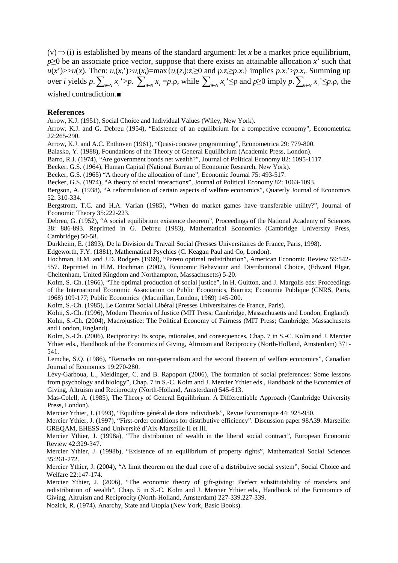$(v) \Rightarrow$ (i) is established by means of the standard argument: let *x* be a market price equilibrium, *p*≥0 be an associate price vector, suppose that there exists an attainable allocation *x*' such that  $u(x')>>u(x)$ . Then:  $u_i(x_i)>u_i(x_i)=\max\{u_i(z_i):z_i\geq 0 \text{ and } p.z_i\geq p.x_i\}$  implies  $p.x_i>>p.x_i$ . Summing up over *i* yields p.  $\sum_{i \in N} x_i > p$ .  $\sum_{i \in N} x_i = p \cdot \rho$ , while  $\sum_{i \in N} x_i \leq \rho$  and  $p \geq 0$  imply  $p$ .  $\sum_{i \in N} x_i \leq p \cdot \rho$ , the wished contradiction.■

#### **References**

Arrow, K.J. (1951), Social Choice and Individual Values (Wiley, New York).

Arrow, K.J. and G. Debreu (1954), "Existence of an equilibrium for a competitive economy", Econometrica 22:265-290.

Arrow, K.J. and A.C. Enthoven (1961), "Quasi-concave programming", Econometrica 29: 779-800.

Balasko, Y. (1988), Foundations of the Theory of General Equilibrium (Academic Press, London).

Barro, R.J. (1974), "Are government bonds net wealth?", Journal of Political Economy 82: 1095-1117.

Becker, G.S. (1964), Human Capital (National Bureau of Economic Research, New York).

Becker, G.S. (1965) "A theory of the allocation of time", Economic Journal 75: 493-517.

Becker, G.S. (1974), "A theory of social interactions", Journal of Political Economy 82: 1063-1093.

Bergson, A. (1938), "A reformulation of certain aspects of welfare economics", Quaterly Journal of Economics 52: 310-334.

Bergstrom, T.C. and H.A. Varian (1985), "When do market games have transferable utility?", Journal of Economic Theory 35:222-223.

Debreu, G. (1952), "A social equilibrium existence theorem", Proceedings of the National Academy of Sciences 38: 886-893. Reprinted in G. Debreu (1983), Mathematical Economics (Cambridge University Press, Cambridge) 50-58.

Durkheim, E. (1893), De la Division du Travail Social (Presses Universitaires de France, Paris, 1998).

Edgeworth, F.Y. (1881), Mathematical Psychics (C. Keagan Paul and Co, London).

Hochman, H.M. and J.D. Rodgers (1969), "Pareto optimal redistribution", American Economic Review 59:542- 557. Reprinted in H.M. Hochman (2002), Economic Behaviour and Distributional Choice, (Edward Elgar, Cheltenham, United Kingdom and Northampton, Massachusetts) 5-20.

Kolm, S.-Ch. (1966), "The optimal production of social justice", in H. Guitton, and J. Margolis eds: Proceedings of the International Economic Association on Public Economics, Biarritz; Economie Publique (CNRS, Paris, 1968) 109-177; Public Economics (Macmillan, London, 1969) 145-200.

Kolm, S.-Ch. (1985), Le Contrat Social Libéral (Presses Universitaires de France, Paris).

Kolm, S.-Ch. (1996), Modern Theories of Justice (MIT Press; Cambridge, Massachusetts and London, England). Kolm, S.-Ch. (2004), Macrojustice: The Political Economy of Fairness (MIT Press; Cambridge, Massachusetts and London, England).

Kolm, S.-Ch. (2006), Reciprocity: Its scope, rationales, and consequences, Chap. 7 in S.-C. Kolm and J. Mercier Ythier eds., Handbook of the Economics of Giving, Altruism and Reciprocity (North-Holland, Amsterdam) 371- 541.

Lemche, S.Q. (1986), "Remarks on non-paternalism and the second theorem of welfare economics", Canadian Journal of Economics 19:270-280.

Lévy-Garboua, L., Meidinger, C. and B. Rapoport (2006), The formation of social preferences: Some lessons from psychology and biology", Chap. 7 in S.-C. Kolm and J. Mercier Ythier eds., Handbook of the Economics of Giving, Altruism and Reciprocity (North-Holland, Amsterdam) 545-613.

Mas-Colell, A. (1985), The Theory of General Equilibrium. A Differentiable Approach (Cambridge University Press, London).

Mercier Ythier, J. (1993), "Equilibre général de dons individuels", Revue Economique 44: 925-950.

Mercier Ythier, J. (1997), "First-order conditions for distributive efficiency". Discussion paper 98A39. Marseille: GREQAM, EHESS and Université d'Aix-Marseille II et III.

Mercier Ythier, J. (1998a), "The distribution of wealth in the liberal social contract", European Economic Review 42:329-347.

Mercier Ythier, J. (1998b), "Existence of an equilibrium of property rights", Mathematical Social Sciences 35:261-272.

Mercier Ythier, J. (2004), "A limit theorem on the dual core of a distributive social system", Social Choice and Welfare 22:147-174.

Mercier Ythier, J. (2006), "The economic theory of gift-giving: Perfect substitutability of transfers and redistribution of wealth", Chap. 5 in S.-C. Kolm and J. Mercier Ythier eds., Handbook of the Economics of Giving, Altruism and Reciprocity (North-Holland, Amsterdam) 227-339.227-339.

Nozick, R. (1974). Anarchy, State and Utopia (New York, Basic Books).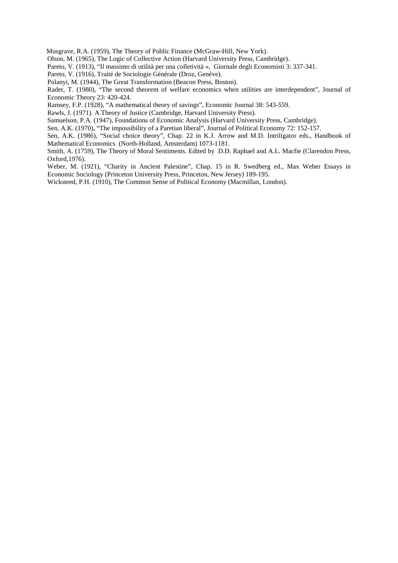Musgrave, R.A. (1959), The Theory of Public Finance (McGraw-Hill, New York).

Olson, M. (1965), The Logic of Collective Action (Harvard University Press, Cambridge).

Pareto, V. (1913), "Il massimo di utilità per una colletività », Giornale degli Economisti 3: 337-341.

Pareto, V. (1916), Traité de Sociologie Générale (Droz, Genève).

Polanyi, M. (1944), The Great Transformation (Beacon Press, Boston).

Rader, T. (1980), "The second theorem of welfare economics when utilities are interdependent", Journal of Economic Theory 23: 420-424.

Ramsey, F.P. (1928), "A mathematical theory of savings", Economic Journal 38: 543-559.

Rawls, J. (1971). A Theory of Justice (Cambridge, Harvard University Press).

Samuelson, P.A. (1947), Foundations of Economic Analysis (Harvard University Press, Cambridge).

Sen, A.K. (1970), "The impossibility of a Paretian liberal", Journal of Political Economy 72: 152-157.

Sen, A.K. (1986), "Social choice theory", Chap. 22 in K.J. Arrow and M.D. Intriligator eds., Handbook of Mathematical Economics (North-Holland, Amsterdam) 1073-1181.

Smith, A. (1759), The Theory of Moral Sentiments. Edited by D.D. Raphael and A.L. Macfie (Clarendon Press, Oxford,1976).

Weber, M. (1921), "Charity in Ancient Palestine", Chap. 15 in R. Swedberg ed., Max Weber Essays in Economic Sociology (Princeton University Press, Princeton, New Jersey) 189-195.

Wicksteed, P.H. (1910), The Common Sense of Political Economy (Macmillan, London).